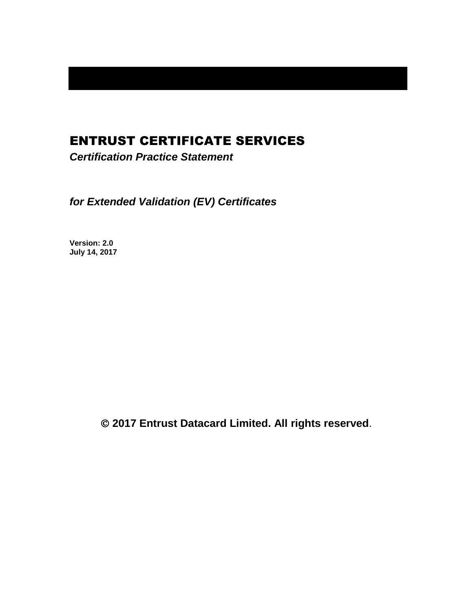# ENTRUST CERTIFICATE SERVICES

*Certification Practice Statement*

*for Extended Validation (EV) Certificates*

**Version: 2.0 July 14, 2017**

**2017 Entrust Datacard Limited. All rights reserved**.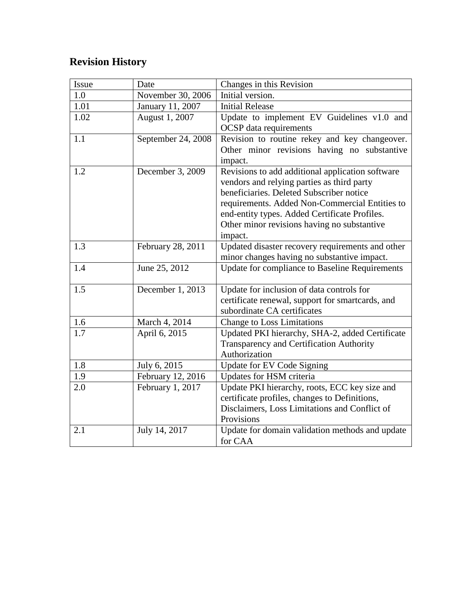# **Revision History**

| Issue | Date               | Changes in this Revision                                                                                                                                                                                                                                                                                |
|-------|--------------------|---------------------------------------------------------------------------------------------------------------------------------------------------------------------------------------------------------------------------------------------------------------------------------------------------------|
| 1.0   | November 30, 2006  | Initial version.                                                                                                                                                                                                                                                                                        |
| 1.01  | January 11, 2007   | <b>Initial Release</b>                                                                                                                                                                                                                                                                                  |
| 1.02  | August 1, 2007     | Update to implement EV Guidelines v1.0 and<br><b>OCSP</b> data requirements                                                                                                                                                                                                                             |
| 1.1   | September 24, 2008 | Revision to routine rekey and key changeover.<br>Other minor revisions having no substantive<br>impact.                                                                                                                                                                                                 |
| 1.2   | December 3, 2009   | Revisions to add additional application software<br>vendors and relying parties as third party<br>beneficiaries. Deleted Subscriber notice<br>requirements. Added Non-Commercial Entities to<br>end-entity types. Added Certificate Profiles.<br>Other minor revisions having no substantive<br>impact. |
| 1.3   | February 28, 2011  | Updated disaster recovery requirements and other<br>minor changes having no substantive impact.                                                                                                                                                                                                         |
| 1.4   | June 25, 2012      | Update for compliance to Baseline Requirements                                                                                                                                                                                                                                                          |
| 1.5   | December 1, 2013   | Update for inclusion of data controls for<br>certificate renewal, support for smartcards, and<br>subordinate CA certificates                                                                                                                                                                            |
| 1.6   | March 4, 2014      | Change to Loss Limitations                                                                                                                                                                                                                                                                              |
| 1.7   | April 6, 2015      | Updated PKI hierarchy, SHA-2, added Certificate<br>Transparency and Certification Authority<br>Authorization                                                                                                                                                                                            |
| 1.8   | July 6, 2015       | Update for EV Code Signing                                                                                                                                                                                                                                                                              |
| 1.9   | February 12, 2016  | Updates for HSM criteria                                                                                                                                                                                                                                                                                |
| 2.0   | February 1, 2017   | Update PKI hierarchy, roots, ECC key size and<br>certificate profiles, changes to Definitions,<br>Disclaimers, Loss Limitations and Conflict of<br>Provisions                                                                                                                                           |
| 2.1   | July 14, 2017      | Update for domain validation methods and update<br>for CAA                                                                                                                                                                                                                                              |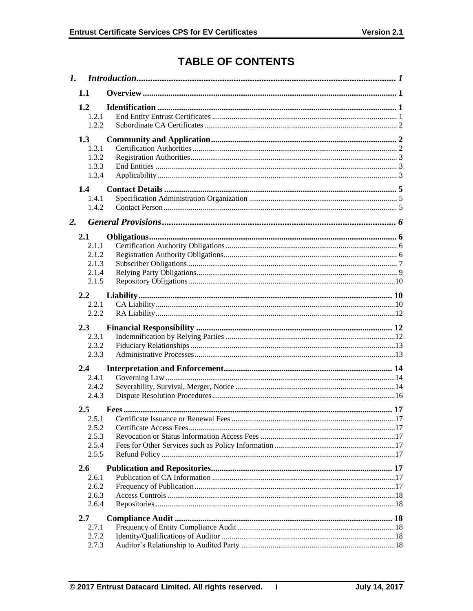# **TABLE OF CONTENTS**

| 1. |                                                   | Introduction 1 |  |  |
|----|---------------------------------------------------|----------------|--|--|
|    | 1.1                                               |                |  |  |
|    | 1.2<br>1.2.1<br>122                               |                |  |  |
|    | 1.3<br>1.3.1<br>1.3.2<br>1.3.3<br>1.3.4           |                |  |  |
| 2. | 1.4<br>1.4.1<br>1.4.2                             |                |  |  |
|    | 2.1<br>2.1.1<br>2.1.2<br>2.1.3<br>2.1.4<br>2.1.5  |                |  |  |
|    | $2.2^{\circ}$<br>2.2.1<br>2.2.2                   |                |  |  |
|    | 2.3<br>2.3.1<br>2.3.2<br>2.3.3                    |                |  |  |
|    | $2.4^{\circ}$<br>2.4.1<br>2.4.2<br>2.4.3          |                |  |  |
|    | $2.5^{\circ}$<br>2.5.2<br>2.5.3<br>2.5.4<br>2.5.5 |                |  |  |
|    | <b>2.6</b><br>2.6.1<br>2.6.2<br>2.6.3<br>2.6.4    |                |  |  |
|    | 2.7<br>2.7.1<br>2.7.2<br>2.7.3                    |                |  |  |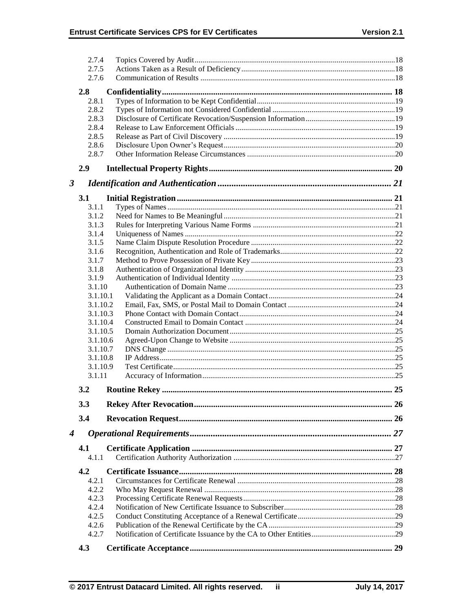|                  | 2.7.4          |  |
|------------------|----------------|--|
|                  | 2.7.5          |  |
|                  | 2.7.6          |  |
|                  |                |  |
|                  | 2.8            |  |
|                  | 2.8.1          |  |
|                  | 2.8.2          |  |
|                  | 2.8.3          |  |
|                  | 2.8.4<br>2.8.5 |  |
|                  | 2.8.6          |  |
|                  | 2.8.7          |  |
|                  | 2.9            |  |
| 3                |                |  |
|                  |                |  |
|                  | 3.1            |  |
|                  | 3.1.1<br>3.1.2 |  |
|                  | 3.1.3          |  |
|                  | 3.1.4          |  |
|                  | 3.1.5          |  |
|                  | 3.1.6          |  |
|                  | 3.1.7          |  |
|                  | 3.1.8          |  |
|                  | 3.1.9          |  |
|                  | 3.1.10         |  |
|                  | 3.1.10.1       |  |
|                  | 3.1.10.2       |  |
|                  | 3.1.10.3       |  |
|                  | 3.1.10.4       |  |
|                  | 3.1.10.5       |  |
|                  | 3.1.10.6       |  |
|                  | 3.1.10.7       |  |
|                  | 3.1.10.8       |  |
|                  | 3.1.10.9       |  |
|                  | 3.1.11         |  |
|                  | 3.2            |  |
|                  | 3.3            |  |
|                  | 3.4            |  |
| $\boldsymbol{4}$ |                |  |
|                  | 4.1            |  |
|                  | 4.1.1          |  |
|                  | 4.2            |  |
|                  | 4.2.1          |  |
|                  | 4.2.2          |  |
|                  | 4.2.3          |  |
|                  | 4.2.4          |  |
|                  | 4.2.5          |  |
|                  | 4.2.6          |  |
|                  | 4.2.7          |  |
|                  | 4.3            |  |
|                  |                |  |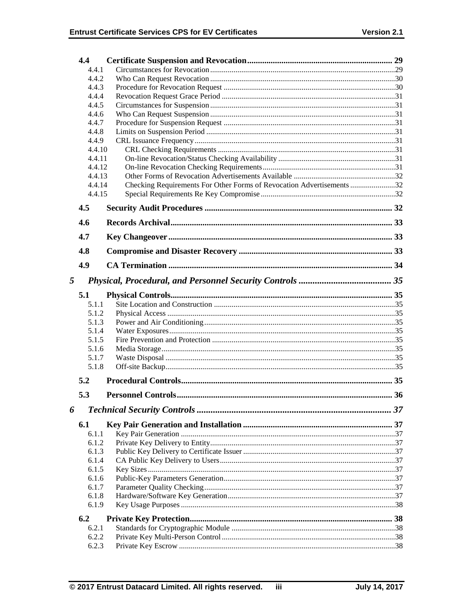|       | 4.4            |                                                                       |  |
|-------|----------------|-----------------------------------------------------------------------|--|
|       | 4.4.1          |                                                                       |  |
|       | 4.4.2          |                                                                       |  |
|       | 4.4.3          |                                                                       |  |
|       | 4.4.4          |                                                                       |  |
| 4.4.5 |                |                                                                       |  |
|       | 4.4.6          |                                                                       |  |
| 4.4.7 |                |                                                                       |  |
|       | 4.4.8<br>4.4.9 |                                                                       |  |
|       | 4.4.10         |                                                                       |  |
|       | 4.4.11         |                                                                       |  |
|       | 4.4.12         |                                                                       |  |
|       | 4.4.13         |                                                                       |  |
|       | 4.4.14         | Checking Requirements For Other Forms of Revocation Advertisements 32 |  |
|       | 4.4.15         |                                                                       |  |
|       | 4.5            |                                                                       |  |
|       | 4.6            |                                                                       |  |
|       | 4.7            |                                                                       |  |
|       | 4.8            |                                                                       |  |
|       | 4.9            |                                                                       |  |
|       |                |                                                                       |  |
| 5     |                |                                                                       |  |
|       | 5.1            |                                                                       |  |
|       | 5.1.1          |                                                                       |  |
|       | 5.1.2          |                                                                       |  |
|       | 5.1.3          |                                                                       |  |
|       | 5.1.4          |                                                                       |  |
|       | 5.1.5<br>5.1.6 |                                                                       |  |
|       | 5.1.7          |                                                                       |  |
|       | 5.1.8          |                                                                       |  |
|       | 5.2            |                                                                       |  |
|       |                |                                                                       |  |
|       | 5.3            |                                                                       |  |
| 6     |                |                                                                       |  |
|       | 6.1            |                                                                       |  |
|       | 6.1.1          |                                                                       |  |
|       | 6.1.2          |                                                                       |  |
|       | 6.1.3          |                                                                       |  |
|       | 6.1.4          |                                                                       |  |
|       | 6.1.5          |                                                                       |  |
|       | 6.1.6          |                                                                       |  |
|       | 6.1.7<br>6.1.8 |                                                                       |  |
|       | 6.1.9          |                                                                       |  |
|       |                |                                                                       |  |
|       | 6.2            |                                                                       |  |
|       | 6.2.1          |                                                                       |  |
|       | 6.2.2          |                                                                       |  |
|       | 6.2.3          |                                                                       |  |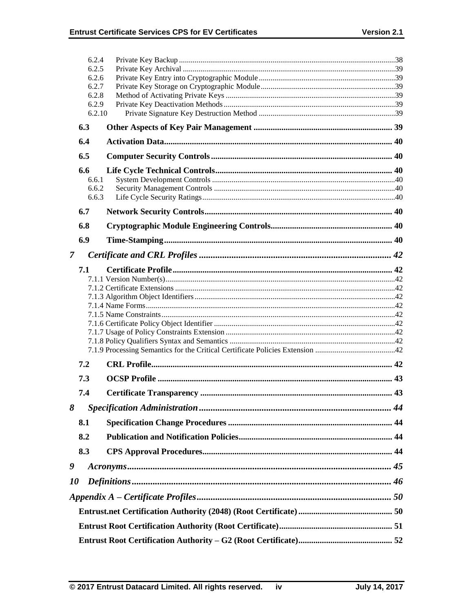|                | 6.2.4<br>6.2.5  |  |  |  |  |
|----------------|-----------------|--|--|--|--|
|                | 6.2.6           |  |  |  |  |
|                | 6.2.7           |  |  |  |  |
|                | 6.2.8           |  |  |  |  |
|                | 6.2.9<br>6.2.10 |  |  |  |  |
|                | 6.3             |  |  |  |  |
|                | 6.4             |  |  |  |  |
|                | 6.5             |  |  |  |  |
|                |                 |  |  |  |  |
|                | 6.6<br>6.6.1    |  |  |  |  |
|                | 6.6.2           |  |  |  |  |
|                | 6.6.3           |  |  |  |  |
|                | 6.7             |  |  |  |  |
|                | 6.8             |  |  |  |  |
|                | 6.9             |  |  |  |  |
| $\overline{7}$ |                 |  |  |  |  |
|                | 7.1             |  |  |  |  |
|                |                 |  |  |  |  |
|                |                 |  |  |  |  |
|                |                 |  |  |  |  |
|                |                 |  |  |  |  |
|                |                 |  |  |  |  |
|                |                 |  |  |  |  |
|                |                 |  |  |  |  |
|                | 7.2             |  |  |  |  |
|                | 7.3             |  |  |  |  |
|                | 7.4             |  |  |  |  |
| 8              |                 |  |  |  |  |
|                | 8.1             |  |  |  |  |
|                | 8.2             |  |  |  |  |
|                | 8.3             |  |  |  |  |
|                |                 |  |  |  |  |
| 9              |                 |  |  |  |  |
|                | <i>10</i>       |  |  |  |  |
|                |                 |  |  |  |  |
|                |                 |  |  |  |  |
|                |                 |  |  |  |  |
|                |                 |  |  |  |  |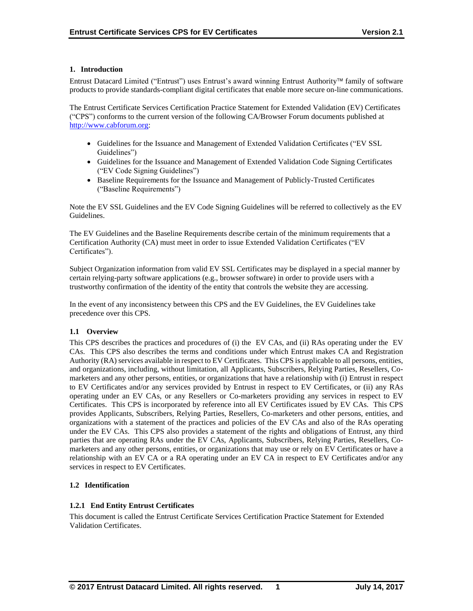### **1. Introduction**

Entrust Datacard Limited ("Entrust") uses Entrust's award winning Entrust Authority family of software products to provide standards-compliant digital certificates that enable more secure on-line communications.

The Entrust Certificate Services Certification Practice Statement for Extended Validation (EV) Certificates ("CPS") conforms to the current version of the following CA/Browser Forum documents published at [http://www.cabforum.org:](http://www.cabforum.org/)

- Guidelines for the Issuance and Management of Extended Validation Certificates ("EV SSL" Guidelines")
- Guidelines for the Issuance and Management of Extended Validation Code Signing Certificates ("EV Code Signing Guidelines")
- Baseline Requirements for the Issuance and Management of Publicly-Trusted Certificates ("Baseline Requirements")

Note the EV SSL Guidelines and the EV Code Signing Guidelines will be referred to collectively as the EV Guidelines.

The EV Guidelines and the Baseline Requirements describe certain of the minimum requirements that a Certification Authority (CA) must meet in order to issue Extended Validation Certificates ("EV Certificates").

Subject Organization information from valid EV SSL Certificates may be displayed in a special manner by certain relying-party software applications (e.g., browser software) in order to provide users with a trustworthy confirmation of the identity of the entity that controls the website they are accessing.

In the event of any inconsistency between this CPS and the EV Guidelines, the EV Guidelines take precedence over this CPS.

### **1.1 Overview**

This CPS describes the practices and procedures of (i) the EV CAs, and (ii) RAs operating under the EV CAs. This CPS also describes the terms and conditions under which Entrust makes CA and Registration Authority (RA) services available in respect to EV Certificates. This CPS is applicable to all persons, entities, and organizations, including, without limitation, all Applicants, Subscribers, Relying Parties, Resellers, Comarketers and any other persons, entities, or organizations that have a relationship with (i) Entrust in respect to EV Certificates and/or any services provided by Entrust in respect to EV Certificates, or (ii) any RAs operating under an EV CAs, or any Resellers or Co-marketers providing any services in respect to EV Certificates. This CPS is incorporated by reference into all EV Certificates issued by EV CAs. This CPS provides Applicants, Subscribers, Relying Parties, Resellers, Co-marketers and other persons, entities, and organizations with a statement of the practices and policies of the EV CAs and also of the RAs operating under the EV CAs. This CPS also provides a statement of the rights and obligations of Entrust, any third parties that are operating RAs under the EV CAs, Applicants, Subscribers, Relying Parties, Resellers, Comarketers and any other persons, entities, or organizations that may use or rely on EV Certificates or have a relationship with an EV CA or a RA operating under an EV CA in respect to EV Certificates and/or any services in respect to EV Certificates.

### **1.2 Identification**

### **1.2.1 End Entity Entrust Certificates**

This document is called the Entrust Certificate Services Certification Practice Statement for Extended Validation Certificates.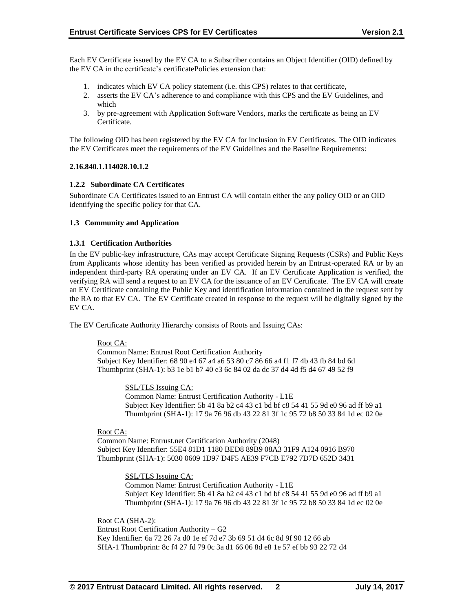Each EV Certificate issued by the EV CA to a Subscriber contains an Object Identifier (OID) defined by the EV CA in the certificate's certificatePolicies extension that:

- 1. indicates which EV CA policy statement (i.e. this CPS) relates to that certificate,
- 2. asserts the EV CA's adherence to and compliance with this CPS and the EV Guidelines, and which
- 3. by pre-agreement with Application Software Vendors, marks the certificate as being an EV Certificate.

The following OID has been registered by the EV CA for inclusion in EV Certificates. The OID indicates the EV Certificates meet the requirements of the EV Guidelines and the Baseline Requirements:

#### **2.16.840.1.114028.10.1.2**

### **1.2.2 Subordinate CA Certificates**

Subordinate CA Certificates issued to an Entrust CA will contain either the any policy OID or an OID identifying the specific policy for that CA.

### **1.3 Community and Application**

#### **1.3.1 Certification Authorities**

In the EV public-key infrastructure, CAs may accept Certificate Signing Requests (CSRs) and Public Keys from Applicants whose identity has been verified as provided herein by an Entrust-operated RA or by an independent third-party RA operating under an EV CA. If an EV Certificate Application is verified, the verifying RA will send a request to an EV CA for the issuance of an EV Certificate. The EV CA will create an EV Certificate containing the Public Key and identification information contained in the request sent by the RA to that EV CA. The EV Certificate created in response to the request will be digitally signed by the EV CA.

The EV Certificate Authority Hierarchy consists of Roots and Issuing CAs:

#### Root CA:

Common Name: Entrust Root Certification Authority Subject Key Identifier: 68 90 e4 67 a4 a6 53 80 c7 86 66 a4 f1 f7 4b 43 fb 84 bd 6d Thumbprint (SHA-1): b3 1e b1 b7 40 e3 6c 84 02 da dc 37 d4 4d f5 d4 67 49 52 f9

> SSL/TLS Issuing CA: Common Name: Entrust Certification Authority - L1E Subject Key Identifier: 5b 41 8a b2 c4 43 c1 bd bf c8 54 41 55 9d e0 96 ad ff b9 a1 Thumbprint (SHA-1): 17 9a 76 96 db 43 22 81 3f 1c 95 72 b8 50 33 84 1d ec 02 0e

#### Root CA:

Common Name: Entrust.net Certification Authority (2048) Subject Key Identifier: 55E4 81D1 1180 BED8 89B9 08A3 31F9 A124 0916 B970 Thumbprint (SHA-1): 5030 0609 1D97 D4F5 AE39 F7CB E792 7D7D 652D 3431

SSL/TLS Issuing CA:

Common Name: Entrust Certification Authority - L1E Subject Key Identifier: 5b 41 8a b2 c4 43 c1 bd bf c8 54 41 55 9d e0 96 ad ff b9 a1 Thumbprint (SHA-1): 17 9a 76 96 db 43 22 81 3f 1c 95 72 b8 50 33 84 1d ec 02 0e

Root CA (SHA-2): Entrust Root Certification Authority – G2 Key Identifier: 6a 72 26 7a d0 1e ef 7d e7 3b 69 51 d4 6c 8d 9f 90 12 66 ab SHA-1 Thumbprint: 8c f4 27 fd 79 0c 3a d1 66 06 8d e8 1e 57 ef bb 93 22 72 d4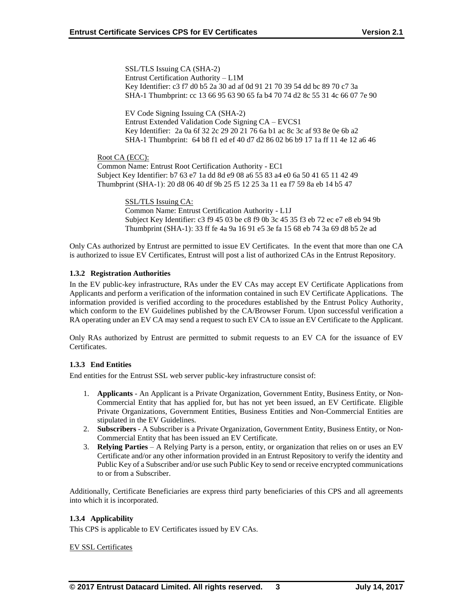SSL/TLS Issuing CA (SHA-2) Entrust Certification Authority – L1M Key Identifier: c3 f7 d0 b5 2a 30 ad af 0d 91 21 70 39 54 dd bc 89 70 c7 3a SHA-1 Thumbprint: cc 13 66 95 63 90 65 fa b4 70 74 d2 8c 55 31 4c 66 07 7e 90

EV Code Signing Issuing CA (SHA-2) Entrust Extended Validation Code Signing CA – EVCS1 Key Identifier: 2a 0a 6f 32 2c 29 20 21 76 6a b1 ac 8c 3c af 93 8e 0e 6b a2 SHA-1 Thumbprint: 64 b8 f1 ed ef 40 d7 d2 86 02 b6 b9 17 1a ff 11 4e 12 a6 46

Root CA (ECC):

Common Name: Entrust Root Certification Authority - EC1 Subject Key Identifier: b7 63 e7 1a dd 8d e9 08 a6 55 83 a4 e0 6a 50 41 65 11 42 49 Thumbprint (SHA-1): 20 d8 06 40 df 9b 25 f5 12 25 3a 11 ea f7 59 8a eb 14 b5 47

> SSL/TLS Issuing CA: Common Name: Entrust Certification Authority - L1J Subject Key Identifier: c3 f9 45 03 be c8 f9 0b 3c 45 35 f3 eb 72 ec e7 e8 eb 94 9b Thumbprint (SHA-1): 33 ff fe 4a 9a 16 91 e5 3e fa 15 68 eb 74 3a 69 d8 b5 2e ad

Only CAs authorized by Entrust are permitted to issue EV Certificates. In the event that more than one CA is authorized to issue EV Certificates, Entrust will post a list of authorized CAs in the Entrust Repository.

### **1.3.2 Registration Authorities**

In the EV public-key infrastructure, RAs under the EV CAs may accept EV Certificate Applications from Applicants and perform a verification of the information contained in such EV Certificate Applications. The information provided is verified according to the procedures established by the Entrust Policy Authority, which conform to the EV Guidelines published by the CA/Browser Forum. Upon successful verification a RA operating under an EV CA may send a request to such EV CA to issue an EV Certificate to the Applicant.

Only RAs authorized by Entrust are permitted to submit requests to an EV CA for the issuance of EV Certificates.

### **1.3.3 End Entities**

End entities for the Entrust SSL web server public-key infrastructure consist of:

- 1. **Applicants** An Applicant is a Private Organization, Government Entity, Business Entity, or Non-Commercial Entity that has applied for, but has not yet been issued, an EV Certificate. Eligible Private Organizations, Government Entities, Business Entities and Non-Commercial Entities are stipulated in the EV Guidelines.
- 2. **Subscribers**  A Subscriber is a Private Organization, Government Entity, Business Entity, or Non-Commercial Entity that has been issued an EV Certificate.
- 3. **Relying Parties**  A Relying Party is a person, entity, or organization that relies on or uses an EV Certificate and/or any other information provided in an Entrust Repository to verify the identity and Public Key of a Subscriber and/or use such Public Key to send or receive encrypted communications to or from a Subscriber.

Additionally, Certificate Beneficiaries are express third party beneficiaries of this CPS and all agreements into which it is incorporated.

#### **1.3.4 Applicability**

This CPS is applicable to EV Certificates issued by EV CAs.

#### EV SSL Certificates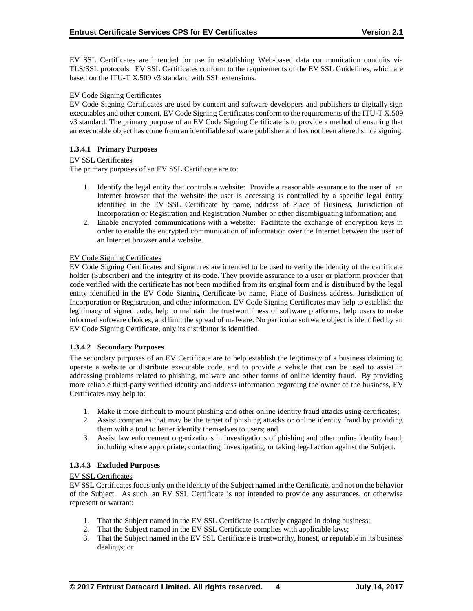EV SSL Certificates are intended for use in establishing Web-based data communication conduits via TLS/SSL protocols. EV SSL Certificates conform to the requirements of the EV SSL Guidelines, which are based on the ITU-T X.509 v3 standard with SSL extensions.

#### EV Code Signing Certificates

EV Code Signing Certificates are used by content and software developers and publishers to digitally sign executables and other content. EV Code Signing Certificates conform to the requirements of the ITU-T X.509 v3 standard. The primary purpose of an EV Code Signing Certificate is to provide a method of ensuring that an executable object has come from an identifiable software publisher and has not been altered since signing.

### **1.3.4.1 Primary Purposes**

### EV SSL Certificates

The primary purposes of an EV SSL Certificate are to:

- 1. Identify the legal entity that controls a website: Provide a reasonable assurance to the user of an Internet browser that the website the user is accessing is controlled by a specific legal entity identified in the EV SSL Certificate by name, address of Place of Business, Jurisdiction of Incorporation or Registration and Registration Number or other disambiguating information; and
- 2. Enable encrypted communications with a website: Facilitate the exchange of encryption keys in order to enable the encrypted communication of information over the Internet between the user of an Internet browser and a website.

#### EV Code Signing Certificates

EV Code Signing Certificates and signatures are intended to be used to verify the identity of the certificate holder (Subscriber) and the integrity of its code. They provide assurance to a user or platform provider that code verified with the certificate has not been modified from its original form and is distributed by the legal entity identified in the EV Code Signing Certificate by name, Place of Business address, Jurisdiction of Incorporation or Registration, and other information. EV Code Signing Certificates may help to establish the legitimacy of signed code, help to maintain the trustworthiness of software platforms, help users to make informed software choices, and limit the spread of malware. No particular software object is identified by an EV Code Signing Certificate, only its distributor is identified.

#### **1.3.4.2 Secondary Purposes**

The secondary purposes of an EV Certificate are to help establish the legitimacy of a business claiming to operate a website or distribute executable code, and to provide a vehicle that can be used to assist in addressing problems related to phishing, malware and other forms of online identity fraud. By providing more reliable third-party verified identity and address information regarding the owner of the business, EV Certificates may help to:

- 1. Make it more difficult to mount phishing and other online identity fraud attacks using certificates;
- 2. Assist companies that may be the target of phishing attacks or online identity fraud by providing them with a tool to better identify themselves to users; and
- 3. Assist law enforcement organizations in investigations of phishing and other online identity fraud, including where appropriate, contacting, investigating, or taking legal action against the Subject.

### **1.3.4.3 Excluded Purposes**

#### EV SSL Certificates

EV SSL Certificates focus only on the identity of the Subject named in the Certificate, and not on the behavior of the Subject. As such, an EV SSL Certificate is not intended to provide any assurances, or otherwise represent or warrant:

- 1. That the Subject named in the EV SSL Certificate is actively engaged in doing business;
- 2. That the Subject named in the EV SSL Certificate complies with applicable laws;
- 3. That the Subject named in the EV SSL Certificate is trustworthy, honest, or reputable in its business dealings; or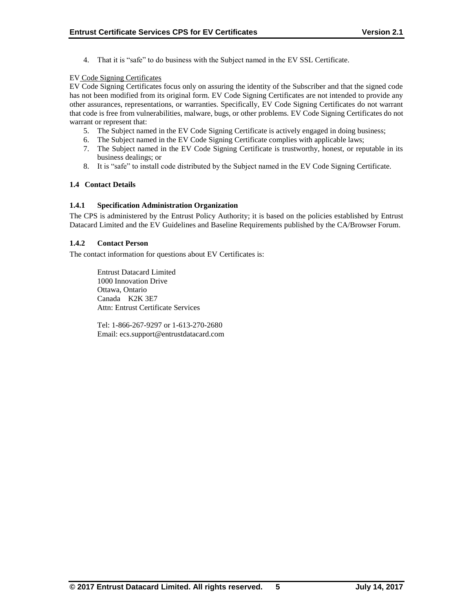4. That it is "safe" to do business with the Subject named in the EV SSL Certificate.

### EV Code Signing Certificates

EV Code Signing Certificates focus only on assuring the identity of the Subscriber and that the signed code has not been modified from its original form. EV Code Signing Certificates are not intended to provide any other assurances, representations, or warranties. Specifically, EV Code Signing Certificates do not warrant that code is free from vulnerabilities, malware, bugs, or other problems. EV Code Signing Certificates do not warrant or represent that:

- 5. The Subject named in the EV Code Signing Certificate is actively engaged in doing business;
- 6. The Subject named in the EV Code Signing Certificate complies with applicable laws;
- 7. The Subject named in the EV Code Signing Certificate is trustworthy, honest, or reputable in its business dealings; or
- 8. It is "safe" to install code distributed by the Subject named in the EV Code Signing Certificate.

### **1.4 Contact Details**

### **1.4.1 Specification Administration Organization**

The CPS is administered by the Entrust Policy Authority; it is based on the policies established by Entrust Datacard Limited and the EV Guidelines and Baseline Requirements published by the CA/Browser Forum.

### **1.4.2 Contact Person**

The contact information for questions about EV Certificates is:

Entrust Datacard Limited 1000 Innovation Drive Ottawa, Ontario Canada K2K 3E7 Attn: Entrust Certificate Services

Tel: 1-866-267-9297 or 1-613-270-2680 Email: ecs.support@entrustdatacard.com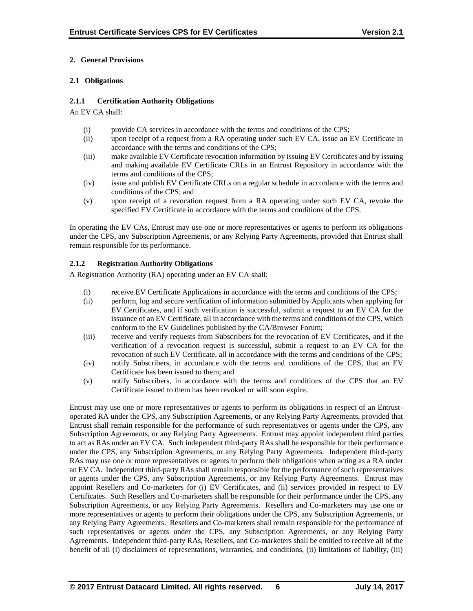### **2. General Provisions**

### **2.1 Obligations**

### **2.1.1 Certification Authority Obligations**

An EV CA shall:

- (i) provide CA services in accordance with the terms and conditions of the CPS;
- (ii) upon receipt of a request from a RA operating under such EV CA, issue an EV Certificate in accordance with the terms and conditions of the CPS;
- (iii) make available EV Certificate revocation information by issuing EV Certificates and by issuing and making available EV Certificate CRLs in an Entrust Repository in accordance with the terms and conditions of the CPS;
- (iv) issue and publish EV Certificate CRLs on a regular schedule in accordance with the terms and conditions of the CPS; and
- (v) upon receipt of a revocation request from a RA operating under such EV CA, revoke the specified EV Certificate in accordance with the terms and conditions of the CPS.

In operating the EV CAs, Entrust may use one or more representatives or agents to perform its obligations under the CPS, any Subscription Agreements, or any Relying Party Agreements, provided that Entrust shall remain responsible for its performance.

### **2.1.2 Registration Authority Obligations**

A Registration Authority (RA) operating under an EV CA shall:

- (i) receive EV Certificate Applications in accordance with the terms and conditions of the CPS;
- (ii) perform, log and secure verification of information submitted by Applicants when applying for EV Certificates, and if such verification is successful, submit a request to an EV CA for the issuance of an EV Certificate, all in accordance with the terms and conditions of the CPS, which conform to the EV Guidelines published by the CA/Browser Forum;
- (iii) receive and verify requests from Subscribers for the revocation of EV Certificates, and if the verification of a revocation request is successful, submit a request to an EV CA for the revocation of such EV Certificate, all in accordance with the terms and conditions of the CPS;
- (iv) notify Subscribers, in accordance with the terms and conditions of the CPS, that an EV Certificate has been issued to them; and
- (v) notify Subscribers, in accordance with the terms and conditions of the CPS that an EV Certificate issued to them has been revoked or will soon expire.

Entrust may use one or more representatives or agents to perform its obligations in respect of an Entrustoperated RA under the CPS, any Subscription Agreements, or any Relying Party Agreements, provided that Entrust shall remain responsible for the performance of such representatives or agents under the CPS, any Subscription Agreements, or any Relying Party Agreements. Entrust may appoint independent third parties to act as RAs under an EV CA. Such independent third-party RAs shall be responsible for their performance under the CPS, any Subscription Agreements, or any Relying Party Agreements. Independent third-party RAs may use one or more representatives or agents to perform their obligations when acting as a RA under an EV CA. Independent third-party RAs shall remain responsible for the performance of such representatives or agents under the CPS, any Subscription Agreements, or any Relying Party Agreements. Entrust may appoint Resellers and Co-marketers for (i) EV Certificates, and (ii) services provided in respect to EV Certificates. Such Resellers and Co-marketers shall be responsible for their performance under the CPS, any Subscription Agreements, or any Relying Party Agreements. Resellers and Co-marketers may use one or more representatives or agents to perform their obligations under the CPS, any Subscription Agreements, or any Relying Party Agreements. Resellers and Co-marketers shall remain responsible for the performance of such representatives or agents under the CPS, any Subscription Agreements, or any Relying Party Agreements. Independent third-party RAs, Resellers, and Co-marketers shall be entitled to receive all of the benefit of all (i) disclaimers of representations, warranties, and conditions, (ii) limitations of liability, (iii)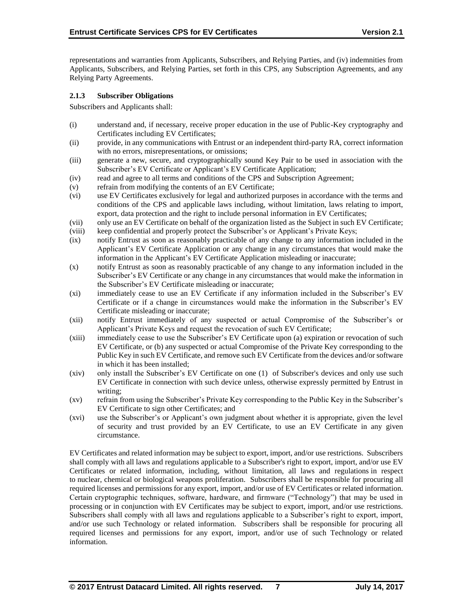representations and warranties from Applicants, Subscribers, and Relying Parties, and (iv) indemnities from Applicants, Subscribers, and Relying Parties, set forth in this CPS, any Subscription Agreements, and any Relying Party Agreements.

### **2.1.3 Subscriber Obligations**

Subscribers and Applicants shall:

- (i) understand and, if necessary, receive proper education in the use of Public-Key cryptography and Certificates including EV Certificates;
- (ii) provide, in any communications with Entrust or an independent third-party RA, correct information with no errors, misrepresentations, or omissions;
- (iii) generate a new, secure, and cryptographically sound Key Pair to be used in association with the Subscriber's EV Certificate or Applicant's EV Certificate Application;
- (iv) read and agree to all terms and conditions of the CPS and Subscription Agreement;
- (v) refrain from modifying the contents of an EV Certificate;
- (vi) use EV Certificates exclusively for legal and authorized purposes in accordance with the terms and conditions of the CPS and applicable laws including, without limitation, laws relating to import, export, data protection and the right to include personal information in EV Certificates;
- (vii) only use an EV Certificate on behalf of the organization listed as the Subject in such EV Certificate;
- (viii) keep confidential and properly protect the Subscriber's or Applicant's Private Keys;
- (ix) notify Entrust as soon as reasonably practicable of any change to any information included in the Applicant's EV Certificate Application or any change in any circumstances that would make the information in the Applicant's EV Certificate Application misleading or inaccurate;
- (x) notify Entrust as soon as reasonably practicable of any change to any information included in the Subscriber's EV Certificate or any change in any circumstances that would make the information in the Subscriber's EV Certificate misleading or inaccurate;
- (xi) immediately cease to use an EV Certificate if any information included in the Subscriber's EV Certificate or if a change in circumstances would make the information in the Subscriber's EV Certificate misleading or inaccurate;
- (xii) notify Entrust immediately of any suspected or actual Compromise of the Subscriber's or Applicant's Private Keys and request the revocation of such EV Certificate;
- (xiii) immediately cease to use the Subscriber's EV Certificate upon (a) expiration or revocation of such EV Certificate, or (b) any suspected or actual Compromise of the Private Key corresponding to the Public Key in such EV Certificate, and remove such EV Certificate from the devices and/or software in which it has been installed;
- (xiv) only install the Subscriber's EV Certificate on one (1) of Subscriber's devices and only use such EV Certificate in connection with such device unless, otherwise expressly permitted by Entrust in writing;
- (xv) refrain from using the Subscriber's Private Key corresponding to the Public Key in the Subscriber's EV Certificate to sign other Certificates; and
- (xvi) use the Subscriber's or Applicant's own judgment about whether it is appropriate, given the level of security and trust provided by an EV Certificate, to use an EV Certificate in any given circumstance.

EV Certificates and related information may be subject to export, import, and/or use restrictions. Subscribers shall comply with all laws and regulations applicable to a Subscriber's right to export, import, and/or use EV Certificates or related information, including, without limitation, all laws and regulations in respect to nuclear, chemical or biological weapons proliferation. Subscribers shall be responsible for procuring all required licenses and permissions for any export, import, and/or use of EV Certificates or related information. Certain cryptographic techniques, software, hardware, and firmware ("Technology") that may be used in processing or in conjunction with EV Certificates may be subject to export, import, and/or use restrictions. Subscribers shall comply with all laws and regulations applicable to a Subscriber's right to export, import, and/or use such Technology or related information. Subscribers shall be responsible for procuring all required licenses and permissions for any export, import, and/or use of such Technology or related information.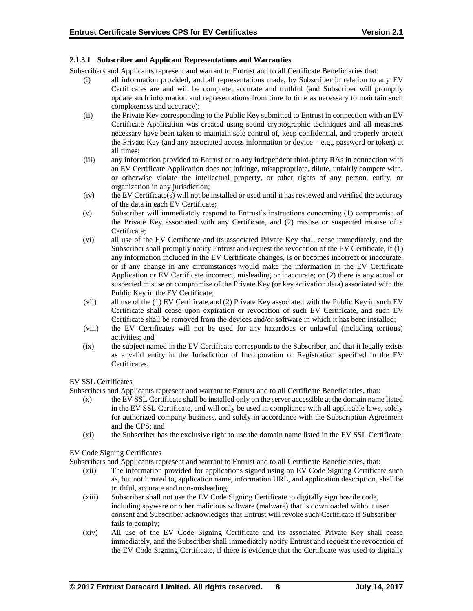### **2.1.3.1 Subscriber and Applicant Representations and Warranties**

Subscribers and Applicants represent and warrant to Entrust and to all Certificate Beneficiaries that:

- (i) all information provided, and all representations made, by Subscriber in relation to any EV Certificates are and will be complete, accurate and truthful (and Subscriber will promptly update such information and representations from time to time as necessary to maintain such completeness and accuracy);
- (ii) the Private Key corresponding to the Public Key submitted to Entrust in connection with an EV Certificate Application was created using sound cryptographic techniques and all measures necessary have been taken to maintain sole control of, keep confidential, and properly protect the Private Key (and any associated access information or device  $-e.g.,$  password or token) at all times;
- (iii) any information provided to Entrust or to any independent third-party RAs in connection with an EV Certificate Application does not infringe, misappropriate, dilute, unfairly compete with, or otherwise violate the intellectual property, or other rights of any person, entity, or organization in any jurisdiction;
- (iv) the EV Certificate(s) will not be installed or used until it has reviewed and verified the accuracy of the data in each EV Certificate;
- (v) Subscriber will immediately respond to Entrust's instructions concerning (1) compromise of the Private Key associated with any Certificate, and (2) misuse or suspected misuse of a Certificate;
- (vi) all use of the EV Certificate and its associated Private Key shall cease immediately, and the Subscriber shall promptly notify Entrust and request the revocation of the EV Certificate, if (1) any information included in the EV Certificate changes, is or becomes incorrect or inaccurate, or if any change in any circumstances would make the information in the EV Certificate Application or EV Certificate incorrect, misleading or inaccurate; or (2) there is any actual or suspected misuse or compromise of the Private Key (or key activation data) associated with the Public Key in the EV Certificate;
- (vii) all use of the (1) EV Certificate and (2) Private Key associated with the Public Key in such EV Certificate shall cease upon expiration or revocation of such EV Certificate, and such EV Certificate shall be removed from the devices and/or software in which it has been installed;
- (viii) the EV Certificates will not be used for any hazardous or unlawful (including tortious) activities; and
- (ix) the subject named in the EV Certificate corresponds to the Subscriber, and that it legally exists as a valid entity in the Jurisdiction of Incorporation or Registration specified in the EV Certificates;

### EV SSL Certificates

Subscribers and Applicants represent and warrant to Entrust and to all Certificate Beneficiaries, that:

- (x) the EV SSL Certificate shall be installed only on the server accessible at the domain name listed in the EV SSL Certificate, and will only be used in compliance with all applicable laws, solely for authorized company business, and solely in accordance with the Subscription Agreement and the CPS; and
- (xi) the Subscriber has the exclusive right to use the domain name listed in the EV SSL Certificate;

#### EV Code Signing Certificates

Subscribers and Applicants represent and warrant to Entrust and to all Certificate Beneficiaries, that:

- (xii) The information provided for applications signed using an EV Code Signing Certificate such as, but not limited to, application name, information URL, and application description, shall be truthful, accurate and non-misleading;
- (xiii) Subscriber shall not use the EV Code Signing Certificate to digitally sign hostile code, including spyware or other malicious software (malware) that is downloaded without user consent and Subscriber acknowledges that Entrust will revoke such Certificate if Subscriber fails to comply;
- (xiv) All use of the EV Code Signing Certificate and its associated Private Key shall cease immediately, and the Subscriber shall immediately notify Entrust and request the revocation of the EV Code Signing Certificate, if there is evidence that the Certificate was used to digitally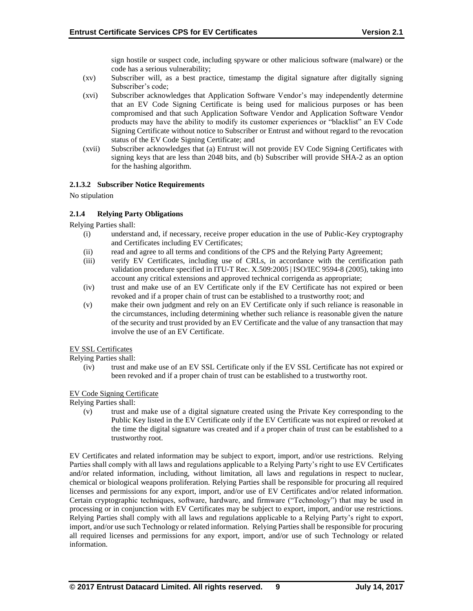sign hostile or suspect code, including spyware or other malicious software (malware) or the code has a serious vulnerability;

- (xv) Subscriber will, as a best practice, timestamp the digital signature after digitally signing Subscriber's code;
- (xvi) Subscriber acknowledges that Application Software Vendor's may independently determine that an EV Code Signing Certificate is being used for malicious purposes or has been compromised and that such Application Software Vendor and Application Software Vendor products may have the ability to modify its customer experiences or "blacklist" an EV Code Signing Certificate without notice to Subscriber or Entrust and without regard to the revocation status of the EV Code Signing Certificate; and
- (xvii) Subscriber acknowledges that (a) Entrust will not provide EV Code Signing Certificates with signing keys that are less than 2048 bits, and (b) Subscriber will provide SHA-2 as an option for the hashing algorithm.

### **2.1.3.2 Subscriber Notice Requirements**

No stipulation

### **2.1.4 Relying Party Obligations**

Relying Parties shall:

- (i) understand and, if necessary, receive proper education in the use of Public-Key cryptography and Certificates including EV Certificates;
- (ii) read and agree to all terms and conditions of the CPS and the Relying Party Agreement;
- (iii) verify EV Certificates, including use of CRLs, in accordance with the certification path validation procedure specified in ITU-T Rec. X.509:2005 | ISO/IEC 9594-8 (2005), taking into account any critical extensions and approved technical corrigenda as appropriate;
- (iv) trust and make use of an EV Certificate only if the EV Certificate has not expired or been revoked and if a proper chain of trust can be established to a trustworthy root; and
- (v) make their own judgment and rely on an EV Certificate only if such reliance is reasonable in the circumstances, including determining whether such reliance is reasonable given the nature of the security and trust provided by an EV Certificate and the value of any transaction that may involve the use of an EV Certificate.

### EV SSL Certificates

Relying Parties shall:

(iv) trust and make use of an EV SSL Certificate only if the EV SSL Certificate has not expired or been revoked and if a proper chain of trust can be established to a trustworthy root.

#### EV Code Signing Certificate

Relying Parties shall:

(v) trust and make use of a digital signature created using the Private Key corresponding to the Public Key listed in the EV Certificate only if the EV Certificate was not expired or revoked at the time the digital signature was created and if a proper chain of trust can be established to a trustworthy root.

EV Certificates and related information may be subject to export, import, and/or use restrictions. Relying Parties shall comply with all laws and regulations applicable to a Relying Party's right to use EV Certificates and/or related information, including, without limitation, all laws and regulations in respect to nuclear, chemical or biological weapons proliferation. Relying Parties shall be responsible for procuring all required licenses and permissions for any export, import, and/or use of EV Certificates and/or related information. Certain cryptographic techniques, software, hardware, and firmware ("Technology") that may be used in processing or in conjunction with EV Certificates may be subject to export, import, and/or use restrictions. Relying Parties shall comply with all laws and regulations applicable to a Relying Party's right to export, import, and/or use such Technology or related information. Relying Parties shall be responsible for procuring all required licenses and permissions for any export, import, and/or use of such Technology or related information.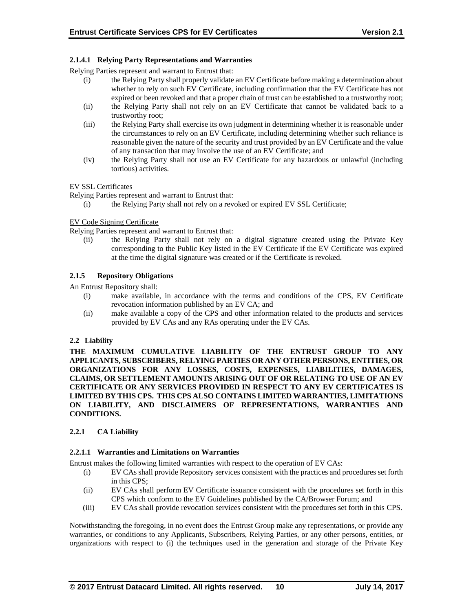### **2.1.4.1 Relying Party Representations and Warranties**

Relying Parties represent and warrant to Entrust that:

- (i) the Relying Party shall properly validate an EV Certificate before making a determination about whether to rely on such EV Certificate, including confirmation that the EV Certificate has not expired or been revoked and that a proper chain of trust can be established to a trustworthy root;
- (ii) the Relying Party shall not rely on an EV Certificate that cannot be validated back to a trustworthy root;
- (iii) the Relying Party shall exercise its own judgment in determining whether it is reasonable under the circumstances to rely on an EV Certificate, including determining whether such reliance is reasonable given the nature of the security and trust provided by an EV Certificate and the value of any transaction that may involve the use of an EV Certificate; and
- (iv) the Relying Party shall not use an EV Certificate for any hazardous or unlawful (including tortious) activities.

#### EV SSL Certificates

Relying Parties represent and warrant to Entrust that:

(i) the Relying Party shall not rely on a revoked or expired EV SSL Certificate;

### EV Code Signing Certificate

Relying Parties represent and warrant to Entrust that:

(ii) the Relying Party shall not rely on a digital signature created using the Private Key corresponding to the Public Key listed in the EV Certificate if the EV Certificate was expired at the time the digital signature was created or if the Certificate is revoked.

### **2.1.5 Repository Obligations**

An Entrust Repository shall:

- (i) make available, in accordance with the terms and conditions of the CPS, EV Certificate revocation information published by an EV CA; and
- (ii) make available a copy of the CPS and other information related to the products and services provided by EV CAs and any RAs operating under the EV CAs.

#### **2.2 Liability**

**THE MAXIMUM CUMULATIVE LIABILITY OF THE ENTRUST GROUP TO ANY APPLICANTS, SUBSCRIBERS, RELYING PARTIES OR ANY OTHER PERSONS, ENTITIES, OR ORGANIZATIONS FOR ANY LOSSES, COSTS, EXPENSES, LIABILITIES, DAMAGES, CLAIMS, OR SETTLEMENT AMOUNTS ARISING OUT OF OR RELATING TO USE OF AN EV CERTIFICATE OR ANY SERVICES PROVIDED IN RESPECT TO ANY EV CERTIFICATES IS LIMITED BY THIS CPS. THIS CPS ALSO CONTAINS LIMITED WARRANTIES, LIMITATIONS ON LIABILITY, AND DISCLAIMERS OF REPRESENTATIONS, WARRANTIES AND CONDITIONS.**

### **2.2.1 CA Liability**

#### **2.2.1.1 Warranties and Limitations on Warranties**

Entrust makes the following limited warranties with respect to the operation of EV CAs:

- (i) EV CAs shall provide Repository services consistent with the practices and procedures set forth in this CPS;
- (ii) EV CAs shall perform EV Certificate issuance consistent with the procedures set forth in this CPS which conform to the EV Guidelines published by the CA/Browser Forum; and
- (iii) EV CAs shall provide revocation services consistent with the procedures set forth in this CPS.

Notwithstanding the foregoing, in no event does the Entrust Group make any representations, or provide any warranties, or conditions to any Applicants, Subscribers, Relying Parties, or any other persons, entities, or organizations with respect to (i) the techniques used in the generation and storage of the Private Key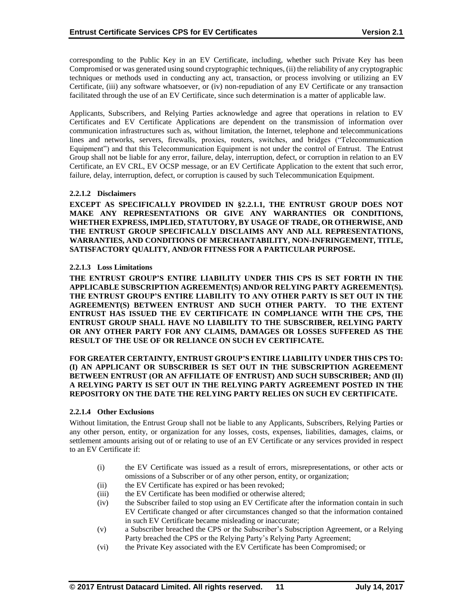corresponding to the Public Key in an EV Certificate, including, whether such Private Key has been Compromised or was generated using sound cryptographic techniques, (ii) the reliability of any cryptographic techniques or methods used in conducting any act, transaction, or process involving or utilizing an EV Certificate, (iii) any software whatsoever, or (iv) non-repudiation of any EV Certificate or any transaction facilitated through the use of an EV Certificate, since such determination is a matter of applicable law.

Applicants, Subscribers, and Relying Parties acknowledge and agree that operations in relation to EV Certificates and EV Certificate Applications are dependent on the transmission of information over communication infrastructures such as, without limitation, the Internet, telephone and telecommunications lines and networks, servers, firewalls, proxies, routers, switches, and bridges ("Telecommunication Equipment") and that this Telecommunication Equipment is not under the control of Entrust. The Entrust Group shall not be liable for any error, failure, delay, interruption, defect, or corruption in relation to an EV Certificate, an EV CRL, EV OCSP message, or an EV Certificate Application to the extent that such error, failure, delay, interruption, defect, or corruption is caused by such Telecommunication Equipment.

### **2.2.1.2 Disclaimers**

**EXCEPT AS SPECIFICALLY PROVIDED IN §2.2.1.1, THE ENTRUST GROUP DOES NOT MAKE ANY REPRESENTATIONS OR GIVE ANY WARRANTIES OR CONDITIONS, WHETHER EXPRESS, IMPLIED, STATUTORY, BY USAGE OF TRADE, OR OTHERWISE, AND THE ENTRUST GROUP SPECIFICALLY DISCLAIMS ANY AND ALL REPRESENTATIONS, WARRANTIES, AND CONDITIONS OF MERCHANTABILITY, NON-INFRINGEMENT, TITLE, SATISFACTORY QUALITY, AND/OR FITNESS FOR A PARTICULAR PURPOSE.**

#### **2.2.1.3 Loss Limitations**

**THE ENTRUST GROUP'S ENTIRE LIABILITY UNDER THIS CPS IS SET FORTH IN THE APPLICABLE SUBSCRIPTION AGREEMENT(S) AND/OR RELYING PARTY AGREEMENT(S). THE ENTRUST GROUP'S ENTIRE LIABILITY TO ANY OTHER PARTY IS SET OUT IN THE AGREEMENT(S) BETWEEN ENTRUST AND SUCH OTHER PARTY. TO THE EXTENT ENTRUST HAS ISSUED THE EV CERTIFICATE IN COMPLIANCE WITH THE CPS, THE ENTRUST GROUP SHALL HAVE NO LIABILITY TO THE SUBSCRIBER, RELYING PARTY OR ANY OTHER PARTY FOR ANY CLAIMS, DAMAGES OR LOSSES SUFFERED AS THE RESULT OF THE USE OF OR RELIANCE ON SUCH EV CERTIFICATE.**

#### **FOR GREATER CERTAINTY, ENTRUST GROUP'S ENTIRE LIABILITY UNDER THIS CPS TO: (I) AN APPLICANT OR SUBSCRIBER IS SET OUT IN THE SUBSCRIPTION AGREEMENT BETWEEN ENTRUST (OR AN AFFILIATE OF ENTRUST) AND SUCH SUBSCRIBER; AND (II) A RELYING PARTY IS SET OUT IN THE RELYING PARTY AGREEMENT POSTED IN THE REPOSITORY ON THE DATE THE RELYING PARTY RELIES ON SUCH EV CERTIFICATE.**

#### **2.2.1.4 Other Exclusions**

Without limitation, the Entrust Group shall not be liable to any Applicants, Subscribers, Relying Parties or any other person, entity, or organization for any losses, costs, expenses, liabilities, damages, claims, or settlement amounts arising out of or relating to use of an EV Certificate or any services provided in respect to an EV Certificate if:

- (i) the EV Certificate was issued as a result of errors, misrepresentations, or other acts or omissions of a Subscriber or of any other person, entity, or organization;
- (ii) the EV Certificate has expired or has been revoked;
- (iii) the EV Certificate has been modified or otherwise altered;
- (iv) the Subscriber failed to stop using an EV Certificate after the information contain in such EV Certificate changed or after circumstances changed so that the information contained in such EV Certificate became misleading or inaccurate;
- (v) a Subscriber breached the CPS or the Subscriber's Subscription Agreement, or a Relying Party breached the CPS or the Relying Party's Relying Party Agreement;
- (vi) the Private Key associated with the EV Certificate has been Compromised; or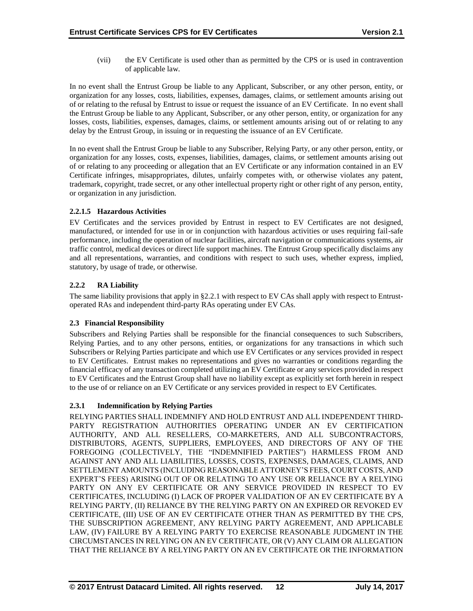(vii) the EV Certificate is used other than as permitted by the CPS or is used in contravention of applicable law.

In no event shall the Entrust Group be liable to any Applicant, Subscriber, or any other person, entity, or organization for any losses, costs, liabilities, expenses, damages, claims, or settlement amounts arising out of or relating to the refusal by Entrust to issue or request the issuance of an EV Certificate. In no event shall the Entrust Group be liable to any Applicant, Subscriber, or any other person, entity, or organization for any losses, costs, liabilities, expenses, damages, claims, or settlement amounts arising out of or relating to any delay by the Entrust Group, in issuing or in requesting the issuance of an EV Certificate.

In no event shall the Entrust Group be liable to any Subscriber, Relying Party, or any other person, entity, or organization for any losses, costs, expenses, liabilities, damages, claims, or settlement amounts arising out of or relating to any proceeding or allegation that an EV Certificate or any information contained in an EV Certificate infringes, misappropriates, dilutes, unfairly competes with, or otherwise violates any patent, trademark, copyright, trade secret, or any other intellectual property right or other right of any person, entity, or organization in any jurisdiction.

### **2.2.1.5 Hazardous Activities**

EV Certificates and the services provided by Entrust in respect to EV Certificates are not designed, manufactured, or intended for use in or in conjunction with hazardous activities or uses requiring fail-safe performance, including the operation of nuclear facilities, aircraft navigation or communications systems, air traffic control, medical devices or direct life support machines. The Entrust Group specifically disclaims any and all representations, warranties, and conditions with respect to such uses, whether express, implied, statutory, by usage of trade, or otherwise.

### **2.2.2 RA Liability**

The same liability provisions that apply in §2.2.1 with respect to EV CAs shall apply with respect to Entrustoperated RAs and independent third-party RAs operating under EV CAs.

### **2.3 Financial Responsibility**

Subscribers and Relying Parties shall be responsible for the financial consequences to such Subscribers, Relying Parties, and to any other persons, entities, or organizations for any transactions in which such Subscribers or Relying Parties participate and which use EV Certificates or any services provided in respect to EV Certificates. Entrust makes no representations and gives no warranties or conditions regarding the financial efficacy of any transaction completed utilizing an EV Certificate or any services provided in respect to EV Certificates and the Entrust Group shall have no liability except as explicitly set forth herein in respect to the use of or reliance on an EV Certificate or any services provided in respect to EV Certificates.

### **2.3.1 Indemnification by Relying Parties**

RELYING PARTIES SHALL INDEMNIFY AND HOLD ENTRUST AND ALL INDEPENDENT THIRD-PARTY REGISTRATION AUTHORITIES OPERATING UNDER AN EV CERTIFICATION AUTHORITY, AND ALL RESELLERS, CO-MARKETERS, AND ALL SUBCONTRACTORS, DISTRIBUTORS, AGENTS, SUPPLIERS, EMPLOYEES, AND DIRECTORS OF ANY OF THE FOREGOING (COLLECTIVELY, THE "INDEMNIFIED PARTIES") HARMLESS FROM AND AGAINST ANY AND ALL LIABILITIES, LOSSES, COSTS, EXPENSES, DAMAGES, CLAIMS, AND SETTLEMENT AMOUNTS (INCLUDING REASONABLE ATTORNEY'S FEES, COURT COSTS, AND EXPERT'S FEES) ARISING OUT OF OR RELATING TO ANY USE OR RELIANCE BY A RELYING PARTY ON ANY EV CERTIFICATE OR ANY SERVICE PROVIDED IN RESPECT TO EV CERTIFICATES, INCLUDING (I) LACK OF PROPER VALIDATION OF AN EV CERTIFICATE BY A RELYING PARTY, (II) RELIANCE BY THE RELYING PARTY ON AN EXPIRED OR REVOKED EV CERTIFICATE, (III) USE OF AN EV CERTIFICATE OTHER THAN AS PERMITTED BY THE CPS, THE SUBSCRIPTION AGREEMENT, ANY RELYING PARTY AGREEMENT, AND APPLICABLE LAW, (IV) FAILURE BY A RELYING PARTY TO EXERCISE REASONABLE JUDGMENT IN THE CIRCUMSTANCES IN RELYING ON AN EV CERTIFICATE, OR (V) ANY CLAIM OR ALLEGATION THAT THE RELIANCE BY A RELYING PARTY ON AN EV CERTIFICATE OR THE INFORMATION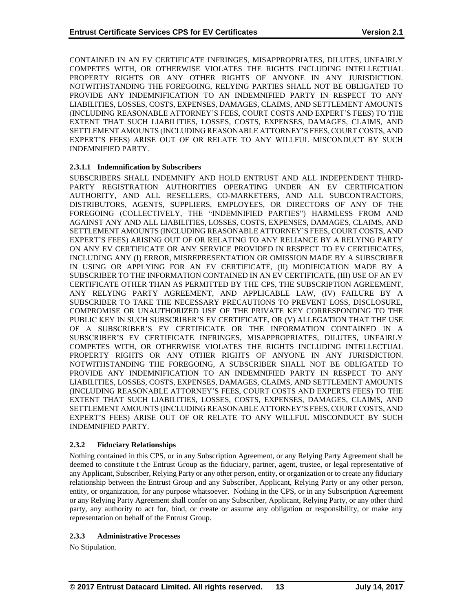CONTAINED IN AN EV CERTIFICATE INFRINGES, MISAPPROPRIATES, DILUTES, UNFAIRLY COMPETES WITH, OR OTHERWISE VIOLATES THE RIGHTS INCLUDING INTELLECTUAL PROPERTY RIGHTS OR ANY OTHER RIGHTS OF ANYONE IN ANY JURISDICTION. NOTWITHSTANDING THE FOREGOING, RELYING PARTIES SHALL NOT BE OBLIGATED TO PROVIDE ANY INDEMNIFICATION TO AN INDEMNIFIED PARTY IN RESPECT TO ANY LIABILITIES, LOSSES, COSTS, EXPENSES, DAMAGES, CLAIMS, AND SETTLEMENT AMOUNTS (INCLUDING REASONABLE ATTORNEY'S FEES, COURT COSTS AND EXPERT'S FEES) TO THE EXTENT THAT SUCH LIABILITIES, LOSSES, COSTS, EXPENSES, DAMAGES, CLAIMS, AND SETTLEMENT AMOUNTS (INCLUDING REASONABLE ATTORNEY'S FEES, COURT COSTS, AND EXPERT'S FEES) ARISE OUT OF OR RELATE TO ANY WILLFUL MISCONDUCT BY SUCH INDEMNIFIED PARTY.

### **2.3.1.1 Indemnification by Subscribers**

SUBSCRIBERS SHALL INDEMNIFY AND HOLD ENTRUST AND ALL INDEPENDENT THIRD-PARTY REGISTRATION AUTHORITIES OPERATING UNDER AN EV CERTIFICATION AUTHORITY, AND ALL RESELLERS, CO-MARKETERS, AND ALL SUBCONTRACTORS, DISTRIBUTORS, AGENTS, SUPPLIERS, EMPLOYEES, OR DIRECTORS OF ANY OF THE FOREGOING (COLLECTIVELY, THE "INDEMNIFIED PARTIES") HARMLESS FROM AND AGAINST ANY AND ALL LIABILITIES, LOSSES, COSTS, EXPENSES, DAMAGES, CLAIMS, AND SETTLEMENT AMOUNTS (INCLUDING REASONABLE ATTORNEY'S FEES, COURT COSTS, AND EXPERT'S FEES) ARISING OUT OF OR RELATING TO ANY RELIANCE BY A RELYING PARTY ON ANY EV CERTIFICATE OR ANY SERVICE PROVIDED IN RESPECT TO EV CERTIFICATES, INCLUDING ANY (I) ERROR, MISREPRESENTATION OR OMISSION MADE BY A SUBSCRIBER IN USING OR APPLYING FOR AN EV CERTIFICATE, (II) MODIFICATION MADE BY A SUBSCRIBER TO THE INFORMATION CONTAINED IN AN EV CERTIFICATE, (III) USE OF AN EV CERTIFICATE OTHER THAN AS PERMITTED BY THE CPS, THE SUBSCRIPTION AGREEMENT, ANY RELYING PARTY AGREEMENT, AND APPLICABLE LAW, (IV) FAILURE BY A SUBSCRIBER TO TAKE THE NECESSARY PRECAUTIONS TO PREVENT LOSS, DISCLOSURE, COMPROMISE OR UNAUTHORIZED USE OF THE PRIVATE KEY CORRESPONDING TO THE PUBLIC KEY IN SUCH SUBSCRIBER'S EV CERTIFICATE, OR (V) ALLEGATION THAT THE USE OF A SUBSCRIBER'S EV CERTIFICATE OR THE INFORMATION CONTAINED IN A SUBSCRIBER'S EV CERTIFICATE INFRINGES, MISAPPROPRIATES, DILUTES, UNFAIRLY COMPETES WITH, OR OTHERWISE VIOLATES THE RIGHTS INCLUDING INTELLECTUAL PROPERTY RIGHTS OR ANY OTHER RIGHTS OF ANYONE IN ANY JURISDICTION. NOTWITHSTANDING THE FOREGOING, A SUBSCRIBER SHALL NOT BE OBLIGATED TO PROVIDE ANY INDEMNIFICATION TO AN INDEMNIFIED PARTY IN RESPECT TO ANY LIABILITIES, LOSSES, COSTS, EXPENSES, DAMAGES, CLAIMS, AND SETTLEMENT AMOUNTS (INCLUDING REASONABLE ATTORNEY'S FEES, COURT COSTS AND EXPERTS FEES) TO THE EXTENT THAT SUCH LIABILITIES, LOSSES, COSTS, EXPENSES, DAMAGES, CLAIMS, AND SETTLEMENT AMOUNTS (INCLUDING REASONABLE ATTORNEY'S FEES, COURT COSTS, AND EXPERT'S FEES) ARISE OUT OF OR RELATE TO ANY WILLFUL MISCONDUCT BY SUCH INDEMNIFIED PARTY.

#### **2.3.2 Fiduciary Relationships**

Nothing contained in this CPS, or in any Subscription Agreement, or any Relying Party Agreement shall be deemed to constitute t the Entrust Group as the fiduciary, partner, agent, trustee, or legal representative of any Applicant, Subscriber, Relying Party or any other person, entity, or organization or to create any fiduciary relationship between the Entrust Group and any Subscriber, Applicant, Relying Party or any other person, entity, or organization, for any purpose whatsoever. Nothing in the CPS, or in any Subscription Agreement or any Relying Party Agreement shall confer on any Subscriber, Applicant, Relying Party, or any other third party, any authority to act for, bind, or create or assume any obligation or responsibility, or make any representation on behalf of the Entrust Group.

#### **2.3.3 Administrative Processes**

No Stipulation.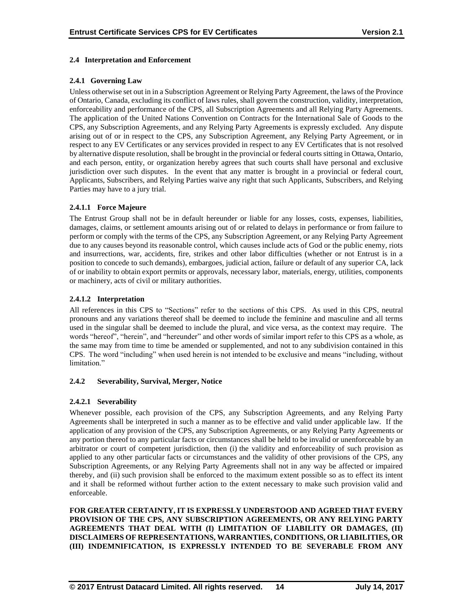### **2.4 Interpretation and Enforcement**

### **2.4.1 Governing Law**

Unless otherwise set out in in a Subscription Agreement or Relying Party Agreement, the laws of the Province of Ontario, Canada, excluding its conflict of laws rules, shall govern the construction, validity, interpretation, enforceability and performance of the CPS, all Subscription Agreements and all Relying Party Agreements. The application of the United Nations Convention on Contracts for the International Sale of Goods to the CPS, any Subscription Agreements, and any Relying Party Agreements is expressly excluded. Any dispute arising out of or in respect to the CPS, any Subscription Agreement, any Relying Party Agreement, or in respect to any EV Certificates or any services provided in respect to any EV Certificates that is not resolved by alternative dispute resolution, shall be brought in the provincial or federal courts sitting in Ottawa, Ontario, and each person, entity, or organization hereby agrees that such courts shall have personal and exclusive jurisdiction over such disputes. In the event that any matter is brought in a provincial or federal court, Applicants, Subscribers, and Relying Parties waive any right that such Applicants, Subscribers, and Relying Parties may have to a jury trial.

### **2.4.1.1 Force Majeure**

The Entrust Group shall not be in default hereunder or liable for any losses, costs, expenses, liabilities, damages, claims, or settlement amounts arising out of or related to delays in performance or from failure to perform or comply with the terms of the CPS, any Subscription Agreement, or any Relying Party Agreement due to any causes beyond its reasonable control, which causes include acts of God or the public enemy, riots and insurrections, war, accidents, fire, strikes and other labor difficulties (whether or not Entrust is in a position to concede to such demands), embargoes, judicial action, failure or default of any superior CA, lack of or inability to obtain export permits or approvals, necessary labor, materials, energy, utilities, components or machinery, acts of civil or military authorities.

### **2.4.1.2 Interpretation**

All references in this CPS to "Sections" refer to the sections of this CPS. As used in this CPS, neutral pronouns and any variations thereof shall be deemed to include the feminine and masculine and all terms used in the singular shall be deemed to include the plural, and vice versa, as the context may require. The words "hereof", "herein", and "hereunder" and other words of similar import refer to this CPS as a whole, as the same may from time to time be amended or supplemented, and not to any subdivision contained in this CPS. The word "including" when used herein is not intended to be exclusive and means "including, without limitation<sup>"</sup>

#### **2.4.2 Severability, Survival, Merger, Notice**

### **2.4.2.1 Severability**

Whenever possible, each provision of the CPS, any Subscription Agreements, and any Relying Party Agreements shall be interpreted in such a manner as to be effective and valid under applicable law. If the application of any provision of the CPS, any Subscription Agreements, or any Relying Party Agreements or any portion thereof to any particular facts or circumstances shall be held to be invalid or unenforceable by an arbitrator or court of competent jurisdiction, then (i) the validity and enforceability of such provision as applied to any other particular facts or circumstances and the validity of other provisions of the CPS, any Subscription Agreements, or any Relying Party Agreements shall not in any way be affected or impaired thereby, and (ii) such provision shall be enforced to the maximum extent possible so as to effect its intent and it shall be reformed without further action to the extent necessary to make such provision valid and enforceable.

**FOR GREATER CERTAINTY, IT IS EXPRESSLY UNDERSTOOD AND AGREED THAT EVERY PROVISION OF THE CPS, ANY SUBSCRIPTION AGREEMENTS, OR ANY RELYING PARTY AGREEMENTS THAT DEAL WITH (I) LIMITATION OF LIABILITY OR DAMAGES, (II) DISCLAIMERS OF REPRESENTATIONS, WARRANTIES, CONDITIONS, OR LIABILITIES, OR (III) INDEMNIFICATION, IS EXPRESSLY INTENDED TO BE SEVERABLE FROM ANY**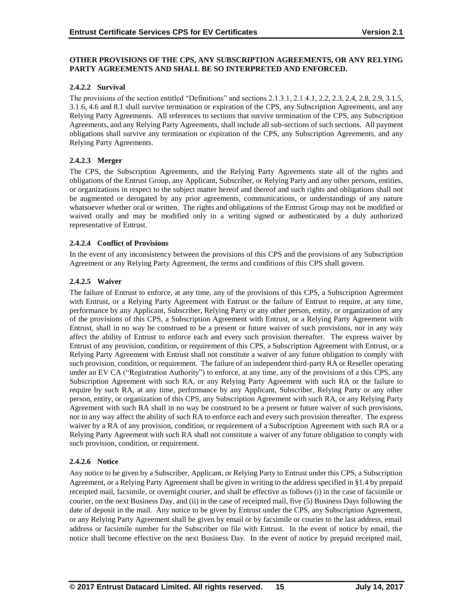### **OTHER PROVISIONS OF THE CPS, ANY SUBSCRIPTION AGREEMENTS, OR ANY RELYING PARTY AGREEMENTS AND SHALL BE SO INTERPRETED AND ENFORCED.**

### **2.4.2.2 Survival**

The provisions of the section entitled "Definitions" and sections 2.1.3.1, 2.1.4.1, 2.2, 2.3, 2.4, 2.8, 2.9, 3.1.5, 3.1.6, 4.6 and 8.1 shall survive termination or expiration of the CPS, any Subscription Agreements, and any Relying Party Agreements. All references to sections that survive termination of the CPS, any Subscription Agreements, and any Relying Party Agreements, shall include all sub-sections of such sections. All payment obligations shall survive any termination or expiration of the CPS, any Subscription Agreements, and any Relying Party Agreements.

### **2.4.2.3 Merger**

The CPS, the Subscription Agreements, and the Relying Party Agreements state all of the rights and obligations of the Entrust Group, any Applicant, Subscriber, or Relying Party and any other persons, entities, or organizations in respect to the subject matter hereof and thereof and such rights and obligations shall not be augmented or derogated by any prior agreements, communications, or understandings of any nature whatsoever whether oral or written. The rights and obligations of the Entrust Group may not be modified or waived orally and may be modified only in a writing signed or authenticated by a duly authorized representative of Entrust.

### **2.4.2.4 Conflict of Provisions**

In the event of any inconsistency between the provisions of this CPS and the provisions of any Subscription Agreement or any Relying Party Agreement, the terms and conditions of this CPS shall govern.

### **2.4.2.5 Waiver**

The failure of Entrust to enforce, at any time, any of the provisions of this CPS, a Subscription Agreement with Entrust, or a Relying Party Agreement with Entrust or the failure of Entrust to require, at any time, performance by any Applicant, Subscriber, Relying Party or any other person, entity, or organization of any of the provisions of this CPS, a Subscription Agreement with Entrust, or a Relying Party Agreement with Entrust, shall in no way be construed to be a present or future waiver of such provisions, nor in any way affect the ability of Entrust to enforce each and every such provision thereafter. The express waiver by Entrust of any provision, condition, or requirement of this CPS, a Subscription Agreement with Entrust, or a Relying Party Agreement with Entrust shall not constitute a waiver of any future obligation to comply with such provision, condition, or requirement. The failure of an independent third-party RA or Reseller operating under an EV CA ("Registration Authority") to enforce, at any time, any of the provisions of a this CPS, any Subscription Agreement with such RA, or any Relying Party Agreement with such RA or the failure to require by such RA, at any time, performance by any Applicant, Subscriber, Relying Party or any other person, entity, or organization of this CPS, any Subscription Agreement with such RA, or any Relying Party Agreement with such RA shall in no way be construed to be a present or future waiver of such provisions, nor in any way affect the ability of such RA to enforce each and every such provision thereafter. The express waiver by a RA of any provision, condition, or requirement of a Subscription Agreement with such RA or a Relying Party Agreement with such RA shall not constitute a waiver of any future obligation to comply with such provision, condition, or requirement.

### **2.4.2.6 Notice**

Any notice to be given by a Subscriber, Applicant, or Relying Party to Entrust under this CPS, a Subscription Agreement, or a Relying Party Agreement shall be given in writing to the address specified in §1.4 by prepaid receipted mail, facsimile, or overnight courier, and shall be effective as follows (i) in the case of facsimile or courier, on the next Business Day, and (ii) in the case of receipted mail, five (5) Business Days following the date of deposit in the mail. Any notice to be given by Entrust under the CPS, any Subscription Agreement, or any Relying Party Agreement shall be given by email or by facsimile or courier to the last address, email address or facsimile number for the Subscriber on file with Entrust. In the event of notice by email, the notice shall become effective on the next Business Day. In the event of notice by prepaid receipted mail,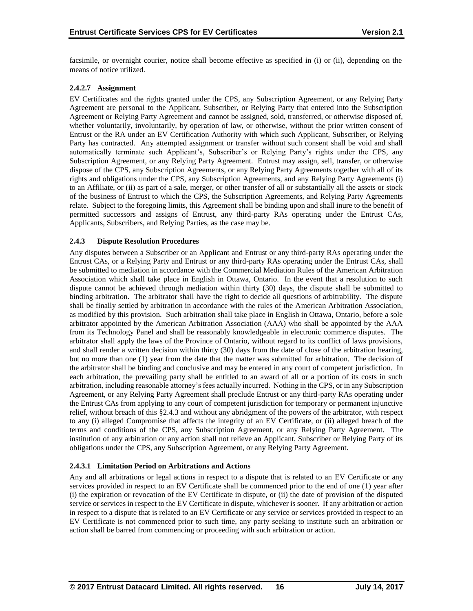facsimile, or overnight courier, notice shall become effective as specified in (i) or (ii), depending on the means of notice utilized.

### **2.4.2.7 Assignment**

EV Certificates and the rights granted under the CPS, any Subscription Agreement, or any Relying Party Agreement are personal to the Applicant, Subscriber, or Relying Party that entered into the Subscription Agreement or Relying Party Agreement and cannot be assigned, sold, transferred, or otherwise disposed of, whether voluntarily, involuntarily, by operation of law, or otherwise, without the prior written consent of Entrust or the RA under an EV Certification Authority with which such Applicant, Subscriber, or Relying Party has contracted. Any attempted assignment or transfer without such consent shall be void and shall automatically terminate such Applicant's, Subscriber's or Relying Party's rights under the CPS, any Subscription Agreement, or any Relying Party Agreement. Entrust may assign, sell, transfer, or otherwise dispose of the CPS, any Subscription Agreements, or any Relying Party Agreements together with all of its rights and obligations under the CPS, any Subscription Agreements, and any Relying Party Agreements (i) to an Affiliate, or (ii) as part of a sale, merger, or other transfer of all or substantially all the assets or stock of the business of Entrust to which the CPS, the Subscription Agreements, and Relying Party Agreements relate. Subject to the foregoing limits, this Agreement shall be binding upon and shall inure to the benefit of permitted successors and assigns of Entrust, any third-party RAs operating under the Entrust CAs, Applicants, Subscribers, and Relying Parties, as the case may be.

### **2.4.3 Dispute Resolution Procedures**

Any disputes between a Subscriber or an Applicant and Entrust or any third-party RAs operating under the Entrust CAs, or a Relying Party and Entrust or any third-party RAs operating under the Entrust CAs, shall be submitted to mediation in accordance with the Commercial Mediation Rules of the American Arbitration Association which shall take place in English in Ottawa, Ontario. In the event that a resolution to such dispute cannot be achieved through mediation within thirty (30) days, the dispute shall be submitted to binding arbitration. The arbitrator shall have the right to decide all questions of arbitrability. The dispute shall be finally settled by arbitration in accordance with the rules of the American Arbitration Association, as modified by this provision. Such arbitration shall take place in English in Ottawa, Ontario, before a sole arbitrator appointed by the American Arbitration Association (AAA) who shall be appointed by the AAA from its Technology Panel and shall be reasonably knowledgeable in electronic commerce disputes. The arbitrator shall apply the laws of the Province of Ontario, without regard to its conflict of laws provisions, and shall render a written decision within thirty (30) days from the date of close of the arbitration hearing, but no more than one (1) year from the date that the matter was submitted for arbitration. The decision of the arbitrator shall be binding and conclusive and may be entered in any court of competent jurisdiction. In each arbitration, the prevailing party shall be entitled to an award of all or a portion of its costs in such arbitration, including reasonable attorney's fees actually incurred. Nothing in the CPS, or in any Subscription Agreement, or any Relying Party Agreement shall preclude Entrust or any third-party RAs operating under the Entrust CAs from applying to any court of competent jurisdiction for temporary or permanent injunctive relief, without breach of this §2.4.3 and without any abridgment of the powers of the arbitrator, with respect to any (i) alleged Compromise that affects the integrity of an EV Certificate, or (ii) alleged breach of the terms and conditions of the CPS, any Subscription Agreement, or any Relying Party Agreement. The institution of any arbitration or any action shall not relieve an Applicant, Subscriber or Relying Party of its obligations under the CPS, any Subscription Agreement, or any Relying Party Agreement.

#### **2.4.3.1 Limitation Period on Arbitrations and Actions**

Any and all arbitrations or legal actions in respect to a dispute that is related to an EV Certificate or any services provided in respect to an EV Certificate shall be commenced prior to the end of one (1) year after (i) the expiration or revocation of the EV Certificate in dispute, or (ii) the date of provision of the disputed service or services in respect to the EV Certificate in dispute, whichever is sooner. If any arbitration or action in respect to a dispute that is related to an EV Certificate or any service or services provided in respect to an EV Certificate is not commenced prior to such time, any party seeking to institute such an arbitration or action shall be barred from commencing or proceeding with such arbitration or action.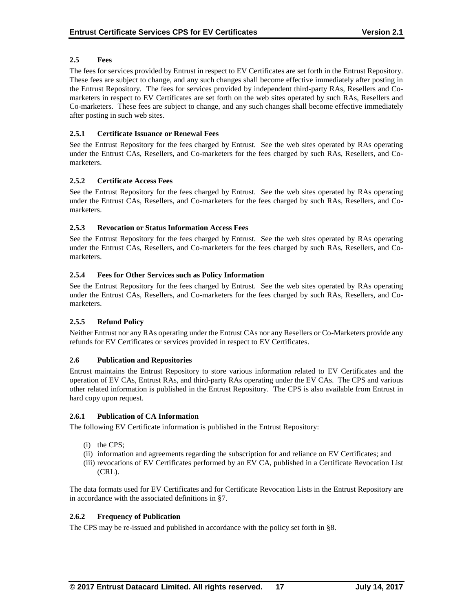### **2.5 Fees**

The fees for services provided by Entrust in respect to EV Certificates are set forth in the Entrust Repository. These fees are subject to change, and any such changes shall become effective immediately after posting in the Entrust Repository. The fees for services provided by independent third-party RAs, Resellers and Comarketers in respect to EV Certificates are set forth on the web sites operated by such RAs, Resellers and Co-marketers. These fees are subject to change, and any such changes shall become effective immediately after posting in such web sites.

### **2.5.1 Certificate Issuance or Renewal Fees**

See the Entrust Repository for the fees charged by Entrust. See the web sites operated by RAs operating under the Entrust CAs, Resellers, and Co-marketers for the fees charged by such RAs, Resellers, and Comarketers.

### **2.5.2 Certificate Access Fees**

See the Entrust Repository for the fees charged by Entrust. See the web sites operated by RAs operating under the Entrust CAs, Resellers, and Co-marketers for the fees charged by such RAs, Resellers, and Comarketers.

### **2.5.3 Revocation or Status Information Access Fees**

See the Entrust Repository for the fees charged by Entrust. See the web sites operated by RAs operating under the Entrust CAs, Resellers, and Co-marketers for the fees charged by such RAs, Resellers, and Comarketers.

### **2.5.4 Fees for Other Services such as Policy Information**

See the Entrust Repository for the fees charged by Entrust. See the web sites operated by RAs operating under the Entrust CAs, Resellers, and Co-marketers for the fees charged by such RAs, Resellers, and Comarketers.

#### **2.5.5 Refund Policy**

Neither Entrust nor any RAs operating under the Entrust CAs nor any Resellers or Co-Marketers provide any refunds for EV Certificates or services provided in respect to EV Certificates.

#### **2.6 Publication and Repositories**

Entrust maintains the Entrust Repository to store various information related to EV Certificates and the operation of EV CAs, Entrust RAs, and third-party RAs operating under the EV CAs. The CPS and various other related information is published in the Entrust Repository. The CPS is also available from Entrust in hard copy upon request.

#### **2.6.1 Publication of CA Information**

The following EV Certificate information is published in the Entrust Repository:

- (i) the CPS;
- (ii) information and agreements regarding the subscription for and reliance on EV Certificates; and
- (iii) revocations of EV Certificates performed by an EV CA, published in a Certificate Revocation List (CRL).

The data formats used for EV Certificates and for Certificate Revocation Lists in the Entrust Repository are in accordance with the associated definitions in §7.

#### **2.6.2 Frequency of Publication**

The CPS may be re-issued and published in accordance with the policy set forth in §8.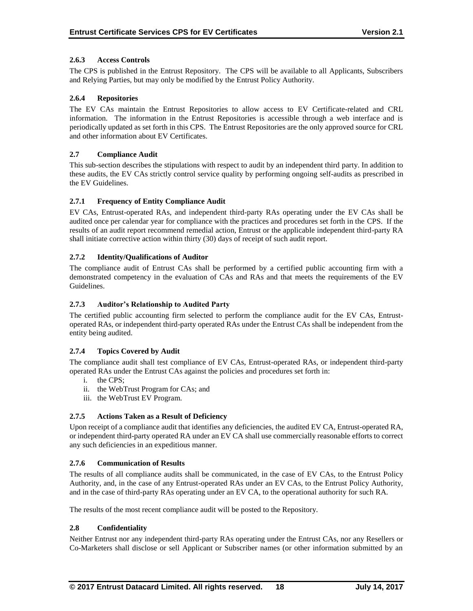### **2.6.3 Access Controls**

The CPS is published in the Entrust Repository. The CPS will be available to all Applicants, Subscribers and Relying Parties, but may only be modified by the Entrust Policy Authority.

### **2.6.4 Repositories**

The EV CAs maintain the Entrust Repositories to allow access to EV Certificate-related and CRL information. The information in the Entrust Repositories is accessible through a web interface and is periodically updated as set forth in this CPS. The Entrust Repositories are the only approved source for CRL and other information about EV Certificates.

### **2.7 Compliance Audit**

This sub-section describes the stipulations with respect to audit by an independent third party. In addition to these audits, the EV CAs strictly control service quality by performing ongoing self-audits as prescribed in the EV Guidelines.

### **2.7.1 Frequency of Entity Compliance Audit**

EV CAs, Entrust-operated RAs, and independent third-party RAs operating under the EV CAs shall be audited once per calendar year for compliance with the practices and procedures set forth in the CPS. If the results of an audit report recommend remedial action, Entrust or the applicable independent third-party RA shall initiate corrective action within thirty (30) days of receipt of such audit report.

### **2.7.2 Identity/Qualifications of Auditor**

The compliance audit of Entrust CAs shall be performed by a certified public accounting firm with a demonstrated competency in the evaluation of CAs and RAs and that meets the requirements of the EV Guidelines.

### **2.7.3 Auditor's Relationship to Audited Party**

The certified public accounting firm selected to perform the compliance audit for the EV CAs, Entrustoperated RAs, or independent third-party operated RAs under the Entrust CAs shall be independent from the entity being audited.

#### **2.7.4 Topics Covered by Audit**

The compliance audit shall test compliance of EV CAs, Entrust-operated RAs, or independent third-party operated RAs under the Entrust CAs against the policies and procedures set forth in:

- i. the CPS;
- ii. the WebTrust Program for CAs; and
- iii. the WebTrust EV Program.

### **2.7.5 Actions Taken as a Result of Deficiency**

Upon receipt of a compliance audit that identifies any deficiencies, the audited EV CA, Entrust-operated RA, or independent third-party operated RA under an EV CA shall use commercially reasonable efforts to correct any such deficiencies in an expeditious manner.

#### **2.7.6 Communication of Results**

The results of all compliance audits shall be communicated, in the case of EV CAs, to the Entrust Policy Authority, and, in the case of any Entrust-operated RAs under an EV CAs, to the Entrust Policy Authority, and in the case of third-party RAs operating under an EV CA, to the operational authority for such RA.

The results of the most recent compliance audit will be posted to the Repository.

### **2.8 Confidentiality**

Neither Entrust nor any independent third-party RAs operating under the Entrust CAs, nor any Resellers or Co-Marketers shall disclose or sell Applicant or Subscriber names (or other information submitted by an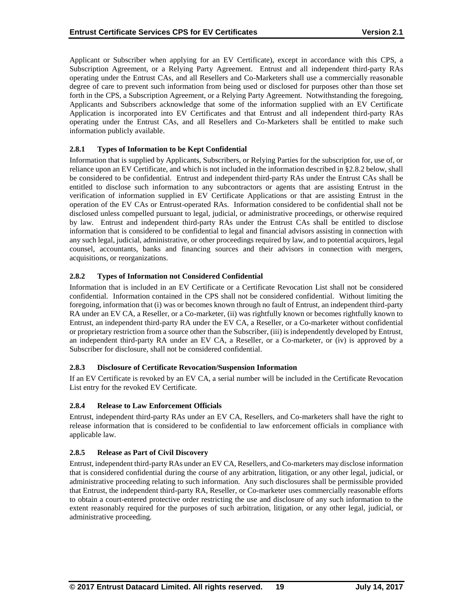Applicant or Subscriber when applying for an EV Certificate), except in accordance with this CPS, a Subscription Agreement, or a Relying Party Agreement. Entrust and all independent third-party RAs operating under the Entrust CAs, and all Resellers and Co-Marketers shall use a commercially reasonable degree of care to prevent such information from being used or disclosed for purposes other than those set forth in the CPS, a Subscription Agreement, or a Relying Party Agreement. Notwithstanding the foregoing, Applicants and Subscribers acknowledge that some of the information supplied with an EV Certificate Application is incorporated into EV Certificates and that Entrust and all independent third-party RAs operating under the Entrust CAs, and all Resellers and Co-Marketers shall be entitled to make such information publicly available.

### **2.8.1 Types of Information to be Kept Confidential**

Information that is supplied by Applicants, Subscribers, or Relying Parties for the subscription for, use of, or reliance upon an EV Certificate, and which is not included in the information described in §2.8.2 below, shall be considered to be confidential. Entrust and independent third-party RAs under the Entrust CAs shall be entitled to disclose such information to any subcontractors or agents that are assisting Entrust in the verification of information supplied in EV Certificate Applications or that are assisting Entrust in the operation of the EV CAs or Entrust-operated RAs. Information considered to be confidential shall not be disclosed unless compelled pursuant to legal, judicial, or administrative proceedings, or otherwise required by law. Entrust and independent third-party RAs under the Entrust CAs shall be entitled to disclose information that is considered to be confidential to legal and financial advisors assisting in connection with any such legal, judicial, administrative, or other proceedings required by law, and to potential acquirors, legal counsel, accountants, banks and financing sources and their advisors in connection with mergers, acquisitions, or reorganizations.

### **2.8.2 Types of Information not Considered Confidential**

Information that is included in an EV Certificate or a Certificate Revocation List shall not be considered confidential. Information contained in the CPS shall not be considered confidential. Without limiting the foregoing, information that (i) was or becomes known through no fault of Entrust, an independent third-party RA under an EV CA, a Reseller, or a Co-marketer, (ii) was rightfully known or becomes rightfully known to Entrust, an independent third-party RA under the EV CA, a Reseller, or a Co-marketer without confidential or proprietary restriction from a source other than the Subscriber, (iii) is independently developed by Entrust, an independent third-party RA under an EV CA, a Reseller, or a Co-marketer, or (iv) is approved by a Subscriber for disclosure, shall not be considered confidential.

#### **2.8.3 Disclosure of Certificate Revocation/Suspension Information**

If an EV Certificate is revoked by an EV CA, a serial number will be included in the Certificate Revocation List entry for the revoked EV Certificate.

#### **2.8.4 Release to Law Enforcement Officials**

Entrust, independent third-party RAs under an EV CA, Resellers, and Co-marketers shall have the right to release information that is considered to be confidential to law enforcement officials in compliance with applicable law.

#### **2.8.5 Release as Part of Civil Discovery**

Entrust, independent third-party RAs under an EV CA, Resellers, and Co-marketers may disclose information that is considered confidential during the course of any arbitration, litigation, or any other legal, judicial, or administrative proceeding relating to such information. Any such disclosures shall be permissible provided that Entrust, the independent third-party RA, Reseller, or Co-marketer uses commercially reasonable efforts to obtain a court-entered protective order restricting the use and disclosure of any such information to the extent reasonably required for the purposes of such arbitration, litigation, or any other legal, judicial, or administrative proceeding.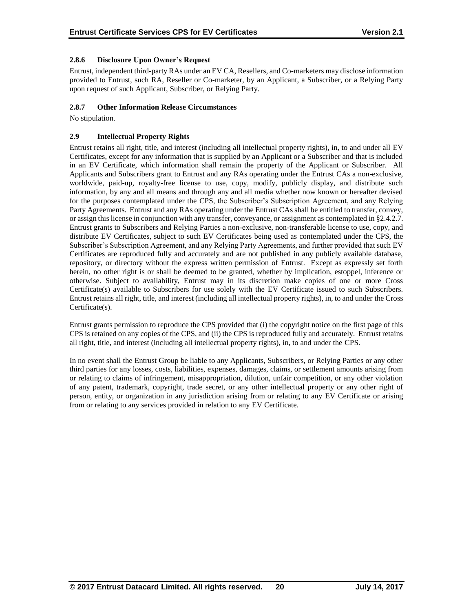### **2.8.6 Disclosure Upon Owner's Request**

Entrust, independent third-party RAs under an EV CA, Resellers, and Co-marketers may disclose information provided to Entrust, such RA, Reseller or Co-marketer, by an Applicant, a Subscriber, or a Relying Party upon request of such Applicant, Subscriber, or Relying Party.

### **2.8.7 Other Information Release Circumstances**

No stipulation.

### **2.9 Intellectual Property Rights**

Entrust retains all right, title, and interest (including all intellectual property rights), in, to and under all EV Certificates, except for any information that is supplied by an Applicant or a Subscriber and that is included in an EV Certificate, which information shall remain the property of the Applicant or Subscriber. All Applicants and Subscribers grant to Entrust and any RAs operating under the Entrust CAs a non-exclusive, worldwide, paid-up, royalty-free license to use, copy, modify, publicly display, and distribute such information, by any and all means and through any and all media whether now known or hereafter devised for the purposes contemplated under the CPS, the Subscriber's Subscription Agreement, and any Relying Party Agreements. Entrust and any RAs operating under the Entrust CAs shall be entitled to transfer, convey, or assign this license in conjunction with any transfer, conveyance, or assignment as contemplated in §2.4.2.7. Entrust grants to Subscribers and Relying Parties a non-exclusive, non-transferable license to use, copy, and distribute EV Certificates, subject to such EV Certificates being used as contemplated under the CPS, the Subscriber's Subscription Agreement, and any Relying Party Agreements, and further provided that such EV Certificates are reproduced fully and accurately and are not published in any publicly available database, repository, or directory without the express written permission of Entrust. Except as expressly set forth herein, no other right is or shall be deemed to be granted, whether by implication, estoppel, inference or otherwise. Subject to availability, Entrust may in its discretion make copies of one or more Cross Certificate(s) available to Subscribers for use solely with the EV Certificate issued to such Subscribers. Entrust retains all right, title, and interest (including all intellectual property rights), in, to and under the Cross Certificate(s).

Entrust grants permission to reproduce the CPS provided that (i) the copyright notice on the first page of this CPS is retained on any copies of the CPS, and (ii) the CPS is reproduced fully and accurately. Entrust retains all right, title, and interest (including all intellectual property rights), in, to and under the CPS.

In no event shall the Entrust Group be liable to any Applicants, Subscribers, or Relying Parties or any other third parties for any losses, costs, liabilities, expenses, damages, claims, or settlement amounts arising from or relating to claims of infringement, misappropriation, dilution, unfair competition, or any other violation of any patent, trademark, copyright, trade secret, or any other intellectual property or any other right of person, entity, or organization in any jurisdiction arising from or relating to any EV Certificate or arising from or relating to any services provided in relation to any EV Certificate.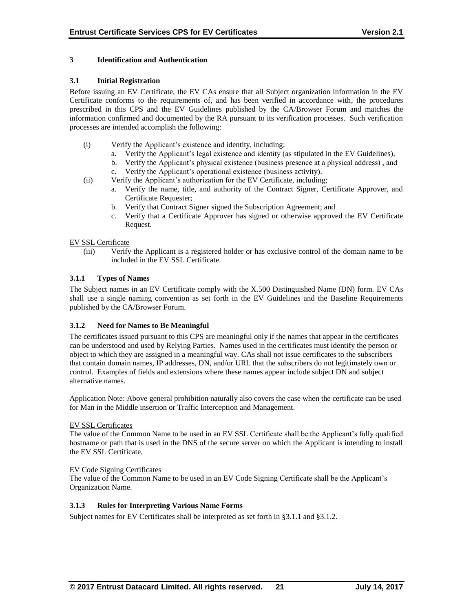### **3 Identification and Authentication**

### **3.1 Initial Registration**

Before issuing an EV Certificate, the EV CAs ensure that all Subject organization information in the EV Certificate conforms to the requirements of, and has been verified in accordance with, the procedures prescribed in this CPS and the EV Guidelines published by the CA/Browser Forum and matches the information confirmed and documented by the RA pursuant to its verification processes. Such verification processes are intended accomplish the following:

- (i) Verify the Applicant's existence and identity, including;
	- a. Verify the Applicant's legal existence and identity (as stipulated in the EV Guidelines),
	- b. Verify the Applicant's physical existence (business presence at a physical address) , and
	- c. Verify the Applicant's operational existence (business activity).
- (ii) Verify the Applicant's authorization for the EV Certificate, including;
	- a. Verify the name, title, and authority of the Contract Signer, Certificate Approver, and Certificate Requester;
	- b. Verify that Contract Signer signed the Subscription Agreement; and
	- c. Verify that a Certificate Approver has signed or otherwise approved the EV Certificate Request.

#### EV SSL Certificate

(iii) Verify the Applicant is a registered holder or has exclusive control of the domain name to be included in the EV SSL Certificate.

### **3.1.1 Types of Names**

The Subject names in an EV Certificate comply with the X.500 Distinguished Name (DN) form. EV CAs shall use a single naming convention as set forth in the EV Guidelines and the Baseline Requirements published by the CA/Browser Forum.

#### **3.1.2 Need for Names to Be Meaningful**

The certificates issued pursuant to this CPS are meaningful only if the names that appear in the certificates can be understood and used by Relying Parties. Names used in the certificates must identify the person or object to which they are assigned in a meaningful way. CAs shall not issue certificates to the subscribers that contain domain names, IP addresses, DN, and/or URL that the subscribers do not legitimately own or control. Examples of fields and extensions where these names appear include subject DN and subject alternative names.

Application Note: Above general prohibition naturally also covers the case when the certificate can be used for Man in the Middle insertion or Traffic Interception and Management.

#### EV SSL Certificates

The value of the Common Name to be used in an EV SSL Certificate shall be the Applicant's fully qualified hostname or path that is used in the DNS of the secure server on which the Applicant is intending to install the EV SSL Certificate.

#### EV Code Signing Certificates

The value of the Common Name to be used in an EV Code Signing Certificate shall be the Applicant's Organization Name.

### **3.1.3 Rules for Interpreting Various Name Forms**

Subject names for EV Certificates shall be interpreted as set forth in §3.1.1 and §3.1.2.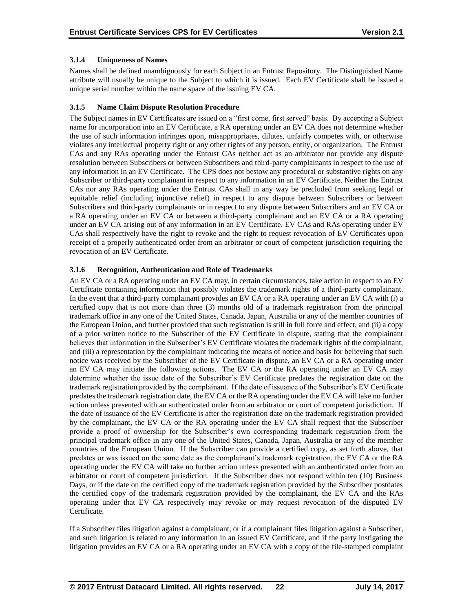### **3.1.4 Uniqueness of Names**

Names shall be defined unambiguously for each Subject in an Entrust Repository. The Distinguished Name attribute will usually be unique to the Subject to which it is issued. Each EV Certificate shall be issued a unique serial number within the name space of the issuing EV CA.

### **3.1.5 Name Claim Dispute Resolution Procedure**

The Subject names in EV Certificates are issued on a "first come, first served" basis. By accepting a Subject name for incorporation into an EV Certificate, a RA operating under an EV CA does not determine whether the use of such information infringes upon, misappropriates, dilutes, unfairly competes with, or otherwise violates any intellectual property right or any other rights of any person, entity, or organization. The Entrust CAs and any RAs operating under the Entrust CAs neither act as an arbitrator nor provide any dispute resolution between Subscribers or between Subscribers and third-party complainants in respect to the use of any information in an EV Certificate. The CPS does not bestow any procedural or substantive rights on any Subscriber or third-party complainant in respect to any information in an EV Certificate. Neither the Entrust CAs nor any RAs operating under the Entrust CAs shall in any way be precluded from seeking legal or equitable relief (including injunctive relief) in respect to any dispute between Subscribers or between Subscribers and third-party complainants or in respect to any dispute between Subscribers and an EV CA or a RA operating under an EV CA or between a third-party complainant and an EV CA or a RA operating under an EV CA arising out of any information in an EV Certificate. EV CAs and RAs operating under EV CAs shall respectively have the right to revoke and the right to request revocation of EV Certificates upon receipt of a properly authenticated order from an arbitrator or court of competent jurisdiction requiring the revocation of an EV Certificate.

### **3.1.6 Recognition, Authentication and Role of Trademarks**

An EV CA or a RA operating under an EV CA may, in certain circumstances, take action in respect to an EV Certificate containing information that possibly violates the trademark rights of a third-party complainant. In the event that a third-party complainant provides an EV CA or a RA operating under an EV CA with (i) a certified copy that is not more than three (3) months old of a trademark registration from the principal trademark office in any one of the United States, Canada, Japan, Australia or any of the member countries of the European Union, and further provided that such registration is still in full force and effect, and (ii) a copy of a prior written notice to the Subscriber of the EV Certificate in dispute, stating that the complainant believes that information in the Subscriber's EV Certificate violates the trademark rights of the complainant, and (iii) a representation by the complainant indicating the means of notice and basis for believing that such notice was received by the Subscriber of the EV Certificate in dispute, an EV CA or a RA operating under an EV CA may initiate the following actions. The EV CA or the RA operating under an EV CA may determine whether the issue date of the Subscriber's EV Certificate predates the registration date on the trademark registration provided by the complainant. If the date of issuance of the Subscriber's EV Certificate predates the trademark registration date, the EV CA or the RA operating under the EV CA will take no further action unless presented with an authenticated order from an arbitrator or court of competent jurisdiction. If the date of issuance of the EV Certificate is after the registration date on the trademark registration provided by the complainant, the EV CA or the RA operating under the EV CA shall request that the Subscriber provide a proof of ownership for the Subscriber's own corresponding trademark registration from the principal trademark office in any one of the United States, Canada, Japan, Australia or any of the member countries of the European Union. If the Subscriber can provide a certified copy, as set forth above, that predates or was issued on the same date as the complainant's trademark registration, the EV CA or the RA operating under the EV CA will take no further action unless presented with an authenticated order from an arbitrator or court of competent jurisdiction. If the Subscriber does not respond within ten (10) Business Days, or if the date on the certified copy of the trademark registration provided by the Subscriber postdates the certified copy of the trademark registration provided by the complainant, the EV CA and the RAs operating under that EV CA respectively may revoke or may request revocation of the disputed EV Certificate.

If a Subscriber files litigation against a complainant, or if a complainant files litigation against a Subscriber, and such litigation is related to any information in an issued EV Certificate, and if the party instigating the litigation provides an EV CA or a RA operating under an EV CA with a copy of the file-stamped complaint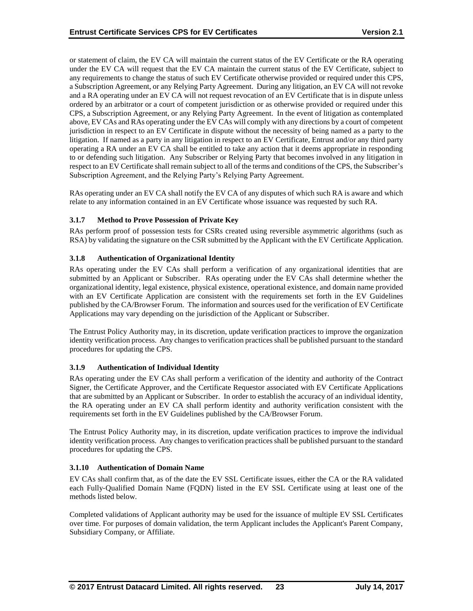or statement of claim, the EV CA will maintain the current status of the EV Certificate or the RA operating under the EV CA will request that the EV CA maintain the current status of the EV Certificate, subject to any requirements to change the status of such EV Certificate otherwise provided or required under this CPS, a Subscription Agreement, or any Relying Party Agreement. During any litigation, an EV CA will not revoke and a RA operating under an EV CA will not request revocation of an EV Certificate that is in dispute unless ordered by an arbitrator or a court of competent jurisdiction or as otherwise provided or required under this CPS, a Subscription Agreement, or any Relying Party Agreement. In the event of litigation as contemplated above, EV CAs and RAs operating under the EV CAs will comply with any directions by a court of competent jurisdiction in respect to an EV Certificate in dispute without the necessity of being named as a party to the litigation. If named as a party in any litigation in respect to an EV Certificate, Entrust and/or any third party operating a RA under an EV CA shall be entitled to take any action that it deems appropriate in responding to or defending such litigation. Any Subscriber or Relying Party that becomes involved in any litigation in respect to an EV Certificate shall remain subject to all of the terms and conditions of the CPS, the Subscriber's Subscription Agreement, and the Relying Party's Relying Party Agreement.

RAs operating under an EV CA shall notify the EV CA of any disputes of which such RA is aware and which relate to any information contained in an EV Certificate whose issuance was requested by such RA.

### **3.1.7 Method to Prove Possession of Private Key**

RAs perform proof of possession tests for CSRs created using reversible asymmetric algorithms (such as RSA) by validating the signature on the CSR submitted by the Applicant with the EV Certificate Application.

### **3.1.8 Authentication of Organizational Identity**

RAs operating under the EV CAs shall perform a verification of any organizational identities that are submitted by an Applicant or Subscriber. RAs operating under the EV CAs shall determine whether the organizational identity, legal existence, physical existence, operational existence, and domain name provided with an EV Certificate Application are consistent with the requirements set forth in the EV Guidelines published by the CA/Browser Forum. The information and sources used for the verification of EV Certificate Applications may vary depending on the jurisdiction of the Applicant or Subscriber.

The Entrust Policy Authority may, in its discretion, update verification practices to improve the organization identity verification process. Any changes to verification practices shall be published pursuant to the standard procedures for updating the CPS.

#### **3.1.9 Authentication of Individual Identity**

RAs operating under the EV CAs shall perform a verification of the identity and authority of the Contract Signer, the Certificate Approver, and the Certificate Requestor associated with EV Certificate Applications that are submitted by an Applicant or Subscriber. In order to establish the accuracy of an individual identity, the RA operating under an EV CA shall perform identity and authority verification consistent with the requirements set forth in the EV Guidelines published by the CA/Browser Forum.

The Entrust Policy Authority may, in its discretion, update verification practices to improve the individual identity verification process. Any changes to verification practices shall be published pursuant to the standard procedures for updating the CPS.

#### **3.1.10 Authentication of Domain Name**

EV CAs shall confirm that, as of the date the EV SSL Certificate issues, either the CA or the RA validated each Fully‐Qualified Domain Name (FQDN) listed in the EV SSL Certificate using at least one of the methods listed below.

Completed validations of Applicant authority may be used for the issuance of multiple EV SSL Certificates over time. For purposes of domain validation, the term Applicant includes the Applicant's Parent Company, Subsidiary Company, or Affiliate.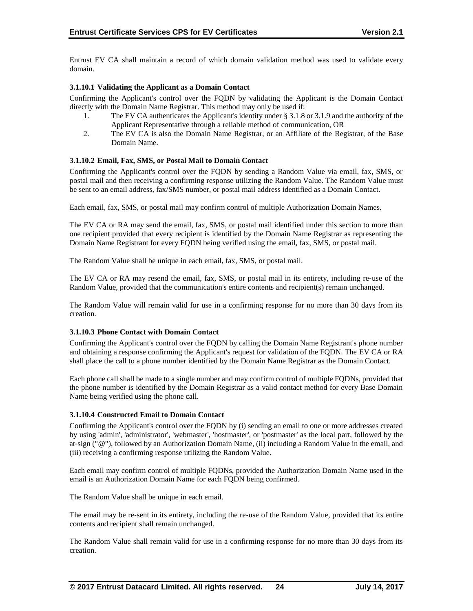Entrust EV CA shall maintain a record of which domain validation method was used to validate every domain.

### **3.1.10.1 Validating the Applicant as a Domain Contact**

Confirming the Applicant's control over the FQDN by validating the Applicant is the Domain Contact directly with the Domain Name Registrar. This method may only be used if:

- 1. The EV CA authenticates the Applicant's identity under § 3.1.8 or 3.1.9 and the authority of the Applicant Representative through a reliable method of communication, OR
- 2. The EV CA is also the Domain Name Registrar, or an Affiliate of the Registrar, of the Base Domain Name.

#### **3.1.10.2 Email, Fax, SMS, or Postal Mail to Domain Contact**

Confirming the Applicant's control over the FQDN by sending a Random Value via email, fax, SMS, or postal mail and then receiving a confirming response utilizing the Random Value. The Random Value must be sent to an email address, fax/SMS number, or postal mail address identified as a Domain Contact.

Each email, fax, SMS, or postal mail may confirm control of multiple Authorization Domain Names.

The EV CA or RA may send the email, fax, SMS, or postal mail identified under this section to more than one recipient provided that every recipient is identified by the Domain Name Registrar as representing the Domain Name Registrant for every FQDN being verified using the email, fax, SMS, or postal mail.

The Random Value shall be unique in each email, fax, SMS, or postal mail.

The EV CA or RA may resend the email, fax, SMS, or postal mail in its entirety, including re-use of the Random Value, provided that the communication's entire contents and recipient(s) remain unchanged.

The Random Value will remain valid for use in a confirming response for no more than 30 days from its creation.

#### **3.1.10.3 Phone Contact with Domain Contact**

Confirming the Applicant's control over the FQDN by calling the Domain Name Registrant's phone number and obtaining a response confirming the Applicant's request for validation of the FQDN. The EV CA or RA shall place the call to a phone number identified by the Domain Name Registrar as the Domain Contact.

Each phone call shall be made to a single number and may confirm control of multiple FQDNs, provided that the phone number is identified by the Domain Registrar as a valid contact method for every Base Domain Name being verified using the phone call.

#### **3.1.10.4 Constructed Email to Domain Contact**

Confirming the Applicant's control over the FQDN by (i) sending an email to one or more addresses created by using 'admin', 'administrator', 'webmaster', 'hostmaster', or 'postmaster' as the local part, followed by the at-sign ("@"), followed by an Authorization Domain Name, (ii) including a Random Value in the email, and (iii) receiving a confirming response utilizing the Random Value.

Each email may confirm control of multiple FQDNs, provided the Authorization Domain Name used in the email is an Authorization Domain Name for each FQDN being confirmed.

The Random Value shall be unique in each email.

The email may be re-sent in its entirety, including the re-use of the Random Value, provided that its entire contents and recipient shall remain unchanged.

The Random Value shall remain valid for use in a confirming response for no more than 30 days from its creation.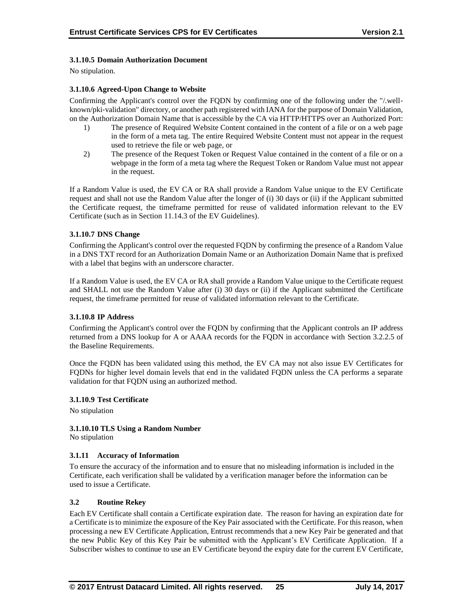### **3.1.10.5 Domain Authorization Document**

No stipulation.

### **3.1.10.6 Agreed-Upon Change to Website**

Confirming the Applicant's control over the FQDN by confirming one of the following under the "/.well‐ known/pki-validation" directory, or another path registered with IANA for the purpose of Domain Validation, on the Authorization Domain Name that is accessible by the CA via HTTP/HTTPS over an Authorized Port:

- 1) The presence of Required Website Content contained in the content of a file or on a web page in the form of a meta tag. The entire Required Website Content must not appear in the request used to retrieve the file or web page, or
- 2) The presence of the Request Token or Request Value contained in the content of a file or on a webpage in the form of a meta tag where the Request Token or Random Value must not appear in the request.

If a Random Value is used, the EV CA or RA shall provide a Random Value unique to the EV Certificate request and shall not use the Random Value after the longer of (i) 30 days or (ii) if the Applicant submitted the Certificate request, the timeframe permitted for reuse of validated information relevant to the EV Certificate (such as in Section 11.14.3 of the EV Guidelines).

### **3.1.10.7 DNS Change**

Confirming the Applicant's control over the requested FQDN by confirming the presence of a Random Value in a DNS TXT record for an Authorization Domain Name or an Authorization Domain Name that is prefixed with a label that begins with an underscore character.

If a Random Value is used, the EV CA or RA shall provide a Random Value unique to the Certificate request and SHALL not use the Random Value after (i) 30 days or (ii) if the Applicant submitted the Certificate request, the timeframe permitted for reuse of validated information relevant to the Certificate.

#### **3.1.10.8 IP Address**

Confirming the Applicant's control over the FQDN by confirming that the Applicant controls an IP address returned from a DNS lookup for A or AAAA records for the FQDN in accordance with Section 3.2.2.5 of the Baseline Requirements.

Once the FQDN has been validated using this method, the EV CA may not also issue EV Certificates for FQDNs for higher level domain levels that end in the validated FQDN unless the CA performs a separate validation for that FQDN using an authorized method.

#### **3.1.10.9 Test Certificate**

No stipulation

#### **3.1.10.10 TLS Using a Random Number**

No stipulation

#### **3.1.11 Accuracy of Information**

To ensure the accuracy of the information and to ensure that no misleading information is included in the Certificate, each verification shall be validated by a verification manager before the information can be used to issue a Certificate.

#### **3.2 Routine Rekey**

Each EV Certificate shall contain a Certificate expiration date. The reason for having an expiration date for a Certificate is to minimize the exposure of the Key Pair associated with the Certificate. For this reason, when processing a new EV Certificate Application, Entrust recommends that a new Key Pair be generated and that the new Public Key of this Key Pair be submitted with the Applicant's EV Certificate Application. If a Subscriber wishes to continue to use an EV Certificate beyond the expiry date for the current EV Certificate,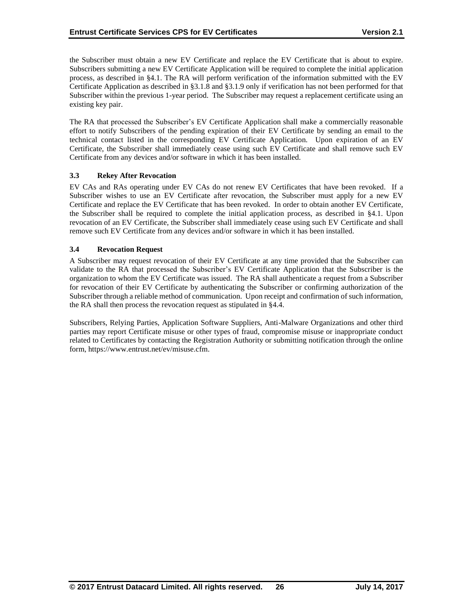the Subscriber must obtain a new EV Certificate and replace the EV Certificate that is about to expire. Subscribers submitting a new EV Certificate Application will be required to complete the initial application process, as described in §4.1. The RA will perform verification of the information submitted with the EV Certificate Application as described in §3.1.8 and §3.1.9 only if verification has not been performed for that Subscriber within the previous 1-year period. The Subscriber may request a replacement certificate using an existing key pair.

The RA that processed the Subscriber's EV Certificate Application shall make a commercially reasonable effort to notify Subscribers of the pending expiration of their EV Certificate by sending an email to the technical contact listed in the corresponding EV Certificate Application. Upon expiration of an EV Certificate, the Subscriber shall immediately cease using such EV Certificate and shall remove such EV Certificate from any devices and/or software in which it has been installed.

### **3.3 Rekey After Revocation**

EV CAs and RAs operating under EV CAs do not renew EV Certificates that have been revoked. If a Subscriber wishes to use an EV Certificate after revocation, the Subscriber must apply for a new EV Certificate and replace the EV Certificate that has been revoked. In order to obtain another EV Certificate, the Subscriber shall be required to complete the initial application process, as described in §4.1. Upon revocation of an EV Certificate, the Subscriber shall immediately cease using such EV Certificate and shall remove such EV Certificate from any devices and/or software in which it has been installed.

### **3.4 Revocation Request**

A Subscriber may request revocation of their EV Certificate at any time provided that the Subscriber can validate to the RA that processed the Subscriber's EV Certificate Application that the Subscriber is the organization to whom the EV Certificate was issued. The RA shall authenticate a request from a Subscriber for revocation of their EV Certificate by authenticating the Subscriber or confirming authorization of the Subscriber through a reliable method of communication. Upon receipt and confirmation of such information, the RA shall then process the revocation request as stipulated in §4.4.

Subscribers, Relying Parties, Application Software Suppliers, Anti-Malware Organizations and other third parties may report Certificate misuse or other types of fraud, compromise misuse or inappropriate conduct related to Certificates by contacting the Registration Authority or submitting notification through the online form, https://www.entrust.net/ev/misuse.cfm.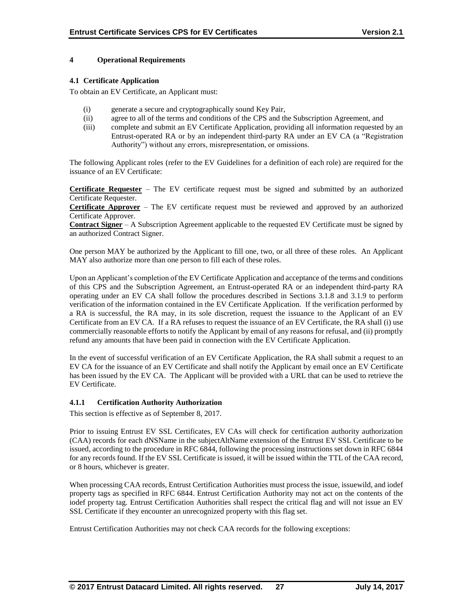### **4 Operational Requirements**

### **4.1 Certificate Application**

To obtain an EV Certificate, an Applicant must:

- (i) generate a secure and cryptographically sound Key Pair,
- (ii) agree to all of the terms and conditions of the CPS and the Subscription Agreement, and
- (iii) complete and submit an EV Certificate Application, providing all information requested by an Entrust-operated RA or by an independent third-party RA under an EV CA (a "Registration Authority") without any errors, misrepresentation, or omissions.

The following Applicant roles (refer to the EV Guidelines for a definition of each role) are required for the issuance of an EV Certificate:

**Certificate Requester** – The EV certificate request must be signed and submitted by an authorized Certificate Requester.

**Certificate Approver** – The EV certificate request must be reviewed and approved by an authorized Certificate Approver.

**Contract Signer** – A Subscription Agreement applicable to the requested EV Certificate must be signed by an authorized Contract Signer.

One person MAY be authorized by the Applicant to fill one, two, or all three of these roles. An Applicant MAY also authorize more than one person to fill each of these roles.

Upon an Applicant's completion of the EV Certificate Application and acceptance of the terms and conditions of this CPS and the Subscription Agreement, an Entrust-operated RA or an independent third-party RA operating under an EV CA shall follow the procedures described in Sections 3.1.8 and 3.1.9 to perform verification of the information contained in the EV Certificate Application. If the verification performed by a RA is successful, the RA may, in its sole discretion, request the issuance to the Applicant of an EV Certificate from an EV CA. If a RA refuses to request the issuance of an EV Certificate, the RA shall (i) use commercially reasonable efforts to notify the Applicant by email of any reasons for refusal, and (ii) promptly refund any amounts that have been paid in connection with the EV Certificate Application.

In the event of successful verification of an EV Certificate Application, the RA shall submit a request to an EV CA for the issuance of an EV Certificate and shall notify the Applicant by email once an EV Certificate has been issued by the EV CA. The Applicant will be provided with a URL that can be used to retrieve the EV Certificate.

### **4.1.1 Certification Authority Authorization**

This section is effective as of September 8, 2017.

Prior to issuing Entrust EV SSL Certificates, EV CAs will check for certification authority authorization (CAA) records for each dNSName in the subjectAltName extension of the Entrust EV SSL Certificate to be issued, according to the procedure in RFC 6844, following the processing instructions set down in RFC 6844 for any records found. If the EV SSL Certificate is issued, it will be issued within the TTL of the CAA record, or 8 hours, whichever is greater.

When processing CAA records, Entrust Certification Authorities must process the issue, issuewild, and iodef property tags as specified in RFC 6844. Entrust Certification Authority may not act on the contents of the iodef property tag. Entrust Certification Authorities shall respect the critical flag and will not issue an EV SSL Certificate if they encounter an unrecognized property with this flag set.

Entrust Certification Authorities may not check CAA records for the following exceptions: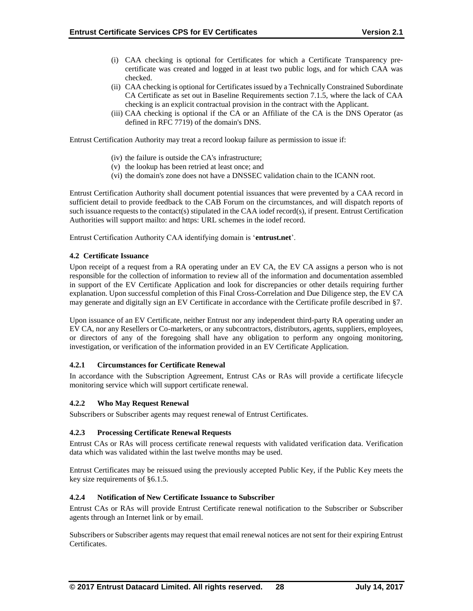- (i) CAA checking is optional for Certificates for which a Certificate Transparency pre‐ certificate was created and logged in at least two public logs, and for which CAA was checked.
- (ii) CAA checking is optional for Certificates issued by a Technically Constrained Subordinate CA Certificate as set out in Baseline Requirements section 7.1.5, where the lack of CAA checking is an explicit contractual provision in the contract with the Applicant.
- (iii) CAA checking is optional if the CA or an Affiliate of the CA is the DNS Operator (as defined in RFC 7719) of the domain's DNS.

Entrust Certification Authority may treat a record lookup failure as permission to issue if:

- (iv) the failure is outside the CA's infrastructure;
- (v) the lookup has been retried at least once; and
- (vi) the domain's zone does not have a DNSSEC validation chain to the ICANN root.

Entrust Certification Authority shall document potential issuances that were prevented by a CAA record in sufficient detail to provide feedback to the CAB Forum on the circumstances, and will dispatch reports of such issuance requests to the contact(s) stipulated in the CAA iodef record(s), if present. Entrust Certification Authorities will support mailto: and https: URL schemes in the iodef record.

Entrust Certification Authority CAA identifying domain is '**entrust.net**'.

#### **4.2 Certificate Issuance**

Upon receipt of a request from a RA operating under an EV CA, the EV CA assigns a person who is not responsible for the collection of information to review all of the information and documentation assembled in support of the EV Certificate Application and look for discrepancies or other details requiring further explanation. Upon successful completion of this Final Cross-Correlation and Due Diligence step, the EV CA may generate and digitally sign an EV Certificate in accordance with the Certificate profile described in §7.

Upon issuance of an EV Certificate, neither Entrust nor any independent third-party RA operating under an EV CA, nor any Resellers or Co-marketers, or any subcontractors, distributors, agents, suppliers, employees, or directors of any of the foregoing shall have any obligation to perform any ongoing monitoring, investigation, or verification of the information provided in an EV Certificate Application.

#### **4.2.1 Circumstances for Certificate Renewal**

In accordance with the Subscription Agreement, Entrust CAs or RAs will provide a certificate lifecycle monitoring service which will support certificate renewal.

#### **4.2.2 Who May Request Renewal**

Subscribers or Subscriber agents may request renewal of Entrust Certificates.

#### **4.2.3 Processing Certificate Renewal Requests**

Entrust CAs or RAs will process certificate renewal requests with validated verification data. Verification data which was validated within the last twelve months may be used.

Entrust Certificates may be reissued using the previously accepted Public Key, if the Public Key meets the key size requirements of §6.1.5.

#### **4.2.4 Notification of New Certificate Issuance to Subscriber**

Entrust CAs or RAs will provide Entrust Certificate renewal notification to the Subscriber or Subscriber agents through an Internet link or by email.

Subscribers or Subscriber agents may request that email renewal notices are not sent for their expiring Entrust Certificates.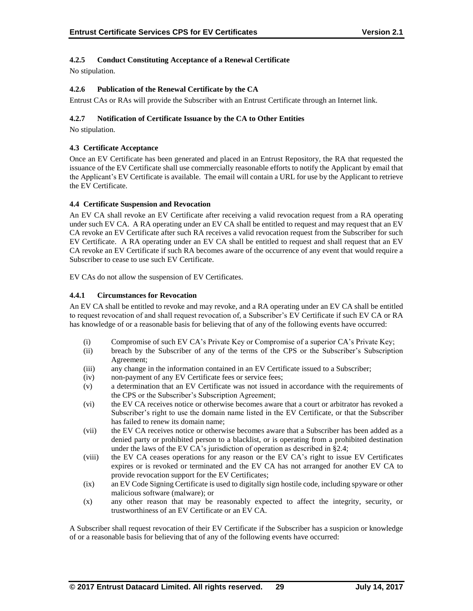## **4.2.5 Conduct Constituting Acceptance of a Renewal Certificate**

No stipulation.

### **4.2.6 Publication of the Renewal Certificate by the CA**

Entrust CAs or RAs will provide the Subscriber with an Entrust Certificate through an Internet link.

### **4.2.7 Notification of Certificate Issuance by the CA to Other Entities**

No stipulation.

### **4.3 Certificate Acceptance**

Once an EV Certificate has been generated and placed in an Entrust Repository, the RA that requested the issuance of the EV Certificate shall use commercially reasonable efforts to notify the Applicant by email that the Applicant's EV Certificate is available. The email will contain a URL for use by the Applicant to retrieve the EV Certificate.

### **4.4 Certificate Suspension and Revocation**

An EV CA shall revoke an EV Certificate after receiving a valid revocation request from a RA operating under such EV CA. A RA operating under an EV CA shall be entitled to request and may request that an EV CA revoke an EV Certificate after such RA receives a valid revocation request from the Subscriber for such EV Certificate. A RA operating under an EV CA shall be entitled to request and shall request that an EV CA revoke an EV Certificate if such RA becomes aware of the occurrence of any event that would require a Subscriber to cease to use such EV Certificate.

EV CAs do not allow the suspension of EV Certificates.

#### **4.4.1 Circumstances for Revocation**

An EV CA shall be entitled to revoke and may revoke, and a RA operating under an EV CA shall be entitled to request revocation of and shall request revocation of, a Subscriber's EV Certificate if such EV CA or RA has knowledge of or a reasonable basis for believing that of any of the following events have occurred:

- (i) Compromise of such EV CA's Private Key or Compromise of a superior CA's Private Key;
- (ii) breach by the Subscriber of any of the terms of the CPS or the Subscriber's Subscription Agreement;
- (iii) any change in the information contained in an EV Certificate issued to a Subscriber;
- (iv) non-payment of any EV Certificate fees or service fees;
- (v) a determination that an EV Certificate was not issued in accordance with the requirements of the CPS or the Subscriber's Subscription Agreement;
- (vi) the EV CA receives notice or otherwise becomes aware that a court or arbitrator has revoked a Subscriber's right to use the domain name listed in the EV Certificate, or that the Subscriber has failed to renew its domain name;
- (vii) the EV CA receives notice or otherwise becomes aware that a Subscriber has been added as a denied party or prohibited person to a blacklist, or is operating from a prohibited destination under the laws of the EV CA's jurisdiction of operation as described in §2.4;
- (viii) the EV CA ceases operations for any reason or the EV CA's right to issue EV Certificates expires or is revoked or terminated and the EV CA has not arranged for another EV CA to provide revocation support for the EV Certificates;
- (ix) an EV Code Signing Certificate is used to digitally sign hostile code, including spyware or other malicious software (malware); or
- (x) any other reason that may be reasonably expected to affect the integrity, security, or trustworthiness of an EV Certificate or an EV CA.

A Subscriber shall request revocation of their EV Certificate if the Subscriber has a suspicion or knowledge of or a reasonable basis for believing that of any of the following events have occurred: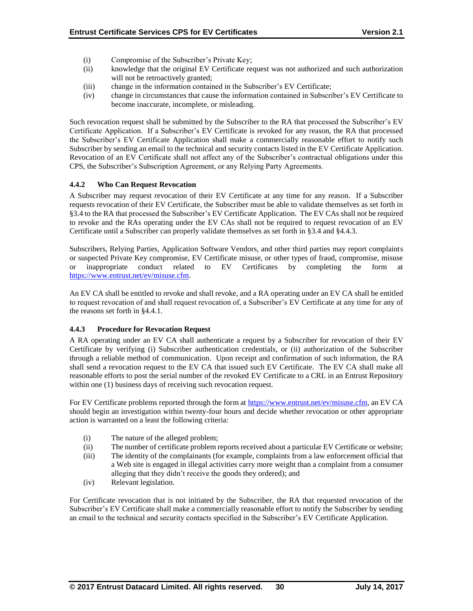- (i) Compromise of the Subscriber's Private Key;
- (ii) knowledge that the original EV Certificate request was not authorized and such authorization will not be retroactively granted;
- (iii) change in the information contained in the Subscriber's EV Certificate;
- (iv) change in circumstances that cause the information contained in Subscriber's EV Certificate to become inaccurate, incomplete, or misleading.

Such revocation request shall be submitted by the Subscriber to the RA that processed the Subscriber's EV Certificate Application. If a Subscriber's EV Certificate is revoked for any reason, the RA that processed the Subscriber's EV Certificate Application shall make a commercially reasonable effort to notify such Subscriber by sending an email to the technical and security contacts listed in the EV Certificate Application. Revocation of an EV Certificate shall not affect any of the Subscriber's contractual obligations under this CPS, the Subscriber's Subscription Agreement, or any Relying Party Agreements.

### **4.4.2 Who Can Request Revocation**

A Subscriber may request revocation of their EV Certificate at any time for any reason. If a Subscriber requests revocation of their EV Certificate, the Subscriber must be able to validate themselves as set forth in §3.4 to the RA that processed the Subscriber's EV Certificate Application. The EV CAs shall not be required to revoke and the RAs operating under the EV CAs shall not be required to request revocation of an EV Certificate until a Subscriber can properly validate themselves as set forth in §3.4 and §4.4.3.

Subscribers, Relying Parties, Application Software Vendors, and other third parties may report complaints or suspected Private Key compromise, EV Certificate misuse, or other types of fraud, compromise, misuse or inappropriate conduct related to EV Certificates by completing the form at [https://www.entrust.net/ev/misuse.cfm.](https://www.entrust.net/ev/misuse.cfm)

An EV CA shall be entitled to revoke and shall revoke, and a RA operating under an EV CA shall be entitled to request revocation of and shall request revocation of, a Subscriber's EV Certificate at any time for any of the reasons set forth in §4.4.1.

### **4.4.3 Procedure for Revocation Request**

A RA operating under an EV CA shall authenticate a request by a Subscriber for revocation of their EV Certificate by verifying (i) Subscriber authentication credentials, or (ii) authorization of the Subscriber through a reliable method of communication. Upon receipt and confirmation of such information, the RA shall send a revocation request to the EV CA that issued such EV Certificate. The EV CA shall make all reasonable efforts to post the serial number of the revoked EV Certificate to a CRL in an Entrust Repository within one (1) business days of receiving such revocation request.

For EV Certificate problems reported through the form at [https://www.entrust.net/ev/misuse.cfm,](https://www.entrust.net/ev/misuse.cfm) an EV CA should begin an investigation within twenty-four hours and decide whether revocation or other appropriate action is warranted on a least the following criteria:

- (i) The nature of the alleged problem;
- (ii) The number of certificate problem reports received about a particular EV Certificate or website;
- (iii) The identity of the complainants (for example, complaints from a law enforcement official that a Web site is engaged in illegal activities carry more weight than a complaint from a consumer alleging that they didn't receive the goods they ordered); and
- (iv) Relevant legislation.

For Certificate revocation that is not initiated by the Subscriber, the RA that requested revocation of the Subscriber's EV Certificate shall make a commercially reasonable effort to notify the Subscriber by sending an email to the technical and security contacts specified in the Subscriber's EV Certificate Application.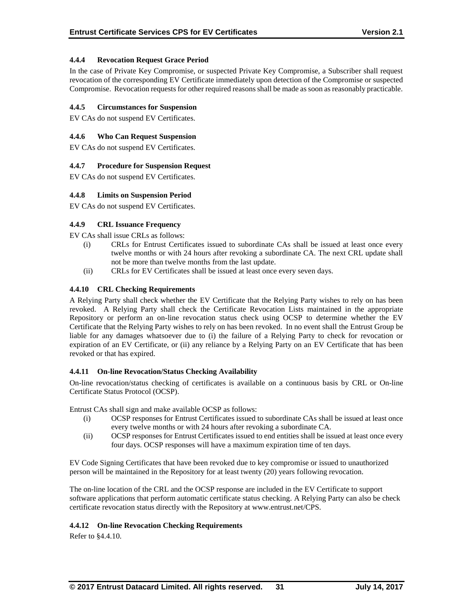### **4.4.4 Revocation Request Grace Period**

In the case of Private Key Compromise, or suspected Private Key Compromise, a Subscriber shall request revocation of the corresponding EV Certificate immediately upon detection of the Compromise or suspected Compromise. Revocation requests for other required reasons shall be made as soon as reasonably practicable.

### **4.4.5 Circumstances for Suspension**

EV CAs do not suspend EV Certificates.

### **4.4.6 Who Can Request Suspension**

EV CAs do not suspend EV Certificates.

### **4.4.7 Procedure for Suspension Request**

EV CAs do not suspend EV Certificates.

### **4.4.8 Limits on Suspension Period**

EV CAs do not suspend EV Certificates.

### **4.4.9 CRL Issuance Frequency**

EV CAs shall issue CRLs as follows:

- (i) CRLs for Entrust Certificates issued to subordinate CAs shall be issued at least once every twelve months or with 24 hours after revoking a subordinate CA. The next CRL update shall not be more than twelve months from the last update.
- (ii) CRLs for EV Certificates shall be issued at least once every seven days.

### **4.4.10 CRL Checking Requirements**

A Relying Party shall check whether the EV Certificate that the Relying Party wishes to rely on has been revoked. A Relying Party shall check the Certificate Revocation Lists maintained in the appropriate Repository or perform an on-line revocation status check using OCSP to determine whether the EV Certificate that the Relying Party wishes to rely on has been revoked. In no event shall the Entrust Group be liable for any damages whatsoever due to (i) the failure of a Relying Party to check for revocation or expiration of an EV Certificate, or (ii) any reliance by a Relying Party on an EV Certificate that has been revoked or that has expired.

#### **4.4.11 On-line Revocation/Status Checking Availability**

On-line revocation/status checking of certificates is available on a continuous basis by CRL or On-line Certificate Status Protocol (OCSP).

Entrust CAs shall sign and make available OCSP as follows:

- (i) OCSP responses for Entrust Certificates issued to subordinate CAs shall be issued at least once every twelve months or with 24 hours after revoking a subordinate CA.
- (ii) OCSP responses for Entrust Certificates issued to end entities shall be issued at least once every four days. OCSP responses will have a maximum expiration time of ten days.

EV Code Signing Certificates that have been revoked due to key compromise or issued to unauthorized person will be maintained in the Repository for at least twenty (20) years following revocation.

The on-line location of the CRL and the OCSP response are included in the EV Certificate to support software applications that perform automatic certificate status checking. A Relying Party can also be check certificate revocation status directly with the Repository at www.entrust.net/CPS.

#### **4.4.12 On-line Revocation Checking Requirements**

Refer to §4.4.10.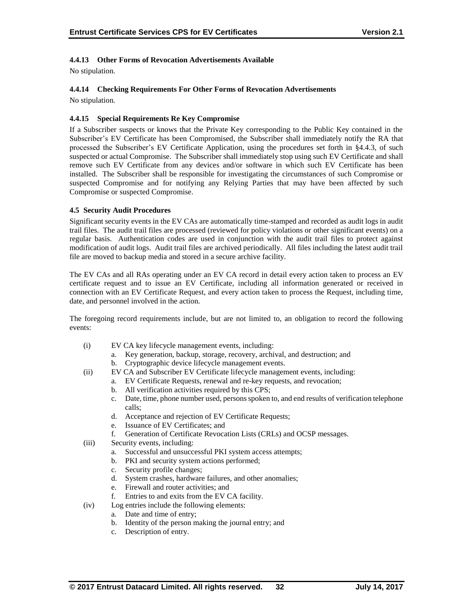## **4.4.13 Other Forms of Revocation Advertisements Available**

No stipulation.

# **4.4.14 Checking Requirements For Other Forms of Revocation Advertisements**

No stipulation.

### **4.4.15 Special Requirements Re Key Compromise**

If a Subscriber suspects or knows that the Private Key corresponding to the Public Key contained in the Subscriber's EV Certificate has been Compromised, the Subscriber shall immediately notify the RA that processed the Subscriber's EV Certificate Application, using the procedures set forth in §4.4.3, of such suspected or actual Compromise. The Subscriber shall immediately stop using such EV Certificate and shall remove such EV Certificate from any devices and/or software in which such EV Certificate has been installed. The Subscriber shall be responsible for investigating the circumstances of such Compromise or suspected Compromise and for notifying any Relying Parties that may have been affected by such Compromise or suspected Compromise.

### **4.5 Security Audit Procedures**

Significant security events in the EV CAs are automatically time-stamped and recorded as audit logs in audit trail files. The audit trail files are processed (reviewed for policy violations or other significant events) on a regular basis. Authentication codes are used in conjunction with the audit trail files to protect against modification of audit logs. Audit trail files are archived periodically. All files including the latest audit trail file are moved to backup media and stored in a secure archive facility.

The EV CAs and all RAs operating under an EV CA record in detail every action taken to process an EV certificate request and to issue an EV Certificate, including all information generated or received in connection with an EV Certificate Request, and every action taken to process the Request, including time, date, and personnel involved in the action.

The foregoing record requirements include, but are not limited to, an obligation to record the following events:

- (i) EV CA key lifecycle management events, including:
	- a. Key generation, backup, storage, recovery, archival, and destruction; and
	- b. Cryptographic device lifecycle management events.
- (ii) EV CA and Subscriber EV Certificate lifecycle management events, including:
	- a. EV Certificate Requests, renewal and re-key requests, and revocation;
	- b. All verification activities required by this CPS;
	- c. Date, time, phone number used, persons spoken to, and end results of verification telephone calls;
	- d. Acceptance and rejection of EV Certificate Requests;
	- e. Issuance of EV Certificates; and
	- f. Generation of Certificate Revocation Lists (CRLs) and OCSP messages.
- (iii) Security events, including:
	- a. Successful and unsuccessful PKI system access attempts;
	- b. PKI and security system actions performed;
	- c. Security profile changes;
	- d. System crashes, hardware failures, and other anomalies;
	- e. Firewall and router activities; and<br>f. Entries to and exits from the EV C
	- Entries to and exits from the EV CA facility.
- (iv) Log entries include the following elements:
	- a. Date and time of entry;
	- b. Identity of the person making the journal entry; and
	- c. Description of entry.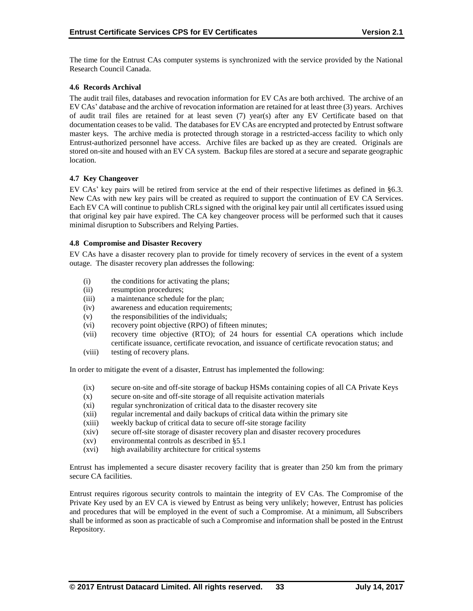The time for the Entrust CAs computer systems is synchronized with the service provided by the National Research Council Canada.

### **4.6 Records Archival**

The audit trail files, databases and revocation information for EV CAs are both archived. The archive of an EV CAs' database and the archive of revocation information are retained for at least three (3) years. Archives of audit trail files are retained for at least seven (7) year(s) after any EV Certificate based on that documentation ceases to be valid. The databases for EV CAs are encrypted and protected by Entrust software master keys. The archive media is protected through storage in a restricted-access facility to which only Entrust-authorized personnel have access. Archive files are backed up as they are created. Originals are stored on-site and housed with an EV CA system. Backup files are stored at a secure and separate geographic location.

### **4.7 Key Changeover**

EV CAs' key pairs will be retired from service at the end of their respective lifetimes as defined in §6.3. New CAs with new key pairs will be created as required to support the continuation of EV CA Services. Each EV CA will continue to publish CRLs signed with the original key pair until all certificates issued using that original key pair have expired. The CA key changeover process will be performed such that it causes minimal disruption to Subscribers and Relying Parties.

#### **4.8 Compromise and Disaster Recovery**

EV CAs have a disaster recovery plan to provide for timely recovery of services in the event of a system outage. The disaster recovery plan addresses the following:

- (i) the conditions for activating the plans;
- (ii) resumption procedures;
- (iii) a maintenance schedule for the plan;
- (iv) awareness and education requirements;
- (v) the responsibilities of the individuals;
- (vi) recovery point objective (RPO) of fifteen minutes;
- (vii) recovery time objective (RTO); of 24 hours for essential CA operations which include certificate issuance, certificate revocation, and issuance of certificate revocation status; and
- (viii) testing of recovery plans.

In order to mitigate the event of a disaster, Entrust has implemented the following:

- (ix) secure on-site and off-site storage of backup HSMs containing copies of all CA Private Keys
- (x) secure on-site and off-site storage of all requisite activation materials
- (xi) regular synchronization of critical data to the disaster recovery site
- (xii) regular incremental and daily backups of critical data within the primary site
- (xiii) weekly backup of critical data to secure off-site storage facility
- (xiv) secure off-site storage of disaster recovery plan and disaster recovery procedures
- (xv) environmental controls as described in §5.1
- (xvi) high availability architecture for critical systems

Entrust has implemented a secure disaster recovery facility that is greater than 250 km from the primary secure CA facilities.

Entrust requires rigorous security controls to maintain the integrity of EV CAs. The Compromise of the Private Key used by an EV CA is viewed by Entrust as being very unlikely; however, Entrust has policies and procedures that will be employed in the event of such a Compromise. At a minimum, all Subscribers shall be informed as soon as practicable of such a Compromise and information shall be posted in the Entrust Repository.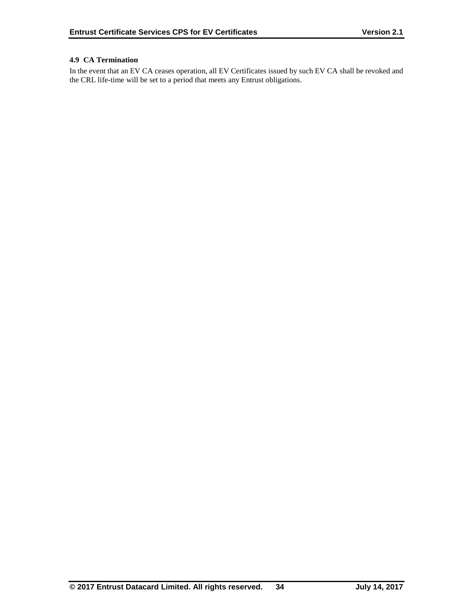### **4.9 CA Termination**

In the event that an EV CA ceases operation, all EV Certificates issued by such EV CA shall be revoked and the CRL life-time will be set to a period that meets any Entrust obligations.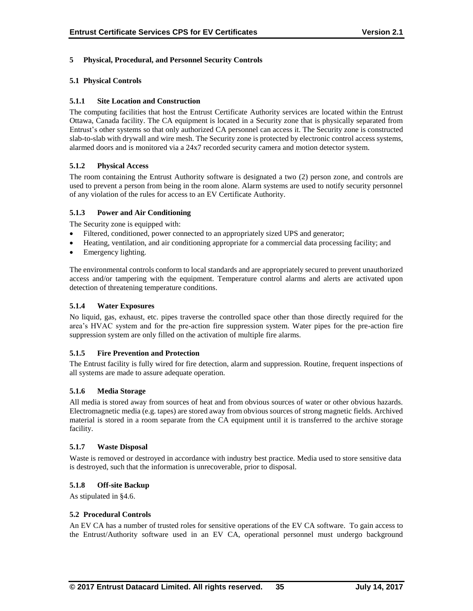### **5 Physical, Procedural, and Personnel Security Controls**

### **5.1 Physical Controls**

### **5.1.1 Site Location and Construction**

The computing facilities that host the Entrust Certificate Authority services are located within the Entrust Ottawa, Canada facility. The CA equipment is located in a Security zone that is physically separated from Entrust's other systems so that only authorized CA personnel can access it. The Security zone is constructed slab-to-slab with drywall and wire mesh. The Security zone is protected by electronic control access systems, alarmed doors and is monitored via a 24x7 recorded security camera and motion detector system.

### **5.1.2 Physical Access**

The room containing the Entrust Authority software is designated a two (2) person zone, and controls are used to prevent a person from being in the room alone. Alarm systems are used to notify security personnel of any violation of the rules for access to an EV Certificate Authority.

### **5.1.3 Power and Air Conditioning**

The Security zone is equipped with:

- Filtered, conditioned, power connected to an appropriately sized UPS and generator;
- Heating, ventilation, and air conditioning appropriate for a commercial data processing facility; and
- Emergency lighting.

The environmental controls conform to local standards and are appropriately secured to prevent unauthorized access and/or tampering with the equipment. Temperature control alarms and alerts are activated upon detection of threatening temperature conditions.

### **5.1.4 Water Exposures**

No liquid, gas, exhaust, etc. pipes traverse the controlled space other than those directly required for the area's HVAC system and for the pre-action fire suppression system. Water pipes for the pre-action fire suppression system are only filled on the activation of multiple fire alarms.

#### **5.1.5 Fire Prevention and Protection**

The Entrust facility is fully wired for fire detection, alarm and suppression. Routine, frequent inspections of all systems are made to assure adequate operation.

#### **5.1.6 Media Storage**

All media is stored away from sources of heat and from obvious sources of water or other obvious hazards. Electromagnetic media (e.g. tapes) are stored away from obvious sources of strong magnetic fields. Archived material is stored in a room separate from the CA equipment until it is transferred to the archive storage facility.

#### **5.1.7 Waste Disposal**

Waste is removed or destroyed in accordance with industry best practice. Media used to store sensitive data is destroyed, such that the information is unrecoverable, prior to disposal.

#### **5.1.8 Off-site Backup**

As stipulated in §4.6.

#### **5.2 Procedural Controls**

An EV CA has a number of trusted roles for sensitive operations of the EV CA software. To gain access to the Entrust/Authority software used in an EV CA, operational personnel must undergo background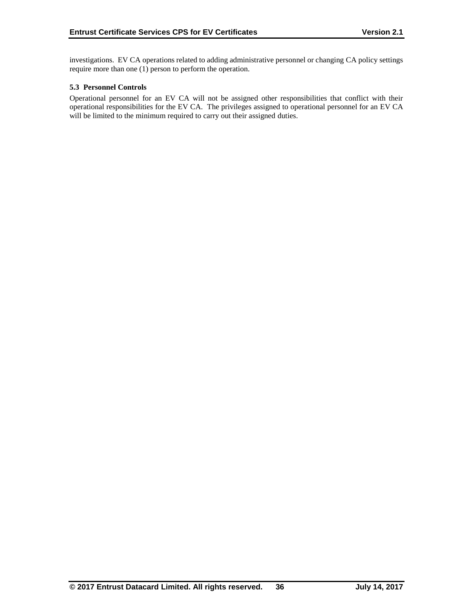investigations. EV CA operations related to adding administrative personnel or changing CA policy settings require more than one (1) person to perform the operation.

### **5.3 Personnel Controls**

Operational personnel for an EV CA will not be assigned other responsibilities that conflict with their operational responsibilities for the EV CA. The privileges assigned to operational personnel for an EV CA will be limited to the minimum required to carry out their assigned duties.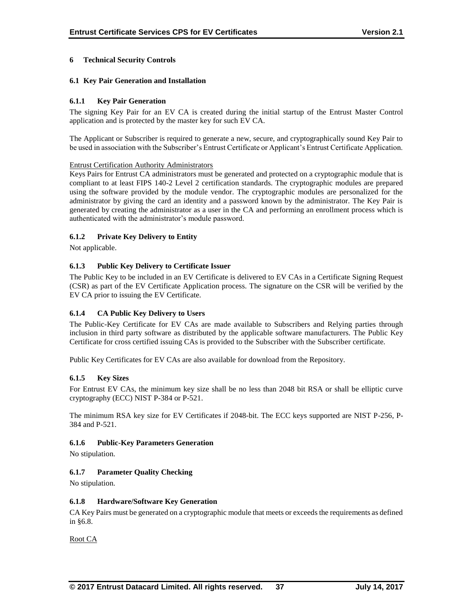### **6 Technical Security Controls**

### **6.1 Key Pair Generation and Installation**

### **6.1.1 Key Pair Generation**

The signing Key Pair for an EV CA is created during the initial startup of the Entrust Master Control application and is protected by the master key for such EV CA.

The Applicant or Subscriber is required to generate a new, secure, and cryptographically sound Key Pair to be used in association with the Subscriber's Entrust Certificate or Applicant's Entrust Certificate Application.

#### Entrust Certification Authority Administrators

Keys Pairs for Entrust CA administrators must be generated and protected on a cryptographic module that is compliant to at least FIPS 140-2 Level 2 certification standards. The cryptographic modules are prepared using the software provided by the module vendor. The cryptographic modules are personalized for the administrator by giving the card an identity and a password known by the administrator. The Key Pair is generated by creating the administrator as a user in the CA and performing an enrollment process which is authenticated with the administrator's module password.

### **6.1.2 Private Key Delivery to Entity**

Not applicable.

### **6.1.3 Public Key Delivery to Certificate Issuer**

The Public Key to be included in an EV Certificate is delivered to EV CAs in a Certificate Signing Request (CSR) as part of the EV Certificate Application process. The signature on the CSR will be verified by the EV CA prior to issuing the EV Certificate.

### **6.1.4 CA Public Key Delivery to Users**

The Public-Key Certificate for EV CAs are made available to Subscribers and Relying parties through inclusion in third party software as distributed by the applicable software manufacturers. The Public Key Certificate for cross certified issuing CAs is provided to the Subscriber with the Subscriber certificate.

Public Key Certificates for EV CAs are also available for download from the Repository.

#### **6.1.5 Key Sizes**

For Entrust EV CAs, the minimum key size shall be no less than 2048 bit RSA or shall be elliptic curve cryptography (ECC) NIST P-384 or P-521.

The minimum RSA key size for EV Certificates if 2048-bit. The ECC keys supported are NIST P-256, P-384 and P-521.

#### **6.1.6 Public-Key Parameters Generation**

No stipulation.

#### **6.1.7 Parameter Quality Checking**

No stipulation.

#### **6.1.8 Hardware/Software Key Generation**

CA Key Pairs must be generated on a cryptographic module that meets or exceeds the requirements as defined in §6.8.

Root CA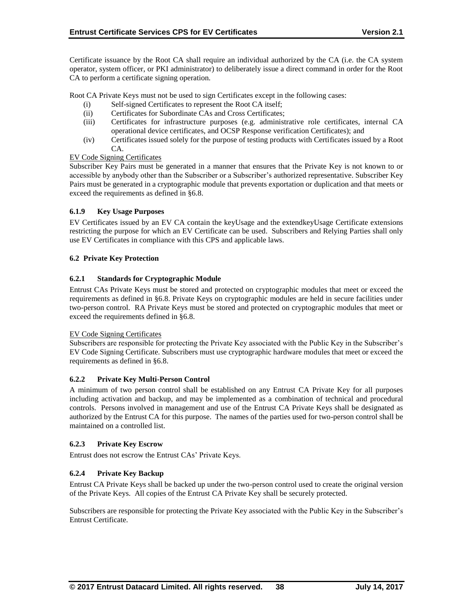Certificate issuance by the Root CA shall require an individual authorized by the CA (i.e. the CA system operator, system officer, or PKI administrator) to deliberately issue a direct command in order for the Root CA to perform a certificate signing operation.

Root CA Private Keys must not be used to sign Certificates except in the following cases:

- (i) Self-signed Certificates to represent the Root CA itself;
- (ii) Certificates for Subordinate CAs and Cross Certificates;
- (iii) Certificates for infrastructure purposes (e.g. administrative role certificates, internal CA operational device certificates, and OCSP Response verification Certificates); and
- (iv) Certificates issued solely for the purpose of testing products with Certificates issued by a Root CA.

### EV Code Signing Certificates

Subscriber Key Pairs must be generated in a manner that ensures that the Private Key is not known to or accessible by anybody other than the Subscriber or a Subscriber's authorized representative. Subscriber Key Pairs must be generated in a cryptographic module that prevents exportation or duplication and that meets or exceed the requirements as defined in §6.8.

### **6.1.9 Key Usage Purposes**

EV Certificates issued by an EV CA contain the keyUsage and the extendkeyUsage Certificate extensions restricting the purpose for which an EV Certificate can be used. Subscribers and Relying Parties shall only use EV Certificates in compliance with this CPS and applicable laws.

### **6.2 Private Key Protection**

### **6.2.1 Standards for Cryptographic Module**

Entrust CAs Private Keys must be stored and protected on cryptographic modules that meet or exceed the requirements as defined in §6.8. Private Keys on cryptographic modules are held in secure facilities under two-person control. RA Private Keys must be stored and protected on cryptographic modules that meet or exceed the requirements defined in §6.8.

#### EV Code Signing Certificates

Subscribers are responsible for protecting the Private Key associated with the Public Key in the Subscriber's EV Code Signing Certificate. Subscribers must use cryptographic hardware modules that meet or exceed the requirements as defined in §6.8.

#### **6.2.2 Private Key Multi-Person Control**

A minimum of two person control shall be established on any Entrust CA Private Key for all purposes including activation and backup, and may be implemented as a combination of technical and procedural controls. Persons involved in management and use of the Entrust CA Private Keys shall be designated as authorized by the Entrust CA for this purpose. The names of the parties used for two-person control shall be maintained on a controlled list.

#### **6.2.3 Private Key Escrow**

Entrust does not escrow the Entrust CAs' Private Keys.

### **6.2.4 Private Key Backup**

Entrust CA Private Keys shall be backed up under the two-person control used to create the original version of the Private Keys. All copies of the Entrust CA Private Key shall be securely protected.

Subscribers are responsible for protecting the Private Key associated with the Public Key in the Subscriber's Entrust Certificate.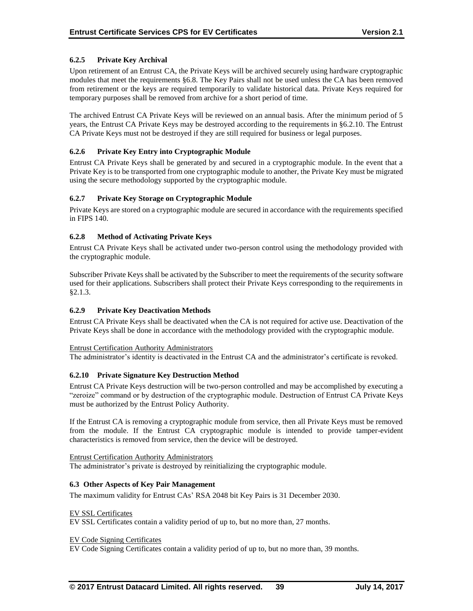### **6.2.5 Private Key Archival**

Upon retirement of an Entrust CA, the Private Keys will be archived securely using hardware cryptographic modules that meet the requirements §6.8. The Key Pairs shall not be used unless the CA has been removed from retirement or the keys are required temporarily to validate historical data. Private Keys required for temporary purposes shall be removed from archive for a short period of time.

The archived Entrust CA Private Keys will be reviewed on an annual basis. After the minimum period of 5 years, the Entrust CA Private Keys may be destroyed according to the requirements in §6.2.10. The Entrust CA Private Keys must not be destroyed if they are still required for business or legal purposes.

### **6.2.6 Private Key Entry into Cryptographic Module**

Entrust CA Private Keys shall be generated by and secured in a cryptographic module. In the event that a Private Key is to be transported from one cryptographic module to another, the Private Key must be migrated using the secure methodology supported by the cryptographic module.

### **6.2.7 Private Key Storage on Cryptographic Module**

Private Keys are stored on a cryptographic module are secured in accordance with the requirements specified in FIPS 140.

### **6.2.8 Method of Activating Private Keys**

Entrust CA Private Keys shall be activated under two-person control using the methodology provided with the cryptographic module.

Subscriber Private Keys shall be activated by the Subscriber to meet the requirements of the security software used for their applications. Subscribers shall protect their Private Keys corresponding to the requirements in §2.1.3.

### **6.2.9 Private Key Deactivation Methods**

Entrust CA Private Keys shall be deactivated when the CA is not required for active use. Deactivation of the Private Keys shall be done in accordance with the methodology provided with the cryptographic module.

#### Entrust Certification Authority Administrators

The administrator's identity is deactivated in the Entrust CA and the administrator's certificate is revoked.

#### **6.2.10 Private Signature Key Destruction Method**

Entrust CA Private Keys destruction will be two-person controlled and may be accomplished by executing a "zeroize" command or by destruction of the cryptographic module. Destruction of Entrust CA Private Keys must be authorized by the Entrust Policy Authority.

If the Entrust CA is removing a cryptographic module from service, then all Private Keys must be removed from the module. If the Entrust CA cryptographic module is intended to provide tamper-evident characteristics is removed from service, then the device will be destroyed.

Entrust Certification Authority Administrators The administrator's private is destroyed by reinitializing the cryptographic module.

#### **6.3 Other Aspects of Key Pair Management**

The maximum validity for Entrust CAs' RSA 2048 bit Key Pairs is 31 December 2030.

#### EV SSL Certificates

EV SSL Certificates contain a validity period of up to, but no more than, 27 months.

#### EV Code Signing Certificates

EV Code Signing Certificates contain a validity period of up to, but no more than, 39 months.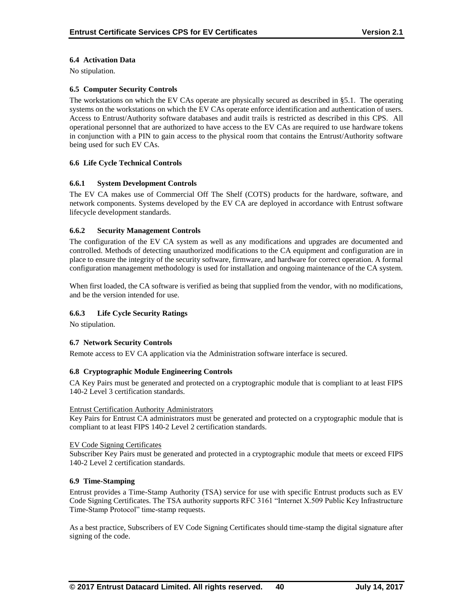### **6.4 Activation Data**

No stipulation.

### **6.5 Computer Security Controls**

The workstations on which the EV CAs operate are physically secured as described in §5.1. The operating systems on the workstations on which the EV CAs operate enforce identification and authentication of users. Access to Entrust/Authority software databases and audit trails is restricted as described in this CPS. All operational personnel that are authorized to have access to the EV CAs are required to use hardware tokens in conjunction with a PIN to gain access to the physical room that contains the Entrust/Authority software being used for such EV CAs.

### **6.6 Life Cycle Technical Controls**

### **6.6.1 System Development Controls**

The EV CA makes use of Commercial Off The Shelf (COTS) products for the hardware, software, and network components. Systems developed by the EV CA are deployed in accordance with Entrust software lifecycle development standards.

#### **6.6.2 Security Management Controls**

The configuration of the EV CA system as well as any modifications and upgrades are documented and controlled. Methods of detecting unauthorized modifications to the CA equipment and configuration are in place to ensure the integrity of the security software, firmware, and hardware for correct operation. A formal configuration management methodology is used for installation and ongoing maintenance of the CA system.

When first loaded, the CA software is verified as being that supplied from the vendor, with no modifications, and be the version intended for use.

### **6.6.3 Life Cycle Security Ratings**

No stipulation.

#### **6.7 Network Security Controls**

Remote access to EV CA application via the Administration software interface is secured.

#### **6.8 Cryptographic Module Engineering Controls**

CA Key Pairs must be generated and protected on a cryptographic module that is compliant to at least FIPS 140-2 Level 3 certification standards.

#### Entrust Certification Authority Administrators

Key Pairs for Entrust CA administrators must be generated and protected on a cryptographic module that is compliant to at least FIPS 140-2 Level 2 certification standards.

#### EV Code Signing Certificates

Subscriber Key Pairs must be generated and protected in a cryptographic module that meets or exceed FIPS 140-2 Level 2 certification standards.

#### **6.9 Time-Stamping**

Entrust provides a Time-Stamp Authority (TSA) service for use with specific Entrust products such as EV Code Signing Certificates. The TSA authority supports RFC 3161 "Internet X.509 Public Key Infrastructure Time-Stamp Protocol" time-stamp requests.

As a best practice, Subscribers of EV Code Signing Certificates should time-stamp the digital signature after signing of the code.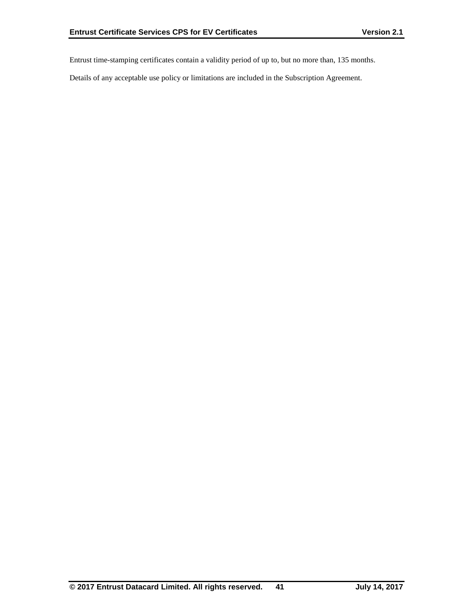Entrust time-stamping certificates contain a validity period of up to, but no more than, 135 months.

Details of any acceptable use policy or limitations are included in the Subscription Agreement.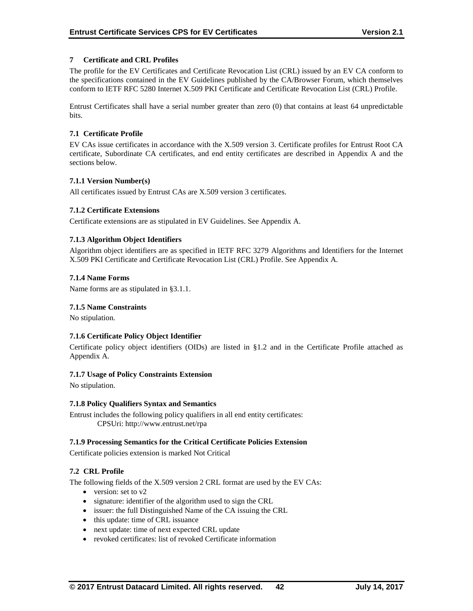### **7 Certificate and CRL Profiles**

The profile for the EV Certificates and Certificate Revocation List (CRL) issued by an EV CA conform to the specifications contained in the EV Guidelines published by the CA/Browser Forum, which themselves conform to IETF RFC 5280 Internet X.509 PKI Certificate and Certificate Revocation List (CRL) Profile.

Entrust Certificates shall have a serial number greater than zero (0) that contains at least 64 unpredictable bits.

### **7.1 Certificate Profile**

EV CAs issue certificates in accordance with the X.509 version 3. Certificate profiles for Entrust Root CA certificate, Subordinate CA certificates, and end entity certificates are described in Appendix A and the sections below.

### **7.1.1 Version Number(s)**

All certificates issued by Entrust CAs are X.509 version 3 certificates.

### **7.1.2 Certificate Extensions**

Certificate extensions are as stipulated in EV Guidelines. See Appendix A.

### **7.1.3 Algorithm Object Identifiers**

Algorithm object identifiers are as specified in IETF RFC 3279 Algorithms and Identifiers for the Internet X.509 PKI Certificate and Certificate Revocation List (CRL) Profile. See Appendix A.

#### **7.1.4 Name Forms**

Name forms are as stipulated in §3.1.1.

#### **7.1.5 Name Constraints**

No stipulation.

#### **7.1.6 Certificate Policy Object Identifier**

Certificate policy object identifiers (OIDs) are listed in §1.2 and in the Certificate Profile attached as Appendix A.

#### **7.1.7 Usage of Policy Constraints Extension**

No stipulation.

#### **7.1.8 Policy Qualifiers Syntax and Semantics**

Entrust includes the following policy qualifiers in all end entity certificates: CPSUri: http://www.entrust.net/rpa

#### **7.1.9 Processing Semantics for the Critical Certificate Policies Extension**

Certificate policies extension is marked Not Critical

#### **7.2 CRL Profile**

The following fields of the X.509 version 2 CRL format are used by the EV CAs:

- $\bullet$  version: set to v2
- signature: identifier of the algorithm used to sign the CRL
- issuer: the full Distinguished Name of the CA issuing the CRL
- this update: time of CRL issuance
- next update: time of next expected CRL update
- revoked certificates: list of revoked Certificate information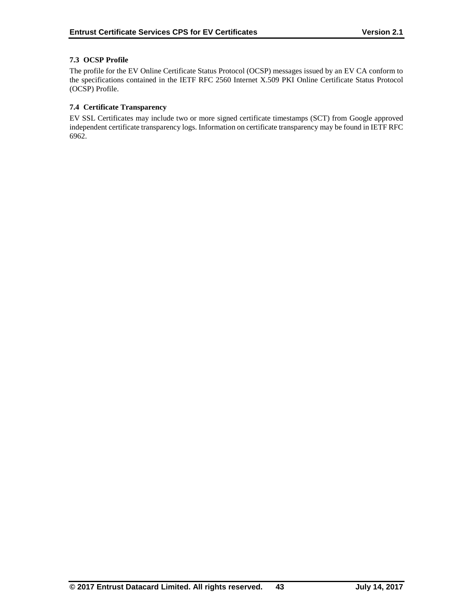### **7.3 OCSP Profile**

The profile for the EV Online Certificate Status Protocol (OCSP) messages issued by an EV CA conform to the specifications contained in the IETF RFC 2560 Internet X.509 PKI Online Certificate Status Protocol (OCSP) Profile.

### **7.4 Certificate Transparency**

EV SSL Certificates may include two or more signed certificate timestamps (SCT) from Google approved independent certificate transparency logs. Information on certificate transparency may be found in IETF RFC 6962.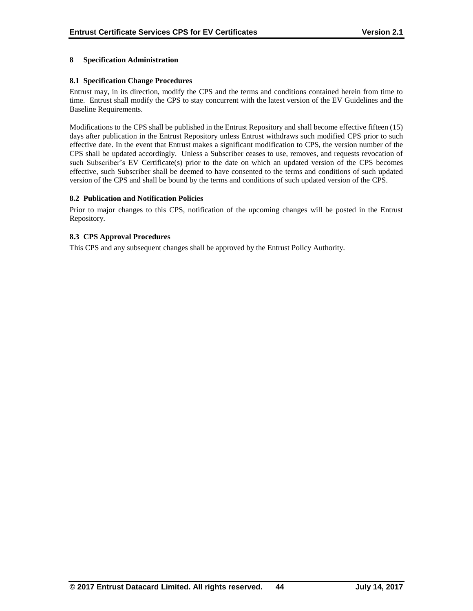### **8 Specification Administration**

### **8.1 Specification Change Procedures**

Entrust may, in its direction, modify the CPS and the terms and conditions contained herein from time to time. Entrust shall modify the CPS to stay concurrent with the latest version of the EV Guidelines and the Baseline Requirements.

Modifications to the CPS shall be published in the Entrust Repository and shall become effective fifteen (15) days after publication in the Entrust Repository unless Entrust withdraws such modified CPS prior to such effective date. In the event that Entrust makes a significant modification to CPS, the version number of the CPS shall be updated accordingly. Unless a Subscriber ceases to use, removes, and requests revocation of such Subscriber's EV Certificate(s) prior to the date on which an updated version of the CPS becomes effective, such Subscriber shall be deemed to have consented to the terms and conditions of such updated version of the CPS and shall be bound by the terms and conditions of such updated version of the CPS.

#### **8.2 Publication and Notification Policies**

Prior to major changes to this CPS, notification of the upcoming changes will be posted in the Entrust Repository.

### **8.3 CPS Approval Procedures**

This CPS and any subsequent changes shall be approved by the Entrust Policy Authority.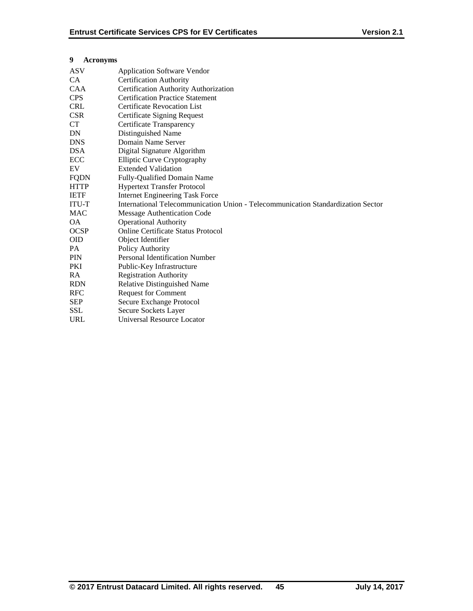# **9 Acronyms**

| <b>Certification Authority</b><br>Certification Authority Authorization<br><b>Certification Practice Statement</b><br><b>Certificate Revocation List</b><br>Certificate Signing Request<br>Certificate Transparency<br>Distinguished Name<br>Domain Name Server<br>Digital Signature Algorithm<br><b>Elliptic Curve Cryptography</b><br><b>Extended Validation</b><br>Fully-Qualified Domain Name<br><b>Hypertext Transfer Protocol</b><br><b>Internet Engineering Task Force</b><br>International Telecommunication Union - Telecommunication Standardization Sector<br>Message Authentication Code<br><b>Operational Authority</b><br><b>Online Certificate Status Protocol</b><br>Object Identifier<br>Policy Authority<br><b>Personal Identification Number</b><br>Public-Key Infrastructure<br><b>Registration Authority</b><br><b>Relative Distinguished Name</b><br><b>Request for Comment</b><br>Secure Exchange Protocol<br>Secure Sockets Layer<br>Universal Resource Locator | ASV         | <b>Application Software Vendor</b> |
|-----------------------------------------------------------------------------------------------------------------------------------------------------------------------------------------------------------------------------------------------------------------------------------------------------------------------------------------------------------------------------------------------------------------------------------------------------------------------------------------------------------------------------------------------------------------------------------------------------------------------------------------------------------------------------------------------------------------------------------------------------------------------------------------------------------------------------------------------------------------------------------------------------------------------------------------------------------------------------------------|-------------|------------------------------------|
|                                                                                                                                                                                                                                                                                                                                                                                                                                                                                                                                                                                                                                                                                                                                                                                                                                                                                                                                                                                         | CA.         |                                    |
|                                                                                                                                                                                                                                                                                                                                                                                                                                                                                                                                                                                                                                                                                                                                                                                                                                                                                                                                                                                         | <b>CAA</b>  |                                    |
|                                                                                                                                                                                                                                                                                                                                                                                                                                                                                                                                                                                                                                                                                                                                                                                                                                                                                                                                                                                         | <b>CPS</b>  |                                    |
|                                                                                                                                                                                                                                                                                                                                                                                                                                                                                                                                                                                                                                                                                                                                                                                                                                                                                                                                                                                         | <b>CRL</b>  |                                    |
|                                                                                                                                                                                                                                                                                                                                                                                                                                                                                                                                                                                                                                                                                                                                                                                                                                                                                                                                                                                         | <b>CSR</b>  |                                    |
|                                                                                                                                                                                                                                                                                                                                                                                                                                                                                                                                                                                                                                                                                                                                                                                                                                                                                                                                                                                         | CT          |                                    |
|                                                                                                                                                                                                                                                                                                                                                                                                                                                                                                                                                                                                                                                                                                                                                                                                                                                                                                                                                                                         | DN          |                                    |
|                                                                                                                                                                                                                                                                                                                                                                                                                                                                                                                                                                                                                                                                                                                                                                                                                                                                                                                                                                                         | <b>DNS</b>  |                                    |
|                                                                                                                                                                                                                                                                                                                                                                                                                                                                                                                                                                                                                                                                                                                                                                                                                                                                                                                                                                                         | <b>DSA</b>  |                                    |
|                                                                                                                                                                                                                                                                                                                                                                                                                                                                                                                                                                                                                                                                                                                                                                                                                                                                                                                                                                                         | ECC         |                                    |
|                                                                                                                                                                                                                                                                                                                                                                                                                                                                                                                                                                                                                                                                                                                                                                                                                                                                                                                                                                                         | EV          |                                    |
|                                                                                                                                                                                                                                                                                                                                                                                                                                                                                                                                                                                                                                                                                                                                                                                                                                                                                                                                                                                         | <b>FQDN</b> |                                    |
|                                                                                                                                                                                                                                                                                                                                                                                                                                                                                                                                                                                                                                                                                                                                                                                                                                                                                                                                                                                         | <b>HTTP</b> |                                    |
|                                                                                                                                                                                                                                                                                                                                                                                                                                                                                                                                                                                                                                                                                                                                                                                                                                                                                                                                                                                         | <b>IETF</b> |                                    |
|                                                                                                                                                                                                                                                                                                                                                                                                                                                                                                                                                                                                                                                                                                                                                                                                                                                                                                                                                                                         | ITU-T       |                                    |
|                                                                                                                                                                                                                                                                                                                                                                                                                                                                                                                                                                                                                                                                                                                                                                                                                                                                                                                                                                                         | MAC         |                                    |
|                                                                                                                                                                                                                                                                                                                                                                                                                                                                                                                                                                                                                                                                                                                                                                                                                                                                                                                                                                                         | <b>OA</b>   |                                    |
|                                                                                                                                                                                                                                                                                                                                                                                                                                                                                                                                                                                                                                                                                                                                                                                                                                                                                                                                                                                         | <b>OCSP</b> |                                    |
|                                                                                                                                                                                                                                                                                                                                                                                                                                                                                                                                                                                                                                                                                                                                                                                                                                                                                                                                                                                         | <b>OID</b>  |                                    |
|                                                                                                                                                                                                                                                                                                                                                                                                                                                                                                                                                                                                                                                                                                                                                                                                                                                                                                                                                                                         | PA          |                                    |
|                                                                                                                                                                                                                                                                                                                                                                                                                                                                                                                                                                                                                                                                                                                                                                                                                                                                                                                                                                                         | <b>PIN</b>  |                                    |
|                                                                                                                                                                                                                                                                                                                                                                                                                                                                                                                                                                                                                                                                                                                                                                                                                                                                                                                                                                                         | PKI         |                                    |
|                                                                                                                                                                                                                                                                                                                                                                                                                                                                                                                                                                                                                                                                                                                                                                                                                                                                                                                                                                                         | <b>RA</b>   |                                    |
|                                                                                                                                                                                                                                                                                                                                                                                                                                                                                                                                                                                                                                                                                                                                                                                                                                                                                                                                                                                         | <b>RDN</b>  |                                    |
|                                                                                                                                                                                                                                                                                                                                                                                                                                                                                                                                                                                                                                                                                                                                                                                                                                                                                                                                                                                         | <b>RFC</b>  |                                    |
|                                                                                                                                                                                                                                                                                                                                                                                                                                                                                                                                                                                                                                                                                                                                                                                                                                                                                                                                                                                         | <b>SEP</b>  |                                    |
|                                                                                                                                                                                                                                                                                                                                                                                                                                                                                                                                                                                                                                                                                                                                                                                                                                                                                                                                                                                         | <b>SSL</b>  |                                    |
|                                                                                                                                                                                                                                                                                                                                                                                                                                                                                                                                                                                                                                                                                                                                                                                                                                                                                                                                                                                         | <b>URL</b>  |                                    |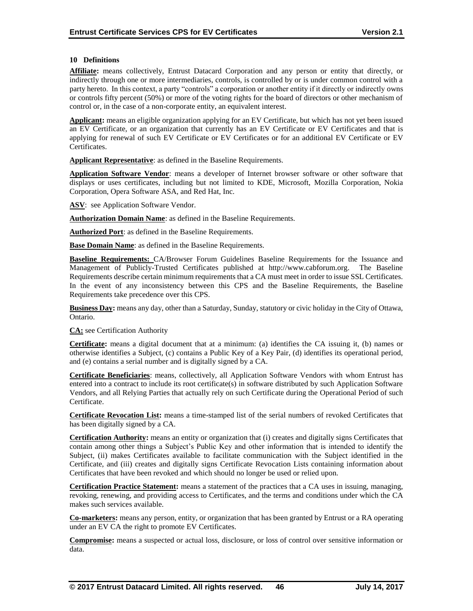### **10 Definitions**

**Affiliate:** means collectively, Entrust Datacard Corporation and any person or entity that directly, or indirectly through one or more intermediaries, controls, is controlled by or is under common control with a party hereto. In this context, a party "controls" a corporation or another entity if it directly or indirectly owns or controls fifty percent (50%) or more of the voting rights for the board of directors or other mechanism of control or, in the case of a non-corporate entity, an equivalent interest.

**Applicant:** means an eligible organization applying for an EV Certificate, but which has not yet been issued an EV Certificate, or an organization that currently has an EV Certificate or EV Certificates and that is applying for renewal of such EV Certificate or EV Certificates or for an additional EV Certificate or EV Certificates.

**Applicant Representative**: as defined in the Baseline Requirements.

**Application Software Vendor**: means a developer of Internet browser software or other software that displays or uses certificates, including but not limited to KDE, Microsoft, Mozilla Corporation, Nokia Corporation, Opera Software ASA, and Red Hat, Inc.

ASV: see Application Software Vendor.

**Authorization Domain Name**: as defined in the Baseline Requirements.

**Authorized Port**: as defined in the Baseline Requirements.

**Base Domain Name**: as defined in the Baseline Requirements.

**Baseline Requirements:** CA/Browser Forum Guidelines Baseline Requirements for the Issuance and Management of Publicly-Trusted Certificates published at http://www.cabforum.org. The Baseline Requirements describe certain minimum requirements that a CA must meet in order to issue SSL Certificates. In the event of any inconsistency between this CPS and the Baseline Requirements, the Baseline Requirements take precedence over this CPS.

**Business Day:** means any day, other than a Saturday, Sunday, statutory or civic holiday in the City of Ottawa, Ontario.

**CA:** see Certification Authority

**Certificate:** means a digital document that at a minimum: (a) identifies the CA issuing it, (b) names or otherwise identifies a Subject, (c) contains a Public Key of a Key Pair, (d) identifies its operational period, and (e) contains a serial number and is digitally signed by a CA.

**Certificate Beneficiaries**: means, collectively, all Application Software Vendors with whom Entrust has entered into a contract to include its root certificate(s) in software distributed by such Application Software Vendors, and all Relying Parties that actually rely on such Certificate during the Operational Period of such Certificate.

**Certificate Revocation List:** means a time-stamped list of the serial numbers of revoked Certificates that has been digitally signed by a CA.

**Certification Authority:** means an entity or organization that (i) creates and digitally signs Certificates that contain among other things a Subject's Public Key and other information that is intended to identify the Subject, (ii) makes Certificates available to facilitate communication with the Subject identified in the Certificate, and (iii) creates and digitally signs Certificate Revocation Lists containing information about Certificates that have been revoked and which should no longer be used or relied upon.

**Certification Practice Statement:** means a statement of the practices that a CA uses in issuing, managing, revoking, renewing, and providing access to Certificates, and the terms and conditions under which the CA makes such services available.

**Co-marketers:** means any person, entity, or organization that has been granted by Entrust or a RA operating under an EV CA the right to promote EV Certificates.

**Compromise:** means a suspected or actual loss, disclosure, or loss of control over sensitive information or data.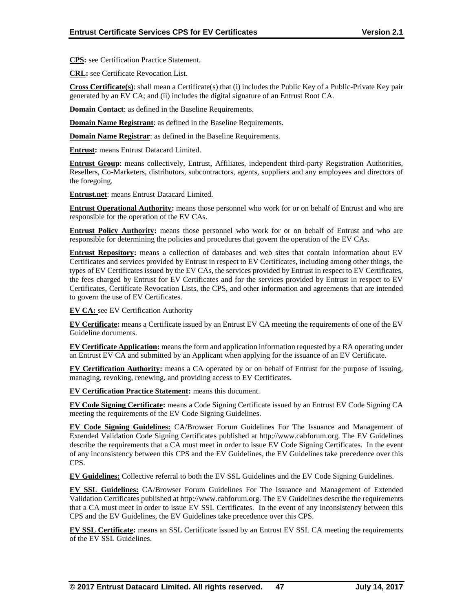**CPS:** see Certification Practice Statement.

**CRL:** see Certificate Revocation List.

**Cross Certificate(s)**: shall mean a Certificate(s) that (i) includes the Public Key of a Public-Private Key pair generated by an EV CA; and (ii) includes the digital signature of an Entrust Root CA.

**Domain Contact**: as defined in the Baseline Requirements.

**Domain Name Registrant:** as defined in the Baseline Requirements.

**Domain Name Registrar**: as defined in the Baseline Requirements.

**Entrust:** means Entrust Datacard Limited.

**Entrust Group**: means collectively, Entrust, Affiliates, independent third-party Registration Authorities, Resellers, Co-Marketers, distributors, subcontractors, agents, suppliers and any employees and directors of the foregoing.

**Entrust.net**: means Entrust Datacard Limited.

**Entrust Operational Authority:** means those personnel who work for or on behalf of Entrust and who are responsible for the operation of the EV CAs.

**Entrust Policy Authority:** means those personnel who work for or on behalf of Entrust and who are responsible for determining the policies and procedures that govern the operation of the EV CAs.

**Entrust Repository:** means a collection of databases and web sites that contain information about EV Certificates and services provided by Entrust in respect to EV Certificates, including among other things, the types of EV Certificates issued by the EV CAs, the services provided by Entrust in respect to EV Certificates, the fees charged by Entrust for EV Certificates and for the services provided by Entrust in respect to EV Certificates, Certificate Revocation Lists, the CPS, and other information and agreements that are intended to govern the use of EV Certificates.

**EV CA:** see EV Certification Authority

**EV Certificate:** means a Certificate issued by an Entrust EV CA meeting the requirements of one of the EV Guideline documents.

**EV Certificate Application:** means the form and application information requested by a RA operating under an Entrust EV CA and submitted by an Applicant when applying for the issuance of an EV Certificate.

**EV Certification Authority:** means a CA operated by or on behalf of Entrust for the purpose of issuing, managing, revoking, renewing, and providing access to EV Certificates.

**EV Certification Practice Statement:** means this document.

**EV Code Signing Certificate:** means a Code Signing Certificate issued by an Entrust EV Code Signing CA meeting the requirements of the EV Code Signing Guidelines.

**EV Code Signing Guidelines:** CA/Browser Forum Guidelines For The Issuance and Management of Extended Validation Code Signing Certificates published at http://www.cabforum.org. The EV Guidelines describe the requirements that a CA must meet in order to issue EV Code Signing Certificates. In the event of any inconsistency between this CPS and the EV Guidelines, the EV Guidelines take precedence over this CPS.

**EV Guidelines:** Collective referral to both the EV SSL Guidelines and the EV Code Signing Guidelines.

**EV SSL Guidelines:** CA/Browser Forum Guidelines For The Issuance and Management of Extended Validation Certificates published at http://www.cabforum.org. The EV Guidelines describe the requirements that a CA must meet in order to issue EV SSL Certificates. In the event of any inconsistency between this CPS and the EV Guidelines, the EV Guidelines take precedence over this CPS.

**EV SSL Certificate:** means an SSL Certificate issued by an Entrust EV SSL CA meeting the requirements of the EV SSL Guidelines.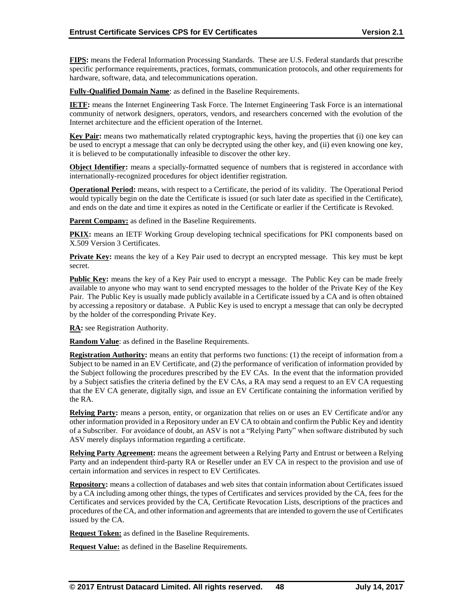**FIPS:** means the Federal Information Processing Standards. These are U.S. Federal standards that prescribe specific performance requirements, practices, formats, communication protocols, and other requirements for hardware, software, data, and telecommunications operation.

**Fully-Qualified Domain Name**: as defined in the Baseline Requirements.

**IETF:** means the Internet Engineering Task Force. The Internet Engineering Task Force is an international community of network designers, operators, vendors, and researchers concerned with the evolution of the Internet architecture and the efficient operation of the Internet.

**Key Pair:** means two mathematically related cryptographic keys, having the properties that (i) one key can be used to encrypt a message that can only be decrypted using the other key, and (ii) even knowing one key, it is believed to be computationally infeasible to discover the other key.

**Object Identifier:** means a specially-formatted sequence of numbers that is registered in accordance with internationally-recognized procedures for object identifier registration.

**Operational Period:** means, with respect to a Certificate, the period of its validity. The Operational Period would typically begin on the date the Certificate is issued (or such later date as specified in the Certificate), and ends on the date and time it expires as noted in the Certificate or earlier if the Certificate is Revoked.

**Parent Company:** as defined in the Baseline Requirements.

**PKIX:** means an IETF Working Group developing technical specifications for PKI components based on X.509 Version 3 Certificates.

**Private Key:** means the key of a Key Pair used to decrypt an encrypted message. This key must be kept secret.

**Public Key:** means the key of a Key Pair used to encrypt a message. The Public Key can be made freely available to anyone who may want to send encrypted messages to the holder of the Private Key of the Key Pair. The Public Key is usually made publicly available in a Certificate issued by a CA and is often obtained by accessing a repository or database. A Public Key is used to encrypt a message that can only be decrypted by the holder of the corresponding Private Key.

**RA:** see Registration Authority.

**Random Value**: as defined in the Baseline Requirements.

**Registration Authority:** means an entity that performs two functions: (1) the receipt of information from a Subject to be named in an EV Certificate, and (2) the performance of verification of information provided by the Subject following the procedures prescribed by the EV CAs. In the event that the information provided by a Subject satisfies the criteria defined by the EV CAs, a RA may send a request to an EV CA requesting that the EV CA generate, digitally sign, and issue an EV Certificate containing the information verified by the RA.

**Relying Party:** means a person, entity, or organization that relies on or uses an EV Certificate and/or any other information provided in a Repository under an EV CA to obtain and confirm the Public Key and identity of a Subscriber. For avoidance of doubt, an ASV is not a "Relying Party" when software distributed by such ASV merely displays information regarding a certificate.

**Relying Party Agreement:** means the agreement between a Relying Party and Entrust or between a Relying Party and an independent third-party RA or Reseller under an EV CA in respect to the provision and use of certain information and services in respect to EV Certificates.

**Repository:** means a collection of databases and web sites that contain information about Certificates issued by a CA including among other things, the types of Certificates and services provided by the CA, fees for the Certificates and services provided by the CA, Certificate Revocation Lists, descriptions of the practices and procedures of the CA, and other information and agreements that are intended to govern the use of Certificates issued by the CA.

**Request Token:** as defined in the Baseline Requirements.

**Request Value:** as defined in the Baseline Requirements.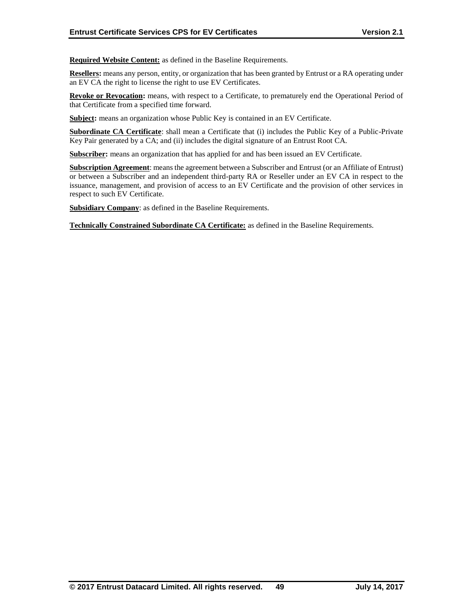**Required Website Content:** as defined in the Baseline Requirements.

**Resellers:** means any person, entity, or organization that has been granted by Entrust or a RA operating under an EV CA the right to license the right to use EV Certificates.

**Revoke or Revocation:** means, with respect to a Certificate, to prematurely end the Operational Period of that Certificate from a specified time forward.

**Subject:** means an organization whose Public Key is contained in an EV Certificate.

**Subordinate CA Certificate**: shall mean a Certificate that (i) includes the Public Key of a Public-Private Key Pair generated by a CA; and (ii) includes the digital signature of an Entrust Root CA.

**Subscriber:** means an organization that has applied for and has been issued an EV Certificate.

**Subscription Agreement**: means the agreement between a Subscriber and Entrust (or an Affiliate of Entrust) or between a Subscriber and an independent third-party RA or Reseller under an EV CA in respect to the issuance, management, and provision of access to an EV Certificate and the provision of other services in respect to such EV Certificate.

**Subsidiary Company**: as defined in the Baseline Requirements.

**Technically Constrained Subordinate CA Certificate:** as defined in the Baseline Requirements.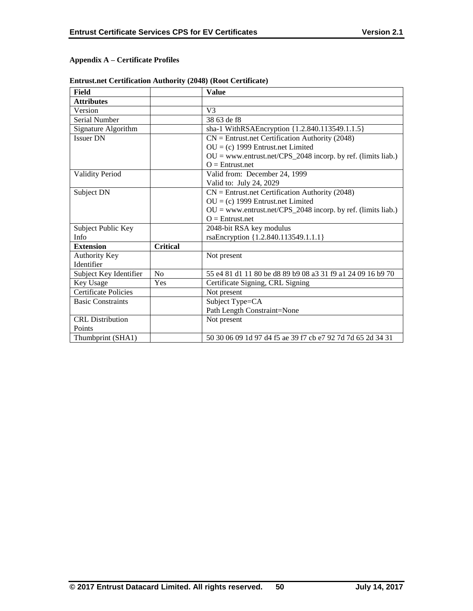# **Appendix A – Certificate Profiles**

| Field                       |                 | <b>Value</b>                                                   |
|-----------------------------|-----------------|----------------------------------------------------------------|
| <b>Attributes</b>           |                 |                                                                |
| Version                     |                 | V <sub>3</sub>                                                 |
| <b>Serial Number</b>        |                 | 38 63 de f8                                                    |
| Signature Algorithm         |                 | sha-1 WithRSAEncryption {1.2.840.113549.1.1.5}                 |
| <b>Issuer DN</b>            |                 | $CN =$ Entrust.net Certification Authority (2048)              |
|                             |                 | $OU = (c)$ 1999 Entrust.net Limited                            |
|                             |                 | $OU = www.entrust.net/CPS_2048 incorp. by ref. (limits liab.)$ |
|                             |                 | $Q =$ Entrust.net                                              |
| <b>Validity Period</b>      |                 | Valid from: December 24, 1999                                  |
|                             |                 | Valid to: July 24, 2029                                        |
| Subject DN                  |                 | $CN =$ Entrust.net Certification Authority (2048)              |
|                             |                 | $OU = (c)$ 1999 Entrust.net Limited                            |
|                             |                 | $OU = www.entrust.net/CPS_2048 incorp. by ref. (limits liab.)$ |
|                             |                 | $Q =$ Entrust.net                                              |
| Subject Public Key          |                 | 2048-bit RSA key modulus                                       |
| Info                        |                 | rsaEncryption {1.2.840.113549.1.1.1}                           |
| <b>Extension</b>            | <b>Critical</b> |                                                                |
| Authority Key               |                 | Not present                                                    |
| Identifier                  |                 |                                                                |
| Subject Key Identifier      | No              | 55 e4 81 d1 11 80 be d8 89 b9 08 a3 31 f9 a1 24 09 16 b9 70    |
| Key Usage                   | Yes             | Certificate Signing, CRL Signing                               |
| <b>Certificate Policies</b> |                 | Not present                                                    |
| <b>Basic Constraints</b>    |                 | Subject Type=CA                                                |
|                             |                 | Path Length Constraint=None                                    |
| <b>CRL</b> Distribution     |                 | Not present                                                    |
| Points                      |                 |                                                                |
| Thumbprint (SHA1)           |                 | 50 30 06 09 1d 97 d4 f5 ae 39 f7 cb e7 92 7d 7d 65 2d 34 31    |

## **Entrust.net Certification Authority (2048) (Root Certificate)**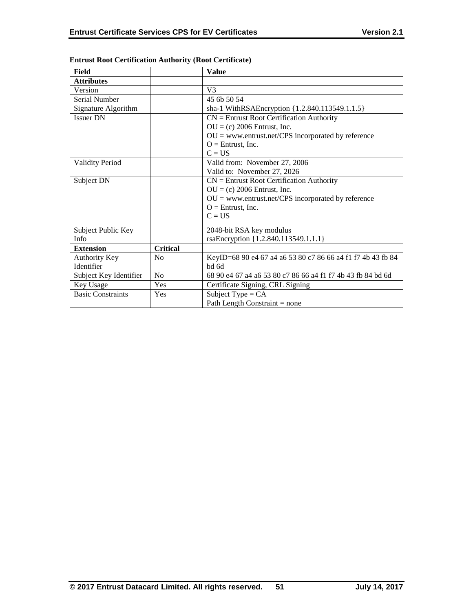| Field                      |                 | <b>Value</b>                                                |
|----------------------------|-----------------|-------------------------------------------------------------|
| <b>Attributes</b>          |                 |                                                             |
| Version                    |                 | V <sub>3</sub>                                              |
| Serial Number              |                 | 45 6b 50 54                                                 |
| Signature Algorithm        |                 | sha-1 WithRSAEncryption {1.2.840.113549.1.1.5}              |
| <b>Issuer DN</b>           |                 | $CN =$ Entrust Root Certification Authority                 |
|                            |                 | $OU = (c) 2006$ Entrust, Inc.                               |
|                            |                 | $OU =$ www.entrust.net/CPS incorporated by reference        |
|                            |                 | $O =$ Entrust, Inc.                                         |
|                            |                 | $C = US$                                                    |
| <b>Validity Period</b>     |                 | Valid from: November 27, 2006                               |
|                            |                 | Valid to: November 27, 2026                                 |
| Subject DN                 |                 | $CN =$ Entrust Root Certification Authority                 |
|                            |                 | $OU = (c) 2006$ Entrust, Inc.                               |
|                            |                 | $OU =$ www.entrust.net/CPS incorporated by reference        |
|                            |                 | $O =$ Entrust, Inc.                                         |
|                            |                 | $C = US$                                                    |
|                            |                 |                                                             |
| Subject Public Key<br>Info |                 | 2048-bit RSA key modulus                                    |
|                            | <b>Critical</b> | rsaEncryption {1.2.840.113549.1.1.1}                        |
| <b>Extension</b>           |                 |                                                             |
| <b>Authority Key</b>       | N <sub>0</sub>  | KeyID=68 90 e4 67 a4 a6 53 80 c7 86 66 a4 f1 f7 4b 43 fb 84 |
| Identifier                 |                 | bd 6d                                                       |
| Subject Key Identifier     | N <sub>0</sub>  | 68 90 e4 67 a4 a6 53 80 c7 86 66 a4 f1 f7 4b 43 fb 84 bd 6d |
| Key Usage                  | Yes             | Certificate Signing, CRL Signing                            |
| <b>Basic Constraints</b>   | Yes             | Subject Type = $CA$                                         |
|                            |                 | Path Length Constraint $=$ none                             |

## **Entrust Root Certification Authority (Root Certificate)**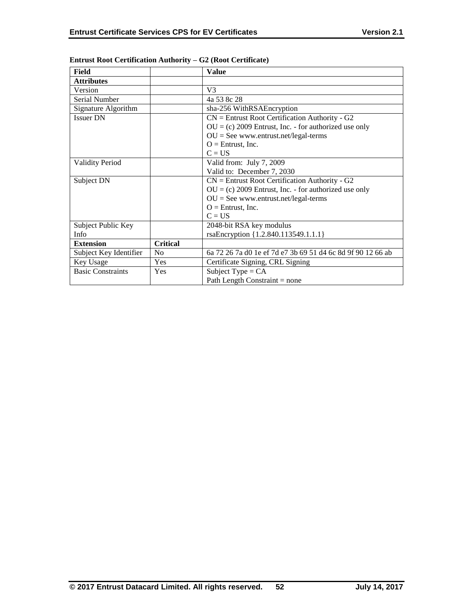| Field                    |                 | <b>Value</b>                                                |
|--------------------------|-----------------|-------------------------------------------------------------|
| <b>Attributes</b>        |                 |                                                             |
| Version                  |                 | V <sub>3</sub>                                              |
| Serial Number            |                 | 4a 53 8c 28                                                 |
| Signature Algorithm      |                 | sha-256 WithRSAEncryption                                   |
| <b>Issuer DN</b>         |                 | $CN =$ Entrust Root Certification Authority - G2            |
|                          |                 | $OU = (c) 2009$ Entrust, Inc. - for authorized use only     |
|                          |                 | $OU = See$ www.entrust.net/legal-terms                      |
|                          |                 | $O =$ Entrust, Inc.                                         |
|                          |                 | $C = US$                                                    |
| <b>Validity Period</b>   |                 | Valid from: July 7, 2009                                    |
|                          |                 | Valid to: December 7, 2030                                  |
| Subject DN               |                 | $CN =$ Entrust Root Certification Authority - G2            |
|                          |                 | $OU = (c) 2009$ Entrust, Inc. - for authorized use only     |
|                          |                 | $OU = See$ www.entrust.net/legal-terms                      |
|                          |                 | $O =$ Entrust, Inc.                                         |
|                          |                 | $C = US$                                                    |
| Subject Public Key       |                 | 2048-bit RSA key modulus                                    |
| Info                     |                 | rsaEncryption {1.2.840.113549.1.1.1}                        |
| <b>Extension</b>         | <b>Critical</b> |                                                             |
| Subject Key Identifier   | N <sub>0</sub>  | 6a 72 26 7a d0 1e ef 7d e7 3b 69 51 d4 6c 8d 9f 90 12 66 ab |
| Key Usage                | Yes             | Certificate Signing, CRL Signing                            |
| <b>Basic Constraints</b> | Yes             | Subject Type = $CA$                                         |
|                          |                 | Path Length Constraint $=$ none                             |

## **Entrust Root Certification Authority – G2 (Root Certificate)**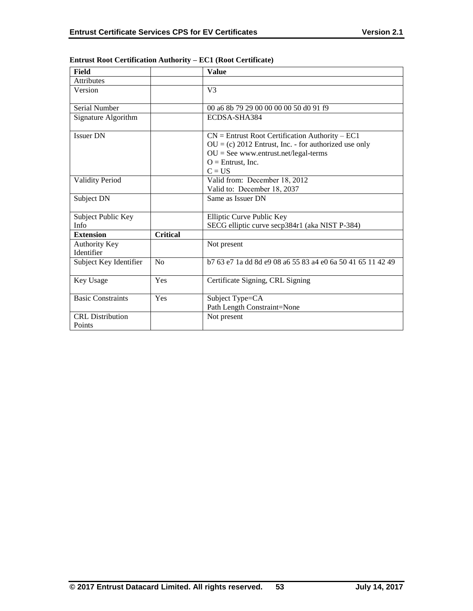| Field                             |                 | <b>Value</b>                                                                                                                                                                              |
|-----------------------------------|-----------------|-------------------------------------------------------------------------------------------------------------------------------------------------------------------------------------------|
| <b>Attributes</b>                 |                 |                                                                                                                                                                                           |
| Version                           |                 | V <sub>3</sub>                                                                                                                                                                            |
| Serial Number                     |                 | 00 a6 8b 79 29 00 00 00 00 50 d0 91 f9                                                                                                                                                    |
| Signature Algorithm               |                 | ECDSA-SHA384                                                                                                                                                                              |
| <b>Issuer DN</b>                  |                 | $CN =$ Entrust Root Certification Authority – EC1<br>$OU = (c) 2012$ Entrust, Inc. - for authorized use only<br>$OU = See$ www.entrust.net/legal-terms<br>$O =$ Entrust, Inc.<br>$C = US$ |
| <b>Validity Period</b>            |                 | Valid from: December 18, 2012<br>Valid to: December 18, 2037                                                                                                                              |
| Subject DN                        |                 | Same as Issuer DN                                                                                                                                                                         |
| Subject Public Key<br><b>Info</b> |                 | Elliptic Curve Public Key<br>SECG elliptic curve secp384r1 (aka NIST P-384)                                                                                                               |
| <b>Extension</b>                  | <b>Critical</b> |                                                                                                                                                                                           |
| Authority Key<br>Identifier       |                 | Not present                                                                                                                                                                               |
| Subject Key Identifier            | No              | b 7 63 e 7 1 a dd 8 de 9 0 8 a 6 5 5 8 3 a 4 e 0 6 a 5 0 4 1 6 5 1 1 4 2 4 9                                                                                                              |
| Key Usage                         | Yes             | Certificate Signing, CRL Signing                                                                                                                                                          |
| <b>Basic Constraints</b>          | Yes             | Subject Type=CA<br>Path Length Constraint=None                                                                                                                                            |
| <b>CRL</b> Distribution<br>Points |                 | Not present                                                                                                                                                                               |

## **Entrust Root Certification Authority – EC1 (Root Certificate)**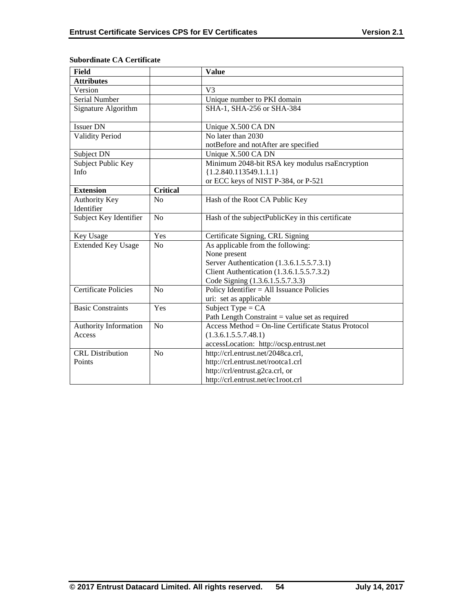| <b>Field</b>                       |                 | <b>Value</b>                                        |
|------------------------------------|-----------------|-----------------------------------------------------|
| <b>Attributes</b>                  |                 |                                                     |
| Version                            |                 | $\overline{V}$ 3                                    |
| Serial Number                      |                 | Unique number to PKI domain                         |
| Signature Algorithm                |                 | SHA-1, SHA-256 or SHA-384                           |
|                                    |                 |                                                     |
| <b>Issuer DN</b>                   |                 | Unique X.500 CA DN                                  |
| <b>Validity Period</b>             |                 | No later than 2030                                  |
|                                    |                 | notBefore and notAfter are specified                |
| Subject DN                         |                 | Unique X.500 CA DN                                  |
| Subject Public Key                 |                 | Minimum 2048-bit RSA key modulus rsaEncryption      |
| Info                               |                 | ${1.2.840.113549.1.1.1}$                            |
|                                    |                 | or ECC keys of NIST P-384, or P-521                 |
| <b>Extension</b>                   | <b>Critical</b> |                                                     |
| <b>Authority Key</b><br>Identifier | No              | Hash of the Root CA Public Key                      |
| Subject Key Identifier             | N <sub>o</sub>  | Hash of the subjectPublicKey in this certificate    |
|                                    |                 |                                                     |
| Key Usage                          | Yes             | Certificate Signing, CRL Signing                    |
| <b>Extended Key Usage</b>          | N <sub>o</sub>  | As applicable from the following:                   |
|                                    |                 | None present                                        |
|                                    |                 | Server Authentication (1.3.6.1.5.5.7.3.1)           |
|                                    |                 | Client Authentication (1.3.6.1.5.5.7.3.2)           |
|                                    |                 | Code Signing (1.3.6.1.5.5.7.3.3)                    |
| <b>Certificate Policies</b>        | No              | Policy Identifier $=$ All Issuance Policies         |
|                                    |                 | uri: set as applicable                              |
| <b>Basic Constraints</b>           | Yes             | Subject Type = $CA$                                 |
|                                    |                 | Path Length Constraint = value set as required      |
| <b>Authority Information</b>       | N <sub>o</sub>  | Access Method = On-line Certificate Status Protocol |
| Access                             |                 | (1.3.6.1.5.5.7.48.1)                                |
|                                    |                 | accessLocation: http://ocsp.entrust.net             |
| <b>CRL</b> Distribution            | N <sub>o</sub>  | http://crl.entrust.net/2048ca.crl,                  |
| Points                             |                 | http://crl.entrust.net/rootca1.crl                  |
|                                    |                 | http://crl/entrust.g2ca.crl, or                     |
|                                    |                 | http://crl.entrust.net/ec1root.crl                  |

# **Subordinate CA Certificate**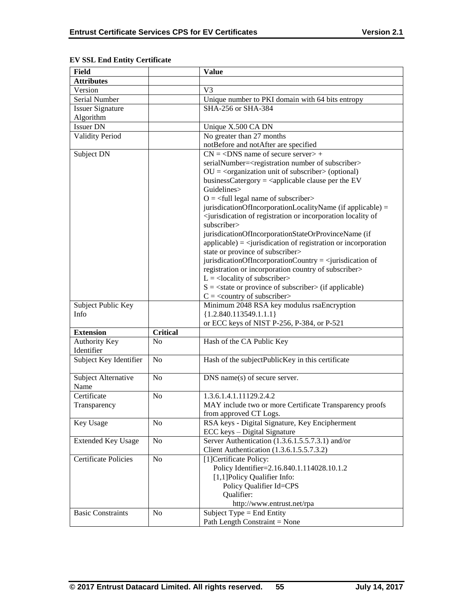| Field                       |                 | <b>Value</b>                                                                                          |
|-----------------------------|-----------------|-------------------------------------------------------------------------------------------------------|
| <b>Attributes</b>           |                 |                                                                                                       |
| Version                     |                 | V <sub>3</sub>                                                                                        |
| Serial Number               |                 | Unique number to PKI domain with 64 bits entropy                                                      |
| <b>Issuer Signature</b>     |                 | SHA-256 or SHA-384                                                                                    |
| Algorithm                   |                 |                                                                                                       |
| <b>Issuer DN</b>            |                 | Unique X.500 CA DN                                                                                    |
| <b>Validity Period</b>      |                 | No greater than 27 months                                                                             |
|                             |                 | notBefore and notAfter are specified                                                                  |
| Subject DN                  |                 | $CN = <$ DNS name of secure server> +                                                                 |
|                             |                 | serialNumber= <registration number="" of="" subscriber=""></registration>                             |
|                             |                 | $OU = coganization unit of subscripter > (optional)$                                                  |
|                             |                 | businessCatergory = $\langle$ applicable clause per the EV                                            |
|                             |                 | Guidelines>                                                                                           |
|                             |                 | $O = \left\langle \text{full legal name of subscripter} \right\rangle$                                |
|                             |                 | jurisdicationOfIncorporationLocalityName (if applicable) =                                            |
|                             |                 | <jurisdication incorporation="" locality="" of="" of<="" or="" registration="" td=""></jurisdication> |
|                             |                 | subscriber>                                                                                           |
|                             |                 | jurisdicationOfIncorporationStateOrProvinceName (if                                                   |
|                             |                 | $applicable) = \langle$ jurisdication of registration or incorporation                                |
|                             |                 | state or province of subscriber>                                                                      |
|                             |                 | jurisdicationOfIncorporationCountry = $\le$ jurisdication of                                          |
|                             |                 | registration or incorporation country of subscriber>                                                  |
|                             |                 | $L =$ <locality of="" subscriber=""></locality>                                                       |
|                             |                 | $S = \text{state}$ or province of subscriber $\text{in}$ (if applicable)                              |
|                             |                 | $C = \langle \text{country of subscripter} \rangle$                                                   |
| Subject Public Key          |                 | Minimum 2048 RSA key modulus rsaEncryption                                                            |
| Info                        |                 | ${1.2.840.113549.1.1.1}$                                                                              |
|                             |                 | or ECC keys of NIST P-256, P-384, or P-521                                                            |
| <b>Extension</b>            | <b>Critical</b> |                                                                                                       |
| Authority Key               | N <sub>o</sub>  | Hash of the CA Public Key                                                                             |
| Identifier                  |                 |                                                                                                       |
| Subject Key Identifier      | N <sub>o</sub>  | Hash of the subjectPublicKey in this certificate                                                      |
|                             |                 |                                                                                                       |
| Subject Alternative         | N <sub>o</sub>  | DNS name(s) of secure server.                                                                         |
| Name                        |                 |                                                                                                       |
| Certificate                 | N <sub>o</sub>  | 1.3.6.1.4.1.11129.2.4.2                                                                               |
| Transparency                |                 | MAY include two or more Certificate Transparency proofs                                               |
|                             |                 | from approved CT Logs.                                                                                |
| Key Usage                   | N <sub>0</sub>  | RSA keys - Digital Signature, Key Encipherment                                                        |
|                             |                 | ECC keys - Digital Signature                                                                          |
| <b>Extended Key Usage</b>   | N <sub>o</sub>  | Server Authentication (1.3.6.1.5.5.7.3.1) and/or                                                      |
|                             |                 | Client Authentication (1.3.6.1.5.5.7.3.2)                                                             |
| <b>Certificate Policies</b> | N <sub>o</sub>  | [1] Certificate Policy:                                                                               |
|                             |                 | Policy Identifier=2.16.840.1.114028.10.1.2                                                            |
|                             |                 | [1,1]Policy Qualifier Info:                                                                           |
|                             |                 | Policy Qualifier Id=CPS                                                                               |
|                             |                 | Qualifier:                                                                                            |
|                             |                 | http://www.entrust.net/rpa                                                                            |
| <b>Basic Constraints</b>    | N <sub>0</sub>  | Subject Type $=$ End Entity                                                                           |
|                             |                 | Path Length Constraint = None                                                                         |

# **EV SSL End Entity Certificate**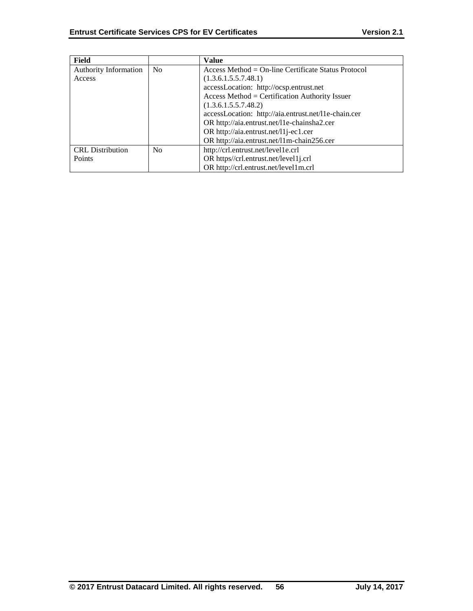| Field                        |                | Value                                                |
|------------------------------|----------------|------------------------------------------------------|
| <b>Authority Information</b> | N <sub>0</sub> | $Access Method = On-line Centlicate Status Protocol$ |
| Access                       |                | (1.3.6.1.5.5.7.48.1)                                 |
|                              |                | accessLocation: http://ocsp.entrust.net              |
|                              |                | Access Method = Certification Authority Issuer       |
|                              |                | (1.3.6.1.5.5.7.48.2)                                 |
|                              |                | accessLocation: http://aia.entrust.net/l1e-chain.cer |
|                              |                | OR http://aia.entrust.net/11e-chainsha2.cer          |
|                              |                | OR http://aia.entrust.net/11j-ec1.cer                |
|                              |                | OR http://aia.entrust.net/11m-chain256.cer           |
| <b>CRL</b> Distribution      | N <sub>0</sub> | http://crl.entrust.net/level1e.crl                   |
| Points                       |                | OR https//crl.entrust.net/level1j.crl                |
|                              |                | OR http://crl.entrust.net/level1m.crl                |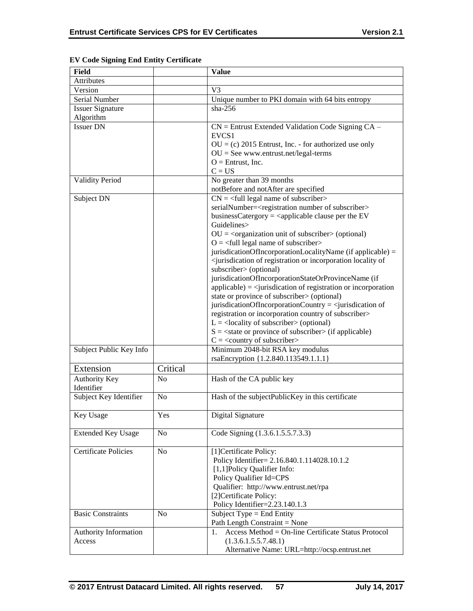| <b>Field</b>                |                | <b>Value</b>                                                                                          |
|-----------------------------|----------------|-------------------------------------------------------------------------------------------------------|
| <b>Attributes</b>           |                |                                                                                                       |
| Version                     |                | V <sub>3</sub>                                                                                        |
| Serial Number               |                | Unique number to PKI domain with 64 bits entropy                                                      |
| <b>Issuer Signature</b>     |                | $sha-256$                                                                                             |
| Algorithm                   |                |                                                                                                       |
| <b>Issuer DN</b>            |                | CN = Entrust Extended Validation Code Signing CA -                                                    |
|                             |                | EVCS <sub>1</sub>                                                                                     |
|                             |                |                                                                                                       |
|                             |                | $OU = (c) 2015$ Entrust, Inc. - for authorized use only                                               |
|                             |                | $OU = See$ www.entrust.net/legal-terms<br>$O =$ Entrust, Inc.                                         |
|                             |                | $C = US$                                                                                              |
|                             |                |                                                                                                       |
| <b>Validity Period</b>      |                | No greater than 39 months                                                                             |
|                             |                | notBefore and notAfter are specified                                                                  |
| Subject DN                  |                | $CN = \text{{\textless}}$ legal name of subscriber>                                                   |
|                             |                | serialNumber= <registration number="" of="" subscriber=""></registration>                             |
|                             |                | businessCatergory = $\langle$ applicable clause per the EV                                            |
|                             |                | Guidelines>                                                                                           |
|                             |                | $OU = corganization unit of subscripter > (optional)$                                                 |
|                             |                | $O = \left\langle \text{full legal name of subscripter} \right\rangle$                                |
|                             |                | jurisdicationOfIncorporationLocalityName (if applicable) =                                            |
|                             |                | <jurisdication incorporation="" locality="" of="" of<="" or="" registration="" td=""></jurisdication> |
|                             |                | subscriber> (optional)                                                                                |
|                             |                | jurisdicationOfIncorporationStateOrProvinceName (if                                                   |
|                             |                | $applicable) = \langle$ <i>jurisdication</i> of registration or incorporation                         |
|                             |                | state or province of subscriber> (optional)                                                           |
|                             |                | jurisdicationOfIncorporationCountry = $\le$ jurisdication of                                          |
|                             |                | registration or incorporation country of subscriber>                                                  |
|                             |                | $L =$ <locality of="" subscriber=""> (optional)</locality>                                            |
|                             |                | $S = \text{state}$ or province of subscriber (if applicable)                                          |
|                             |                | $C = \langle country\ of\ subscript\rangle$                                                           |
| Subject Public Key Info     |                | Minimum 2048-bit RSA key modulus                                                                      |
|                             |                | rsaEncryption {1.2.840.113549.1.1.1}                                                                  |
| Extension                   | Critical       |                                                                                                       |
| <b>Authority Key</b>        | N <sub>o</sub> | Hash of the CA public key                                                                             |
| Identifier                  |                |                                                                                                       |
| Subject Key Identifier      | N <sub>0</sub> | Hash of the subjectPublicKey in this certificate                                                      |
|                             |                |                                                                                                       |
|                             |                |                                                                                                       |
| Key Usage                   | Yes            | Digital Signature                                                                                     |
|                             |                |                                                                                                       |
| <b>Extended Key Usage</b>   | No             | Code Signing (1.3.6.1.5.5.7.3.3)                                                                      |
|                             |                |                                                                                                       |
| <b>Certificate Policies</b> | No             | [1] Certificate Policy:                                                                               |
|                             |                | Policy Identifier= 2.16.840.1.114028.10.1.2                                                           |
|                             |                | [1,1]Policy Qualifier Info:                                                                           |
|                             |                | Policy Qualifier Id=CPS                                                                               |
|                             |                | Qualifier: http://www.entrust.net/rpa                                                                 |
|                             |                | [2]Certificate Policy:                                                                                |
|                             |                | Policy Identifier=2.23.140.1.3                                                                        |
| <b>Basic Constraints</b>    | N <sub>0</sub> | Subject Type = End Entity                                                                             |
|                             |                | Path Length Constraint = None                                                                         |
| Authority Information       |                | Access Method = On-line Certificate Status Protocol<br>1.                                             |
| Access                      |                | (1.3.6.1.5.5.7.48.1)                                                                                  |
|                             |                | Alternative Name: URL=http://ocsp.entrust.net                                                         |

## **EV Code Signing End Entity Certificate**